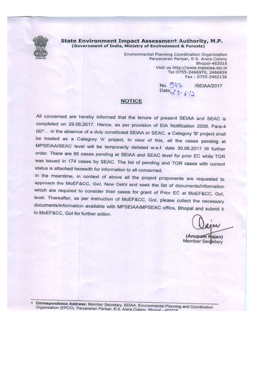

## **State Environment Impact Assessment Authority, M.P.** (Government of India, Ministry of Environment & Forests)

Environmental Planning Coordination Organization Paryavaran Parisar, E-5. Arera Colony Bhopal-462016 Visit us http://www.mpseiaa.nic.in Tel:0755-2466970, 2466859 Fax: 0755-2462136

No. 947 /SEIAA/2017 Date  $39.672$ 

## **NOTICE**

All concerned are hereby informed that the tenure of present SEIAA and SEAC is completed on 29.06.2017. Hence, as per provision of EIA Notification 2006, Para-4 (iii)\*... in the absence of a duly constituted SEIAA or SEAC, a Category 'B' project shall be treated as a Category 'A' project, In view of this, all the cases pending at MPSEIAA/SEAC level will be temporarily delisted w.e.f. date 30.06.2017 till further order. There are 85 cases pending at SEIAA and SEAC level for prior EC while TOR was issued in 174 cases by SEAC. The list of pending and TOR cases with current status is attached herewith for information to all concerned.

In the meantime, in context of above all the project proponents are requested to approach the MoEF&CC, GoI, New Delhi and seek the list of documents/information which are required to consider their cases for grant of Prior EC at MoEF&CC, Gol, level. Thereafter, as per instruction of MoEF&CC, Gol, please collect the necessary documents/information available with MPSEIAA/MPSEAC office, Bhopal and submit it to MoEF&CC, Gol for further action.

(Anupam Rajan) **Member Secretary** 

Correspondence Address: Member Secretary, SEIAA, Environmental Planning and Coordination Organisation (EPCO), Paryavaran Parisar, E-5, Arera Colony. Bhonal - 462016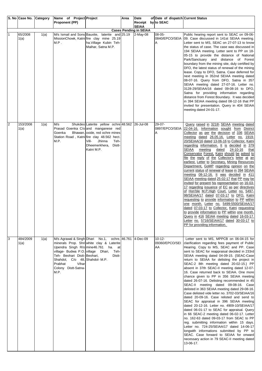|                | S. No Case No.   | Category | Name of Project Project                                                                                                                                                                   |                                                                                                                                                                                                                                           | Area | Date                                          | of Date of dispatch Current Status  |                                                                                                                                                                                                                                                                                                                                                                                                                                                                                                                                                                                                                                                                                                                                                                                                                                                                                                                                                                                                                                                                                                                                                                                                                                                            |
|----------------|------------------|----------|-------------------------------------------------------------------------------------------------------------------------------------------------------------------------------------------|-------------------------------------------------------------------------------------------------------------------------------------------------------------------------------------------------------------------------------------------|------|-----------------------------------------------|-------------------------------------|------------------------------------------------------------------------------------------------------------------------------------------------------------------------------------------------------------------------------------------------------------------------------------------------------------------------------------------------------------------------------------------------------------------------------------------------------------------------------------------------------------------------------------------------------------------------------------------------------------------------------------------------------------------------------------------------------------------------------------------------------------------------------------------------------------------------------------------------------------------------------------------------------------------------------------------------------------------------------------------------------------------------------------------------------------------------------------------------------------------------------------------------------------------------------------------------------------------------------------------------------------|
|                |                  |          | <b>Proponent (PP)</b>                                                                                                                                                                     |                                                                                                                                                                                                                                           |      | Receipt by to SEAC                            |                                     |                                                                                                                                                                                                                                                                                                                                                                                                                                                                                                                                                                                                                                                                                                                                                                                                                                                                                                                                                                                                                                                                                                                                                                                                                                                            |
|                |                  |          |                                                                                                                                                                                           |                                                                                                                                                                                                                                           |      | <b>SEIAA</b><br><b>Cases Pending in SEIAA</b> |                                     |                                                                                                                                                                                                                                                                                                                                                                                                                                                                                                                                                                                                                                                                                                                                                                                                                                                                                                                                                                                                                                                                                                                                                                                                                                                            |
| 1              | 65/2008<br>1(a)  | 1(a)     | M/s Ismail and Sons Bauxite,<br>M.P.                                                                                                                                                      | laterite and 25.19<br>MissionChowk, Katni fire clay mine 25.19<br>ha. Village Kubin Teh-<br>Maihar, Satna M.P.                                                                                                                            |      | 2-May-08                                      | $08 - 05 -$<br>0840/EPCO/SEIA<br>Α  | Public hearing report sent to SEAC on 09-06-<br>09. Case discussed in 141st SEIAA meeting.<br>Letter sent to MS, SEAC on 27-07-13 to know<br>the status of case. The case was discussed in<br>194 SEIAA meeting. Letter sent to PP on 18-<br>05-15 to provide the distance of National<br>Park/Sanctuary and distance of Forest<br>boundary from the mining site, duly certified by<br>DFO, the latest status of renewal of the mining<br>lease. Copy to DFO, Satna. Case deferred for<br>next meeting in 352nd SEIAA meeting dated<br>08-07-16. Query from DFO, Satna in 357<br>SEIAA meeting dated 27-07-16. Letter no.<br>3128-29/SEIAA/16 dated 09-08-16 to DFO,<br>Satna for providing information regarding<br>distance from Forest Boundary. It was decided<br>in 394 SEIAA meeting dated 08-12-16 that PP<br>invited for presentation. Query in 404 SEIAA<br>meeting dated 24-01-17.                                                                                                                                                                                                                                                                                                                                                               |
| $\overline{2}$ | 153/2008<br>1(a) | 1(a)     | M/s<br>Goenka<br>M.P.                                                                                                                                                                     | Shukdeo Laterite yellow ochre 48.562 26-Jul-08<br>Prasad Goenka C/o and manganese red<br>Bhawan, oxide, red ochre mines<br>Station Road, Katni fire clay 48.562 hect.<br>Jhinna<br>Vill-<br>Teh-<br>Dheemerkhera,<br>Distt-<br>Katni M.P. |      |                                               | 29-07-<br>0897/EPCO/SEIA<br>Α       | Query raised in 321th SEIAA meeting dated<br>22-04-16. Information sought from District<br>Collector as per the decision of 336 SEIAA<br>meeting dated 26.05.16. Letter no. 1919-<br><u>20/SEIAA/16 dated 13-06-16 to Collector, Katni</u><br><u>regarding information. It is decided in 379</u><br>SEIAA<br>meeting<br><u>dated</u><br>24-10-16<br><u>that</u><br>Conservator Forest, Katni should be asked to<br><u>file the reply of the Collector's letter at an</u><br>earliest. Letter to Secretary, Mining Resources<br>Department, GoMP regarding opinion on the<br>current status of renewal of lease in 394 SEIAA<br>meeting 08-12-16. It was decided in 411<br>SEIAA meeting dated 25-02-17 that PP may be<br>invited for present his representation on 16-03-<br>17 regarding issuance of EC as per directives<br>of Hon'ble M.P.High Court. Letter no. 5497-<br>98/SEIAA/17 dated 07-03-17 to DFO, Katni<br>requesting to provide information to PP within<br><u>one month. Letter no. 5499-5500/SEIAA/17</u><br>dated 07-03-17 to Collector, Katni requesting<br>to provide information to PP within one month.<br>Query in 416 SEIAA meeting dated 16-03-17.<br>Letter no. 5716/SEIAA/17 dated 30-03-17 to<br>PP for providing information. |
| 3              | 484/2009<br>1(a) | 1(a)     | M/s Agrawal & Singh Dhari No.1,<br>village- Budwa P.O. village Dhari,<br>Teh- Beohari Distt-Beohari,<br>Shahdol, C/o 48, Shahdol- M.P.<br>Prabhat<br>Vihar<br>Colony Distt-Satna-<br>M.P. | minerals Prop. Shri white clay & Laterite<br>Upendra Singh R/o mine46.761 ha. at<br>Teh-<br>Distt-                                                                                                                                        |      | ochre, 46.761 4-Dec-09                        | $10 - 12 -$<br>09360/EPCO/SEI<br>AA | Letter sent to MS, MPPCB on 06-04-15 for<br>clarification regarding fees payment of Public<br>Hearing. Copy to MS, SEAC and PP. Case<br>sent to SEAC for reappraisal decided in 233rd<br>SEIAA meeting dated 04-09-15. {SEAC-Case<br>return to SEIAA for delisting the project in<br>SEAC-2 8th meeting dated 20-02-15.} PP<br>absent in 37th SEAC-II meeting dated 12-07-<br>16. Case returned back to SEIAA. One more<br>chance given to PP in 356 SEIAA meeting<br>dated 26-07-16. Delisting recommended in 45<br>SEAC-II meeting dated 09-08-16. Case<br>delisted in 363 SEIAA meeting dated 29-08-16.<br>Case delisted vide letter no. 3702-03/SEIAA/16<br>dated 20-09-16. Case relisted and send to<br>SEAC for appraisal in 396 SEIAA meeting<br>dated 20-12-16. Letter no. 4909-10/SEIAA/17<br>dated 06-01-17 to SEAC for appraisal. Query<br>in 66 SEAC-2 meeting dated 06-02-17. Letter<br>no. 162-63 dated 09-03-17 from SEAC to PP<br>reg. submitting information within 15 days.<br>Letter no. 724-25/SEIAA/17 dated 14-06-17<br>longwith informations submitted by PP to<br>SEAC. Case forward to SEIAA for onward<br>necessary action in 79 SEAC-II meeting dated<br>13-06-17.                                                              |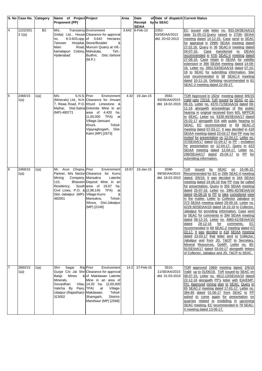|                | S. No Case No. Category |           | Name of Project Project                                                                                                                                           |                                                                                                                                                                                                                                                                                  | Area  | Date                               | of Date of dispatch Current Status        |                                                                                                                                                                                                                                                                                                                                                                                                                                                                                                                                                                                                                                                                                                                                                                                                                                                                                                                                                                                                                                   |
|----------------|-------------------------|-----------|-------------------------------------------------------------------------------------------------------------------------------------------------------------------|----------------------------------------------------------------------------------------------------------------------------------------------------------------------------------------------------------------------------------------------------------------------------------|-------|------------------------------------|-------------------------------------------|-----------------------------------------------------------------------------------------------------------------------------------------------------------------------------------------------------------------------------------------------------------------------------------------------------------------------------------------------------------------------------------------------------------------------------------------------------------------------------------------------------------------------------------------------------------------------------------------------------------------------------------------------------------------------------------------------------------------------------------------------------------------------------------------------------------------------------------------------------------------------------------------------------------------------------------------------------------------------------------------------------------------------------------|
|                |                         |           | <b>Proponent (PP)</b>                                                                                                                                             |                                                                                                                                                                                                                                                                                  |       | Receipt by to SEAC<br><b>SEIAA</b> |                                           |                                                                                                                                                                                                                                                                                                                                                                                                                                                                                                                                                                                                                                                                                                                                                                                                                                                                                                                                                                                                                                   |
| $\overline{4}$ | 1222/201<br>31(a)       | <b>B2</b> | M/s.<br>no.                                                                                                                                                       | <b>Transstroy Environment</b><br>(India) Ltd., House Clearance for approval<br>8-3-833, opp. of 3.642 Hectares                                                                                                                                                                   |       | 3.642 6-Feb-13                     | 2352-<br>53/SEIAA/2013<br>dtd. 20-02-2013 | EC issued vide letter no. 833-34/SEIAA/13<br>date 31-05-13 Query raised in 270th SEIAA<br>meeting dated 14-12-15. Case send to SEAC                                                                                                                                                                                                                                                                                                                                                                                                                                                                                                                                                                                                                                                                                                                                                                                                                                                                                               |
|                |                         |           | Tanveer<br>Main<br>kamalapuri Colony, Mahukala,<br>Hyderabad                                                                                                      | Hospital, Stone/Boulder<br>&<br>Road, Murrum Quarry at Vill.-<br>Teh.-<br>Budhni, Dist.-Sehore<br>(M.P.)                                                                                                                                                                         |       |                                    |                                           | for appraisal in 299th SEIAA meeting dated<br>27.02.16. Query in 36 SEAC-II meeting dated<br>Case transferred to DEIAA<br>04-07-16.<br>recommended in 47th SEAC-II meeting dated<br>27-08-16. Case retain in SEIAA for validity<br>extension in 366 SEIAA meeting dated 14-09-<br>16. Letter no. 3952-53/SEIAA/16 dated 07-10-                                                                                                                                                                                                                                                                                                                                                                                                                                                                                                                                                                                                                                                                                                    |
|                |                         |           |                                                                                                                                                                   |                                                                                                                                                                                                                                                                                  |       |                                    |                                           | 16 to SEAC for submitting information. Site<br>visit recommended in 58 SEAC-II meeting<br>dated 10-11-16. Delisting recommended in 81<br>SEAC-2 meeting dated 22-06-17.                                                                                                                                                                                                                                                                                                                                                                                                                                                                                                                                                                                                                                                                                                                                                                                                                                                           |
| 5              | 2466/15<br>1(a)         | 1(a)      | S.N.S. Prior<br>M/s<br>(MP)-485771                                                                                                                                | Environment<br>(Minerals) Ltd., N.H. Clearance for Jmuani<br>7, Rewa Road, P.O. Khurd Limestone &<br>Maihar, Dist-Satna Dolomite Mine in an<br>area of 4.420 ha.<br>$(1,00,000$ TPA)<br>at<br>Village-Jamuani<br>Tehsil-<br>Khurd,<br>Vijayraghogarh, Dist-<br>Katni (MP) [2673] | 4.42  | 19-Jan-15                          | 3592-<br>93/SEIAA/2015<br>dtd. 18-02-2015 | TOR Approved in 192st meeting dated: 8/6/15<br>Valid upto 7/5/18. ToR issued by SEAC on 15-<br>06-15. Letter no. 4370-71/SEIAA/16 dated 09-<br>11-16 alongwith proceedings of the public<br>hearing in original received from MS, MPPCB<br>to SEAC. Letter no. 5339-40/SEIAA/17 dated<br>25-02-17 alongwith EIA with public hearing to<br>SEAC. EC recommended in 69 SEAC-2<br>meeting dated 07-03-17. It was decided in 418<br>SEIAA meeting dated 23-03-17 that PP may be<br>invited for presentation on 12-04-17. Letter no.<br>37/SEIAA/17 dated 01-04-17 to PP - invitation<br>for presentation on 12-04-17. Query in 422<br>SEIAA meeting dated 12-04-17. Letter no.<br>299/SEIAA/17 dated 25-04-17 to PP for<br>submitting information.                                                                                                                                                                                                                                                                                    |
| 6              | 2469/15<br>1(a)         | 1(a)      | Mr. Arun Chopra, Prior<br>Company, Mansakra<br>Mining<br>110,<br>Residency,<br>Civil Lines, P.O. & (2,98,145 TPA)<br>Dist.-Jabalpur (MP)- Village-Kurro<br>482001 | Environment<br>Partner, M/s Nector Clearance for Kurro<br>Laterite<br>Bhaseen Deposit Mine in an<br>South area of 19.67 ha.<br>at<br>&<br>Tehsil-<br>Mansakra,<br>Sihora, Dist-Jabalpur<br>(MP) [2149]                                                                           | 19.67 | 19-Jan-15                          | 3598-<br>99/SEIAA/2015<br>dtd. 18-02-2015 | by SEAC<br>15-06-15.<br>ToR<br>issued<br>$on$<br>Recommended for EC in 29th SEAC-II meeting<br>dated: 3/6/16. It was decided in 344 SEIAA<br>meeting dated 24-06-16 that PP may be called<br>for presentation. Query in 355 SEIAA meeting<br>dated 25-07-16. Letter no. 2991-92/SEIAA/16<br>dated 04-08-16 to PP to take considered view<br>in the matter. Letter to Collector Jabalpur in<br>373 SEIAA meeting dated 29-09-16. Letter no.<br>4229-30/SEIAA/16 dated 18-10-16 to Collector,<br>Jabalpur for providing information. Case sent<br>to SEAC for comments in 394 SEIAA meeting<br>dated 08-12-16. Letter no. 4860-61/SEIAA/16<br>28-12-16<br>for<br>dated<br>comments.<br><u>EC</u><br>recommended in 69 SEAC-2 meeting dated 07<br>03-17. It was decided in 418 SEIAA meeting<br>dated 23-03-17 that letter sent to Collector,<br>Jabalpur and from JD, T&CP to Secretary,<br>Mineral Resources, GoMP. Letter no. 90-<br>91/SEIAA/17 dated 03-04-17 alongwith letters<br>of Collector, Jabalpur and JD, T&CP to SEAC. |
| 17             | 2660/15<br>1(a)         | 1(a)      | Shri<br>Sagar<br>Balaji<br>Mines<br>Minerals,<br>Govardhan<br>Valicha By Pass, TPA)<br>Udaipur (Rajasthan)- Makdawan,<br>313002                                   | Raj Prior<br>Environment<br>Gurjar C/o Jai Shri Clearance for approval<br>& of Makdawan Laterite<br>Mine in an area of<br>Vilas, 14.20 ha. (2,00,000<br>at<br>Village-<br>Tehsil-<br>District-<br>Shamgarh,<br>Mandsaur (MP) [2568]                                              | 14.2  | 27-Feb-15                          | 3510-<br>11/SEIAA/2015<br>dtd. 31-03-2015 | TOR approved 196th meeting dated: 2/6/16<br>Valid up to 01/06/18. ToR issued by SEAC on<br>08-07-15. Letter no. 4812-13/SEIAA/16 dated<br>22-12-16 alongwith PP's letter with EIA/EMP,<br>PH, Approved mining plan to SEAC. Query in<br>65 SEAC-2 meeting dated 17-01-17. Letter no.<br>384-85 dated 01-06-17 from SEAC to PP<br>asked to come again for presentation on<br>quarries related to modelling in upcoming<br>SEAC meeting. EC recommended in 79 SEAC-<br>II meeting dated 13-06-17.                                                                                                                                                                                                                                                                                                                                                                                                                                                                                                                                   |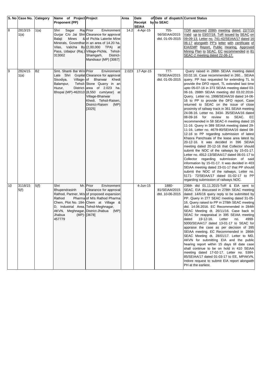|         | S. No Case No. Category |           | Name of Project Project                                                                      |                                                                                                                                                                                                                                                                                             | Area  | Date                    | of Date of dispatch Current Status         |                                                                                                                                                                                                                                                                                                                                                                                                                                                                                                                                                                                                                                                                                                                                                                                                                                                                                                                                                                                                                                                                                                                                                                                                                                                                                      |
|---------|-------------------------|-----------|----------------------------------------------------------------------------------------------|---------------------------------------------------------------------------------------------------------------------------------------------------------------------------------------------------------------------------------------------------------------------------------------------|-------|-------------------------|--------------------------------------------|--------------------------------------------------------------------------------------------------------------------------------------------------------------------------------------------------------------------------------------------------------------------------------------------------------------------------------------------------------------------------------------------------------------------------------------------------------------------------------------------------------------------------------------------------------------------------------------------------------------------------------------------------------------------------------------------------------------------------------------------------------------------------------------------------------------------------------------------------------------------------------------------------------------------------------------------------------------------------------------------------------------------------------------------------------------------------------------------------------------------------------------------------------------------------------------------------------------------------------------------------------------------------------------|
|         |                         |           | <b>Proponent (PP)</b>                                                                        |                                                                                                                                                                                                                                                                                             |       | Receipt<br><b>SEIAA</b> | by to SEAC                                 |                                                                                                                                                                                                                                                                                                                                                                                                                                                                                                                                                                                                                                                                                                                                                                                                                                                                                                                                                                                                                                                                                                                                                                                                                                                                                      |
| $\bf 8$ | 2813/15<br>1(a)         | 1(a)      | Shri<br>Sagar<br><b>Mines</b><br>Balaji<br>313002                                            | Raj Prior<br>Environment<br>Gurjar C/o Jai Shri Clearance for approval<br>& of Pichla Laterite Mine<br>Minerals, Goverdhar in an area of 14.20 ha.<br>Vilas, Valicha By (2,00,000 TPA) at<br>Pass, Udaipur (Raj.) Village-Pichla, Tehsil-<br>Shamgarh,<br>District-<br>Mandsaur (MP) [3067] | 14.2  | 4-Apr-15                | $755-$<br>56/SEIAA/2015<br>dtd. 01-05-2015 | TOR approved 208th meeting dated: 22/7/15<br>Valid up to 03/07/18. ToR issued by SEAC on<br>09-09-13. Letter no. 741-42/SEIAA/17 dated 16-<br>06-17 alongwith PP's letter with certificate of<br>EIA/EMP Report, Public Hearing, Approved<br>Mining Plan to SEAC. EC recommended in 81<br>SEAC-2 meeting dated 22-06-17.                                                                                                                                                                                                                                                                                                                                                                                                                                                                                                                                                                                                                                                                                                                                                                                                                                                                                                                                                             |
| 9       | 2824/15<br>1(a)         | <b>B2</b> | Smt. Shanti Bai W/o Prior<br>Sisodiya,<br>Balampur,<br>Huzur,                                | Environment<br>Late Shri Gopilal Clearance for approval<br>Village-of Bhanwar Khedi<br>Tehsil-Stone Quarry in an<br>District-area of 2.023 ha.<br>Bhopal (MP)-462010 (8,550 cum/year) at<br>Village-Bhanwar<br>Khedi, Tehsil-Raisen,<br>District-Raisen<br>(MP)<br>[3325]                   | 2.023 | 17-Apr-15               | $777-$<br>78/SEIAA/2015<br>dtd. 01-05-2015 | Query raised in 288th SEIAA meeting dated<br>03.02.16. Case recommended in 260 SEIAA<br>query. PP has requested for extending TL to<br>provide the DFO report, TL extended last time<br>upto 05-07-16 in 373 SEIAA meeting dated 03-<br>06-16. 288th SEIAA meeting dtd 03.02.2016-<br>Query. Letter no. 1998/SEIAA/16 dated 14-06-<br>16 to PP to provide the DFO report. Case<br>returned to SEAC on the issue of close<br>proximity of railway track in 361 SEIAA meeting<br>24-08-16. Letter no. 3434- 35/SEIAA/16 dated<br>08-09-16 for review<br>EC<br>to SEAC.<br>recommended in 58 SEAC-II meeting dated 10<br>11-16. Query in 389 SEIAA meeting dated 29-<br>11-16. Letter no. 4679-80/SEIAA/16 dated 08-<br>12-16 to PP regarding submission of latest<br>Khasra Panchsala of the lease area latest by<br>20-12-16. It was decided in 396 SEIAA<br>meeting dated 20-12-16 that Collector should<br>submit the NOC of the railways by 15-01-17.<br>Letter no. 4912-13/SEIAA/17 dated 06-01-17 to<br>Collector regarding submission of said<br>information by 15-01-17. It was decided in 403<br>SEIAA meeting dated 23-01-17 that PP should<br>submit the NOC of the railways. Letter no.<br>5171- 72/SEIAA/17 dated 01-02-17 to PP<br>regarding submission of railways NOC. |
| 10      | 3118/15<br>5(f)         | 5(f)      | Shri<br>Bhupendrasinh<br>Rathod<br>D, Industrial Area, Tehsil-Meghnagar,<br>Jhabua<br>457779 | Mr. Prior<br>Environment<br>Clearance for approval<br>Rathod, Partner, M/s of proposed expansion<br>Pharma of M/s Rathod Pharma<br>Chem, Plot No. 184- Chem at Village &<br>AKVN, Meghnagar, District-Jhabua (MP)<br>(MP)-[[3678]                                                           |       | 4-Jun-15                | 1880-<br>81/SEIAA/2015<br>dtd. 10-06-2015  | 236th dtd 01.11.2015-ToR & EIA sent to<br>SEAC. EIA discussed in 278th SEAC meeting<br>dated: 14/6/16 query reply to be submitted by<br>PP. Query in 277 SEAC meeting dated 31-05-<br>16. Query raised to PP in 278th SEAC meeting<br>dtd. 14.06.2016. EC Recommended in 284th<br>SEAC Meeting dt. 26/11/16. Case back to<br>SEAC for reappraisal in 395 SEIAA meeting<br>4999-<br>dated<br>19-12-16.<br>Letter<br>no.<br>5000/SEIAA/17 dated 13-01-17 to SEAC for<br>appraise the case as per decision of 395<br>SEIAA meeting. EC Recommended in 286th<br>SEAC Meeting dt. 28/01/17. Letter to MD,<br>AKVN for submitting EIA and the public<br>hearing report within 15 days till date case<br>shall continue to be on hold in 410 SEIAA<br>meeting dated 17-02-17. Letter no. 5384-<br>85/SEIAA/17 dated 01-03-17 to EE, MPAKVN,<br>Indore request to submit EIA report alongwith<br>PH at the earliest.                                                                                                                                                                                                                                                                                                                                                                         |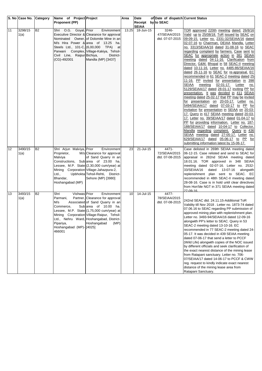|    | S. No Case No. Category |                | Name of Project Project                                                                                                                 |                                                                                                                                                                                                                                                                                        | Area  | Date                               | of Date of dispatch Current Status        |                                                                                                                                                                                                                                                                                                                                                                                                                                                                                                                                                                                                                                                                                                                                                                                                                                                                                                                                                                                                                                                                                                                                                                                                                                                                                                                                               |
|----|-------------------------|----------------|-----------------------------------------------------------------------------------------------------------------------------------------|----------------------------------------------------------------------------------------------------------------------------------------------------------------------------------------------------------------------------------------------------------------------------------------|-------|------------------------------------|-------------------------------------------|-----------------------------------------------------------------------------------------------------------------------------------------------------------------------------------------------------------------------------------------------------------------------------------------------------------------------------------------------------------------------------------------------------------------------------------------------------------------------------------------------------------------------------------------------------------------------------------------------------------------------------------------------------------------------------------------------------------------------------------------------------------------------------------------------------------------------------------------------------------------------------------------------------------------------------------------------------------------------------------------------------------------------------------------------------------------------------------------------------------------------------------------------------------------------------------------------------------------------------------------------------------------------------------------------------------------------------------------------|
|    |                         |                | <b>Proponent (PP)</b>                                                                                                                   |                                                                                                                                                                                                                                                                                        |       | Receipt by to SEAC<br><b>SEIAA</b> |                                           |                                                                                                                                                                                                                                                                                                                                                                                                                                                                                                                                                                                                                                                                                                                                                                                                                                                                                                                                                                                                                                                                                                                                                                                                                                                                                                                                               |
| 11 | 3298/15<br>1(a)         | <b>B2</b>      | Shri O.G. Goyal, Prior<br>Civil Line,<br>$(CG)-492001$                                                                                  | Environment<br>Executive Director & Clearance for approval<br>Nominated Owner, of Dolomite Mine in an<br>M/s Hira Power & area of 13.25 ha.<br>Steels Ltd., 101-C, (6,00,000 TPA) at<br>Parwani Complex, Village-Kakiya, Tehsil-<br>Raipur Bichiya,<br>District-<br>Mandla (MP) [3437] | 13.25 | 18-Jun-15                          | 3246-<br>47/SEIAA/2015<br>dtd. 07-07-2015 | TOR approved 220th meeting dated: 26/8/16<br>Valid up to 25/08/18. ToR issued by SEAC on<br>09-09-15. Letter no. 2331-32/SEIAA/16 dated<br>02-07-16 to Chairman, DEIAA Mandla. Letter<br>no. 3313/SEIAA/16 dated 31-08-16 to SEAC<br>regarding complaint by farmers. Case sent to<br>SEAC for appropriate action in 381 SEIAA<br>meeting dated 04-11-16. Clarification from<br>Director, G&M, Bhopal in 58 SEAC-II meeting<br>dated 10-11-16. Letter no. 4485-86/SEIAA/16<br>dated 26-11-16 to SEAC for re-appraisal. EC<br>recommended in 61 SEAC-2 meeting dated 25<br>11-16. PP invited for presentation in 398<br>SEIAA<br>meeting<br>02-01-17.<br>Letter<br><u>no.</u><br>5129/SEIAA/17 dated 28-01-17 inviting PP for<br>presentation. It was decided in 411 SEIAA<br>meeting dated 25-02-17 that PP may be invited<br>for presentation on 20-03-17. Letter no.<br>5494/SEIAA/17 dated 07-03-17 to PP for<br>invitation for presentation in SEIAA on 20-03-<br>17. Query in 417 SEIAA meeting dated 20-03-<br>17. Letter no. 39/SEIAA/17 dated 01-04-17 to<br>PP for providing information. Letter no. 187-<br>188/SEIAA/17 dated 10-04-17 to Collector,<br>Mandla regarding complaint. Query in 436<br>SEIAA meeting dated 27-05-17. Letter no.<br>629/SEIAA/17 dated 05-06-17 to PP for<br>submitting information latest by 15-06-17. |
| 12 | 3490/15<br>1(a)         | B <sub>2</sub> | Shri Arjun Malviya, Prior<br>Proprietor,<br>Malviya<br>Mining Corporation Village-Jahazpura-2,<br>Ltd.,<br>Bhandar,<br>Hoshangabad (MP) | Environment<br>M/s Clearance for approval<br>of Sand Quarry in an<br>Constructions, Sub area of 23.00 ha.<br>Lessee, M.P. State (2,30,000 cum/year) at<br>Upbhokta Tehsil-Rehti, District-<br>Sehore (MP) [3980]                                                                       | 23    | 21-Jul-15                          | 4471-<br>72/SEIAA/2015<br>dtd. 07-08-2015 | Case delisted in 269th SEIAA meeting dated<br>06-12-15. Case relisted and send to SEAC for<br>appraisal in 282nd SEIAA meeting dated<br>18.01.16. TOR approved in 348 SEIAA<br>meeting dated 02-07-16. Letter no. 2532-<br>33/SEIAA/16<br>dated<br>13-07-16<br>alongwith<br>replenishment plan sent to SEAC. EC<br>recommended in 48th SEAC-II meeting dated<br>28-08-16. Case is in hold until clear directives<br>from Hon'ble NGT in 371 SEIAA meeting dated<br>$27-09-16$                                                                                                                                                                                                                                                                                                                                                                                                                                                                                                                                                                                                                                                                                                                                                                                                                                                                 |
| 13 | 3493/15<br>1(a)         | B <sub>2</sub> | Vishwas Prior<br>Shri<br>Parmani,<br>M/s<br>Commerce,<br>Pipariya,<br>Hoshangabad (MP)-[4025]<br>466001                                 | Environment<br>Partner, Clearance for approval<br>Associated of Sand Quarry in an<br>Sub area of 10.00 ha.<br>Lessee, M.P. State (1,75,000 cum/year) at<br>Mining Corporation Village-Raipur, Tehsil-<br>Ltd., Nehru Ward, Hoshangabad, District-<br>Hoshangabad<br>(MP)               | 10    | 14-Jul-15                          | 4477-<br>78/SEIAA/2015<br>dtd. 07-08-2015 | 242nd SEAC dtd. 24.11.15-Additional ToR<br>Validity till Nov 2018. Letter no. 1873-74 dated<br>07.06.16 to SEAC regarding PP submission of<br>approved mining plan with replenishment plan.<br>Letter no. 3493-94/SEIAA/16 dated 12-09-16<br>alongwith PP's letter to SEAC. Query in 53<br>SEAC-2 meeting dated 13-10-16. EC<br>recommended in 77 SEAC-2 meeting dated 24-<br>05-17. It was decided in 439 SEIAA meeting<br>dated 07-06-17 that send a letter to PCCF<br>(Wild Life) alongwith copies of the NOC issued<br>by different officials and seek clarification of<br>the exact nearest distance of the mining lease<br>from Ratapani sanctuary. Letter no. 706-<br>07/SEIAA/17 dated 14-06-17 to PCCF & CWW<br>reg. request to kindly indicate exact nearest<br>distance of the mining lease area from<br>Ratapani Sanctuary.                                                                                                                                                                                                                                                                                                                                                                                                                                                                                                       |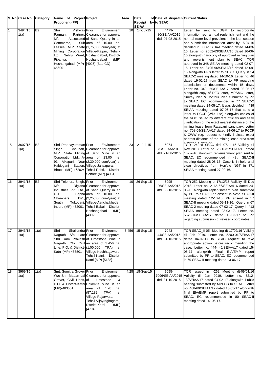|    | S. No Case No. Category |           | Name of Project Project                  |                                                                               | Area            | Date                               | of Date of dispatch Current Status |                                                                                                  |
|----|-------------------------|-----------|------------------------------------------|-------------------------------------------------------------------------------|-----------------|------------------------------------|------------------------------------|--------------------------------------------------------------------------------------------------|
|    |                         |           | <b>Proponent (PP)</b>                    |                                                                               |                 | Receipt by to SEAC<br><b>SEIAA</b> |                                    |                                                                                                  |
| 14 | 3494/15                 | <b>B2</b> | Vishwas Prior<br>Shri                    | Environment                                                                   | 10 <sup>1</sup> | 14-Jul-15                          | 4479-                              | be sent to DGM to incorporate<br>Letter                                                          |
|    | 1(a)                    |           | Parmani,                                 | Partner, Clearance for approval                                               |                 |                                    | 80/SEIAA/2015                      | information reg. annual replenishment and the                                                    |
|    |                         |           | M/s                                      | Associated of Sand Quarry in an<br>Sub area of 10.00 ha.                      |                 |                                    | dtd. 07-08-2015                    | normal water level prevalent in the lean season                                                  |
|    |                         |           | Commerce,                                | Lessee, M.P. State (1,75,000 cum/year) at                                     |                 |                                    |                                    | and submit the information latest by 15.04.16<br>decided in 303rd SEIAA meeting dated 14-03-     |
|    |                         |           |                                          | Mining Corporation Village-Raipur, Tehsil-                                    |                 |                                    |                                    | 16. Letter no. 2062-63/SEIAA/16 dated 16-06-                                                     |
|    |                         |           |                                          | Ltd., Nehru Ward, Hoshangabad, District-                                      |                 |                                    |                                    | 16 alongwith hardcopy of approved mining plan                                                    |
|    |                         |           | Pipariya,                                | Hoshangabad<br>(MP)                                                           |                 |                                    |                                    | and replenishment plan to SEAC. TOR                                                              |
|    |                         |           | Hoshangabad (MP)-[[4026] (Bad CD)        |                                                                               |                 |                                    |                                    | approved in 348 SEIAA meeting dated 02-07-                                                       |
|    |                         |           | 466001                                   |                                                                               |                 |                                    |                                    | 16. Letter no. 3495-96/SEIAA/16 dated 12-09-<br>16 alongwith PP's letter to SEAC. Query in 54    |
|    |                         |           |                                          |                                                                               |                 |                                    |                                    | SEAC-2 meeting dated 14-10-16. Letter no. 46                                                     |
|    |                         |           |                                          |                                                                               |                 |                                    |                                    | dated 19-01-17 from SEAC to PP regarding                                                         |
|    |                         |           |                                          |                                                                               |                 |                                    |                                    | submission of documents within 15 days.                                                          |
|    |                         |           |                                          |                                                                               |                 |                                    |                                    | Letter no. 349- 50/SEIAA/17 dated 08-05-17                                                       |
|    |                         |           |                                          |                                                                               |                 |                                    |                                    | alongwith copy of DFO letter, MPSMC Letter,<br>Survey Plan & Contour Plan submitted by PP        |
|    |                         |           |                                          |                                                                               |                 |                                    |                                    | to SEAC. EC recommended in 77 SEAC-2                                                             |
|    |                         |           |                                          |                                                                               |                 |                                    |                                    | meeting dated 24-05-17. It was decided in 439                                                    |
|    |                         |           |                                          |                                                                               |                 |                                    |                                    | SEIAA meeting dated 07-06-17 that send a                                                         |
|    |                         |           |                                          |                                                                               |                 |                                    |                                    | letter to PCCF (Wild Life) alongwith copies of<br>the NOC issued by different officials and seek |
|    |                         |           |                                          |                                                                               |                 |                                    |                                    | clarification of the exact nearest distance of the                                               |
|    |                         |           |                                          |                                                                               |                 |                                    |                                    | mining lease from Ratapani sanctuary. Letter                                                     |
|    |                         |           |                                          |                                                                               |                 |                                    |                                    | no. 708-09/SEIAA/17 dated 14-06-17 to PCCF                                                       |
|    |                         |           |                                          |                                                                               |                 |                                    |                                    | & CWW reg. request to kindly indicate exact<br>nearest distance of the mining lease area from    |
| 15 | 3607/15                 | <b>B2</b> | Shri Pradhayumman Prior                  | Environment                                                                   | 23              | 21-Jul-15                          | 5074-                              | TOR -242nd SEAC dtd. 07.11.15 Validity till                                                      |
|    | 1(a)                    |           | Singh                                    | Chouhan, Clearance for approval                                               |                 |                                    | 75/SEIAA/2015                      | Nov 2018. Letter no. 2530-31/SEIAA/16 dated                                                      |
|    |                         |           |                                          | M.P. State Mining of Sand Mine in an<br>Corporation Ltd., A-area of 23.00 ha. |                 |                                    | dtd. 21-08-2015                    | 13-07-16 alongwith replenishment plan sent to<br>SEAC. EC recommended in 48th SEAC-II            |
|    |                         |           |                                          | 91, Alkapuri, Near (2,30,000 cum/year) at                                     |                 |                                    |                                    | meeting dated 28-08-16. Case is in hold until                                                    |
|    |                         |           | Habibganj Station, Village-Jahazpura,    |                                                                               |                 |                                    |                                    | clear directives from Hon'ble NGT in 371                                                         |
|    |                         |           |                                          | Bhopal (MP)-462024 Tehsil-Rehti, District-                                    |                 |                                    |                                    | SEIAA meeting dated 27-09-16.                                                                    |
|    |                         |           |                                          | Sehore (MP) [4051]                                                            |                 |                                    |                                    |                                                                                                  |
| 16 | 3941/15<br>1(a)         | <b>B2</b> | Shri Tejendra Singh, Prior<br>M/s        | Environment<br>Digiana Clearance for approval                                 | 10 <sup>1</sup> | 26-Sep-15                          | 6995-<br>96/SEIAA/2015             | TOR-252 Meeting dt-17/12/15 Validity till Dec<br>2018. Letter no. 2165-66/SEIAA/16 dated 24-     |
|    |                         |           |                                          | Industries Pvt. Ltd., of Sand Quarry in an                                    |                 |                                    | dtd. 30-10-2015                    | 06-16 alongwith replenishment plan submitted                                                     |
|    |                         |           | $G-1$ ,                                  | Sapna area of 10.00 ha.                                                       |                 |                                    |                                    | by PP to SEAC. PP absent in 52nd SEAC-II                                                         |
|    |                         |           | Chambers,                                | $12/1$ , $(2,25,000 \text{ cum/year})$ at                                     |                 |                                    |                                    | meeting dated 12-10-16. PP absent in 57                                                          |
|    |                         |           | South<br>Tukoganj,<br>Indore (MP)-452001 | Village-Aanchalkheda,<br>Tehsil-Babai, District-                              |                 |                                    |                                    | SEAC-II meeting dated 09-11-16. Query in 67                                                      |
|    |                         |           |                                          | (MP)<br>Hoshangabad                                                           |                 |                                    |                                    | SEAC-2 meeting dated 07-02-17. Query in 413<br>SEIAA meeting dated 03-03-17. Letter no.          |
|    |                         |           |                                          | [4302]                                                                        |                 |                                    |                                    | 5575-76/SEIAA/17 dated 10-03-17 to PP                                                            |
|    |                         |           |                                          |                                                                               |                 |                                    |                                    | regarding submission of revised coordinates.                                                     |
|    |                         |           |                                          |                                                                               |                 |                                    |                                    |                                                                                                  |
| 17 | 3943/15<br>1(a)         | 1(a)      | Shailendra Prior<br>Shri                 | Environment<br>Nagrath S/o Late Clearance for approval                        | 3.456           | 15-Sep-15                          | 7043-<br>44/SEIAA/2015             | TOR-SEAC II 05 Meeting dt-17/02/16 Validity<br>till Feb 2019. Letter no. 5200-01/SEIAA/17        |
|    |                         |           |                                          | Shri Ram Prakash of Limestone Mine in                                         |                 |                                    | dtd. 31-10-2015                    | dated 04-02-17 to SEAC request to take                                                           |
|    |                         |           |                                          | Nagrath C/o Civil an area of 3.456 ha.                                        |                 |                                    |                                    | appropriate action before recommending the                                                       |
|    |                         |           |                                          | Line, P.O. & District- (1,00,000 TPA) at                                      |                 |                                    |                                    | case. Letter no. 444- 45/SEIAA/17 dated 15-                                                      |
|    |                         |           | Katni (MP)-483501                        | Village-Kachhagawan,                                                          |                 |                                    |                                    | 05-17 alongwith Final EIA/EMP<br>report                                                          |
|    |                         |           |                                          | Tehsil-Katni, District-<br>Katni (MP) [5138]                                  |                 |                                    |                                    | submitted by PP to SEAC. EC recommended<br>in 79 SEAC-II meeting dated 13-06-17.                 |
|    |                         |           |                                          |                                                                               |                 |                                    |                                    |                                                                                                  |
| 18 | 3969/15                 | 1(a)      | Smt. Sumitra Grover Prior                | <b>Environment</b>                                                            | 4.28            | 18-Sep-15                          | 7095-                              | TOR issued in -262 Meeting dt-09/01/16                                                           |
|    | 1(a)                    |           | Grover, Civil Lines, of                  | W/o Shri Madan Lal Clearance for approval<br>Limestone<br>&                   |                 |                                    | 7096/SEIAA/2015<br>dtd. 31-10-2015 | Validity till Jan 2019. Letter no. 5212-<br>13/SEIAA/17 dated 04-02-17 alongwith Public          |
|    |                         |           |                                          | P.O. & District-Katni Dolomite Mine in an                                     |                 |                                    |                                    | hearing submitted by MPPCB to SEAC. Letter                                                       |
|    |                         |           | (MP)-483501                              | area of<br>4.28<br>ha.                                                        |                 |                                    |                                    | no. 468-69/SEIAA/17 dated 18-05-17 alongwith                                                     |
|    |                         |           |                                          | (57, 182)<br>TPA)<br>at                                                       |                 |                                    |                                    | final EIA/EMP report submitted by PP to                                                          |
|    |                         |           |                                          | Village-Rajarwara,<br>Tehsil-Vijayraghogarh,                                  |                 |                                    |                                    | SEAC. EC recommended in 80 SEAC-II<br>meeting dated 14-06-17.                                    |
|    |                         |           |                                          | District-Katni<br>(MP)                                                        |                 |                                    |                                    |                                                                                                  |
|    |                         |           |                                          | [4704]                                                                        |                 |                                    |                                    |                                                                                                  |
|    |                         |           |                                          |                                                                               |                 |                                    |                                    |                                                                                                  |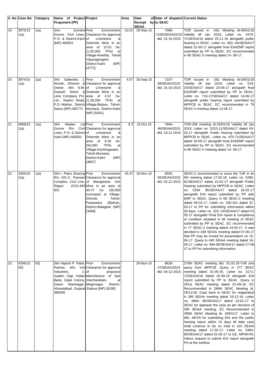|    | S. No Case No.  | Category | Name of Project Project                                                                                                                            |                                                                                                                                                                                                                                                                             | Area  | Date                    | of Date of dispatch Current Status        |                                                                                                                                                                                                                                                                                                                                                                                                                                                                                                                                                                                                                                                                                                                                                                                                                                                                                                                |
|----|-----------------|----------|----------------------------------------------------------------------------------------------------------------------------------------------------|-----------------------------------------------------------------------------------------------------------------------------------------------------------------------------------------------------------------------------------------------------------------------------|-------|-------------------------|-------------------------------------------|----------------------------------------------------------------------------------------------------------------------------------------------------------------------------------------------------------------------------------------------------------------------------------------------------------------------------------------------------------------------------------------------------------------------------------------------------------------------------------------------------------------------------------------------------------------------------------------------------------------------------------------------------------------------------------------------------------------------------------------------------------------------------------------------------------------------------------------------------------------------------------------------------------------|
|    |                 |          | <b>Proponent (PP)</b>                                                                                                                              |                                                                                                                                                                                                                                                                             |       | Receipt<br><b>SEIAA</b> | by to SEAC                                |                                                                                                                                                                                                                                                                                                                                                                                                                                                                                                                                                                                                                                                                                                                                                                                                                                                                                                                |
| 19 | 3970/15<br>1(a) | 1(a)     | Sumitra Prior<br>Smt.<br>P.O. & District-Katniof<br>(MP)-483501                                                                                    | Environment<br>Grover, Civil Lines, Clearance for approval<br>Limestone<br>&<br>Dolomite Mine in an<br>area of 10.01<br>ha.<br>$(1,00,000$ TPA)<br>at<br>Village-Amehta, Tehsil-<br>Vijayraghogarh,<br>District-Katni<br>(MP)<br>$[4772]$                                   | 10.01 | 18-Sep-15               | 7099-<br>7100/SEIAA/2015                  | TOR issued in -262 Meeting dt-09/01/16<br>Validity till Jan 2019. Letter no. 4470-<br>dtd. 31-10-2015 71/SEIAA/16 dated 25-11-16 alongwith public<br>hearing to SEAC. Letter no. 563- 64/SEIAA/17<br>dated 31-05-17 alongwith final EIA/EMP report<br>submitted by PP to SEAC. EC recommended<br>in 80 SEAC-II meeting dated 14-06-17.                                                                                                                                                                                                                                                                                                                                                                                                                                                                                                                                                                         |
| 20 | 3974/15<br>1(a) | 1(a)     | Sailendra<br>Shri<br>M/s N.M. of<br>Owner,<br>Ltd., Station Road, (1,39,200<br>Satna (MP)-485771                                                   | J. Prior<br>Environment<br>Worah, Director & Clearance for approval<br>Limestone<br>&<br>Dubash Stone & Dolomite Mine in an<br>Lime Company Pvt. area of 4.57 ha.<br>TPA)<br>at<br>P.O.-Maihar, District-Village-Bistara, Tehsil-<br>Murwara, District-Katni<br>(MP) [5401] | 4.57  | 30-Sep-15               | 7107-<br>08/SEIAA/2015<br>dtd. 31-10-2015 | TOR issued in -262 Meeting dt-09/01/16<br>Validity till Jan 2019. Letter no. 519-<br>20/SEIAA/17 dated 23-05-17 alongwith final<br>EIA/EMP report submitted by PP to SEAC.<br>Letter no. 716-17/SEIAA/17 dated 14-06-17<br>alongwith public hearing report submitted by<br>MPPCB to SEAC. EC recommended in 79<br>SEAC-II meeting dated 13-06-17.                                                                                                                                                                                                                                                                                                                                                                                                                                                                                                                                                              |
| 21 | 4089/15<br>1(a) | 1(a)     | Madan<br>Shri<br>Grover R/o<br>Lines, P.O. & District-of<br>Katni (MP)-483501                                                                      | Lal Prior<br>Environment<br>Civil Clearance for approval<br>Limestone<br>&<br>Dolomite Mine in an<br>area of 8.30<br>ha.<br>TPA)<br>(50,000)<br>at<br>Village-Kachhagawan,<br>Tehsil-Murwara,<br>District-Katni<br>(MP)<br>[4687]                                           | 8.3   | 15-Oct-15               | 7845-<br>46/SEIAA/2015<br>dtd. 19-11-2015 | TOR-268 meeting dt-16/01/16 Validity till Jan<br>2019. Letter no. 5210-11/SEIAA/17 dated 04-<br>02-17 alongwith Public hearing submitted by<br>MPPCB to SEAC. Letter no. 470-71/SEIAA/17<br>dated 18-05-17 alongwith final EIA/EMP report<br>submitted by PP to SEAC. EC recommended<br>in 80 SEAC-II meeting dated 14-06-17.                                                                                                                                                                                                                                                                                                                                                                                                                                                                                                                                                                                  |
| 22 | 4305/15<br>1(a) | 1(a)     | Shri I. Patric Dhanraj Prior<br>Raipur<br>001                                                                                                      | Environment<br>R/o 101-C, Parwani Clearance for approval<br>Complex, Civil Line, of Manganese Ore<br>(CG)-492 Mine in an area of<br>40.47<br>(36,000)<br>ha.<br>cum/year) at Village-<br>Ghondi,<br>Tehsil-<br>Paraswara<br>(Baihar),<br>District-Balaghat (MP)<br>[3468]   | 40.47 | 18-Nov-15               | 8555-<br>56/SEIAA/2015<br>dtd. 02-12-2015 | SEAC-2 recommended to issue the ToR in its<br>5th meeting dated 17-02-16. Letter no. 5280-<br>81/SEIAA/17 dated 15-02-17 alongwith Public<br>Hearing submitted by MPPCB to SEAC. Letter<br>no. 5294- 95/SEIAA/17 dated 16-02-17<br>alongwith EIA report submitted by PP with<br>EMP to SEAC. Query in 68 SEAC-2 meeting<br>dated 06-03-17. Letter no. 200-201 dated 31-<br>03-17 to PP for submitting information within<br>30 days. Letter no. 323- 24/SEIAA/17 dated 01-<br>05-17 alongwith Final EIA report & compliance<br>of condition stiulated in 68 meeting of SEAC<br>submitted by PP to SEAC. EC recommended<br>in 77 SEAC-2 meeting dated 24-05-17. It was<br>decided in 439 SEIAA meeting dated 07-06-17<br>that PP may be invited for presentation on 15-<br>06-17. Query in 445 SEIAA meeting dated 16-<br>06-17. Letter no. 894-95/SEIAA/17 dated 27-06<br>17 to PP for submitting information. |
| 23 | 4356/15<br>5(f) | 5(f)     | Shri Alpesh P. Patel, Prior<br>Industries,<br>2,<br>Bank, Dalal Colony, Intermediates<br>Daxini<br>Ahmedabad, Gujarat Jhabua (MP) [6190]<br>380008 | Environment<br>Partner, M/s Vini Clearance for approval<br>of<br>proposed<br>Jupiter, Opp. Indian Manufacture of Dye<br>at<br>District-<br>Maninagar, Meghnagar,                                                                                                            |       | 20-Nov-15               | 8626-<br>27/SEIAA/2015<br>dtd. 04-12-2015 | 270th SEAC meeting dtd. 01.03.16-ToR and<br>query from MPPCB. Query in 277 SEAC<br>meeting dated 31-05-16. Letter no. 3171-<br>72/SEIAA/16 dated 16-08-16 alongwith EIA<br>report submitted by PP to SEAC. Query in<br>281st SEAC meeting dated 01-09-16. EC<br>Recommended in 284th SEAC Meeting dt.<br>26/11/16. Case back to SEAC for reappraisal<br>in 395 SEIAA meeting dated 19-12-16. Letter<br>no. 4994- 95/SEIAA/17 dated 13-01-17 to<br>SEAC for appraise the case as per decision of<br>395 SEIAA meeting. EC Recommended in<br>286th SEAC Meeting dt. 28/01/17. Letter to<br>MD, AKVN for submitting EIA and the public<br>hearing report within 15 days till date case<br>shall continue to be on hold in 410 SEIAA<br>meeting dated 17-02-17. Letter no. 5384-<br>85/SEIAA/17 dated 01-03-17 to EE, MPAKVN,<br>Indore request to submit EIA report alongwith<br>PH at the earliest.              |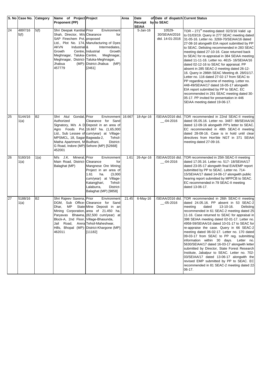|    | S. No Case No.  | Category  | Name of Project Project                                                                                                                                                                                                      |                                                                                                                                                                                                                                                     | Area  | Date                    | of Date of dispatch Current Status         |                                                                                                                                                                                                                                                                                                                                                                                                                                                                                                                                                                                                                                                                                                                                                                                                                                                   |
|----|-----------------|-----------|------------------------------------------------------------------------------------------------------------------------------------------------------------------------------------------------------------------------------|-----------------------------------------------------------------------------------------------------------------------------------------------------------------------------------------------------------------------------------------------------|-------|-------------------------|--------------------------------------------|---------------------------------------------------------------------------------------------------------------------------------------------------------------------------------------------------------------------------------------------------------------------------------------------------------------------------------------------------------------------------------------------------------------------------------------------------------------------------------------------------------------------------------------------------------------------------------------------------------------------------------------------------------------------------------------------------------------------------------------------------------------------------------------------------------------------------------------------------|
|    |                 |           | <b>Proponent (PP)</b>                                                                                                                                                                                                        |                                                                                                                                                                                                                                                     |       | Receipt<br><b>SEIAA</b> | by to SEAC                                 |                                                                                                                                                                                                                                                                                                                                                                                                                                                                                                                                                                                                                                                                                                                                                                                                                                                   |
| 24 | 4897/16<br>5(f) | 5(f)      | Shri Deepak Kantilal Prior<br>Shah, Director, M/s Clearance<br>SAP Finechem Pvt. proposed<br><b>AKVN</b><br>Industrial &<br>Growth<br>Meghnagar, Taluka-Centre,<br>Meghnagar, District-Taluka-Meghnagar,<br>Jhabua<br>457779 | Environment<br>for<br>Ltd., Plot No. 174, Manufacturing of Dyes<br>Intermediates,<br>Centre, Industrial<br>Growth<br>Meghnagar,<br>(MP)- District-Jhabua<br>(MP)<br>[2461]                                                                          |       | $5 - Jan-16$            | 10529-<br>30/SEIAA/2016<br>dtd. 14-01-2016 | TOR $-271st$ meeting dated: 02/3/16 Valid up<br>to 01/03/19. Query in 277 SEAC meeting dated<br>31-05-16. Letter no. 3269-70/SEIAA/16 dated<br>27-08-16 alongwith EIA report submitted by PP<br>to SEAC. Delisting recommended in 283 SEAC<br>meeting dated 27-10-16. Case returned back<br>to SEAC for re-appraisal in 384 SEIAA meeting<br>dated 11-11-16. Letter no. 4615- 16/SEIAA/16<br>dated 02-12-16 to SEAC for appraisal. PP<br>absent in 285 SEAC-2 meeting dated 26-12-<br>16. Query in 286th SEAC Meeting dt. 28/01/17.<br>Letter no. 116 dated 27-02-17 from SEAC to<br>PP regarding outcome of meeting. Letter no.<br>448-49/SEIAA/17 dated 16-05-17 alongwith<br>EIA report submitted by PP to SEAC. EC<br>recommended in 291 SEAC meeting dated 30-<br>05-17. PP invited for presentation in 446<br>SEIAA meeting dated 19-06-17. |
| 25 | 5144/16<br>1(a) | <b>B2</b> | Shri Atul<br>Gondal, Prior<br>Authorized<br>MPSMCL, 18, Sagar Bagwada-2,<br>Matha Apartment, M Budhani,<br>452001                                                                                                            | Environment 16.667<br>Clearance for Sand<br>Signatory, M/s A D Deposit in an area of<br>Agro Foods Pvt. 16.667 ha. (1,65,000<br>Ltd., Sub Lessee of cum/year) at Village-<br>Tehsil-<br>District-<br>G Road, Indore (MP) Sehore (MP) [52668]        |       | 18-Apr-16               | /SEIAA/2016 dtd.<br>$-04 - 2016$           | TOR recommended in 22nd SEAC-II meeting<br>dated 05.05.16. Letter no. 3487- 88/SEIAA/16<br>dated 12-09-16 alongwith PP's letter to SEAC.<br>EC recommended in 48th SEAC-II meeting<br>dated 28-08-16. Case is in hold until clear<br>directives from Hon'ble NGT in 371 SEIAA<br>meeting dated 27-09-16.                                                                                                                                                                                                                                                                                                                                                                                                                                                                                                                                          |
| 26 | 5160/16<br>1(a) | 1(a)      | J.K.<br>Mineral, Prior<br>M/s<br>Main Road, District- Clearance<br>Balaghat (MP)                                                                                                                                             | Environment<br>for<br>Mangnese Ore Mining<br>Project in an area of<br>1.61<br>ha.<br>(3,000)<br>cum/year) at Village-<br>Katangjhari,<br>Tehsil-<br>District-<br>Lalaburra,<br>Balaghat (MP) [9858]                                                 | 1.61  | 26-Apr-16               | /SEIAA/2016 dtd.<br>$-04 - 2016$           | TOR recommended in 25th SEAC-II meeting<br>dated 17.05.16. Letter no. 517- 18/SEIAA/17<br>dated 23-05-17 alongwith final EIA/EMP report<br>submitted by PP to SEAC. Letter no. 714-<br>15/SEIAA/17 dated 14-06-17 alongwith public<br>hearing report submitted by MPPCB to SEAC.<br>EC recommended in 79 SEAC-II meeting<br>dated 13-06-17.                                                                                                                                                                                                                                                                                                                                                                                                                                                                                                       |
| 27 | 5188/16<br>1(a) | <b>B2</b> | Shri Rajeev Saxena, Prior<br>MP<br>Dhar,<br>Block-A, 2nd Floor, Village-Bhasunda,<br>Jail Road,<br>462011                                                                                                                    | Environment<br>DGM, Sub Office-Clearance for Sand<br>State Mine Deposit in an<br>Mining Corporation, area of 21.450 ha.<br>Paryavas Bhawna, (82,500 cum/year) at<br>Arera Tehsil-Maheshwar,<br>Hills, Bhopal (MP)-District-Khargone (MP)<br>[11182] | 21.45 | $6$ -May-16             | /SEIAA/2016 dtd.<br>$-05 - 2016$           | TOR recommended in 26th SEAC-II meeting<br>dated 24.05.16. PP absent in 53 SEAC-2<br>meeting<br>13-10-16.<br>Delisting<br>dated<br>recommended in 61 SEAC-2 meeting dated 25<br>11-16. Case returned to SEAC for appraisal in<br>398 SEIAA meeting dated 02-01-17. Letter no.<br>4958-59/SEIAA/16 dated 10-01-17 to SEAC for<br>re-appraise the case. Query in 66 SEAC-2<br>meeting dated 06-02-17. Letter no. 170 dated<br>09-03-17 from SEAC to PP reg. submitting<br>information within 30 days.<br>Letter no.<br>5630/SEIAA/17 dated 16-03-17 alongwith letter<br>submitted by Director, State Forest Research<br>Institute, Jabalpur to SEAC. Letter no. 702-<br>03/SEIAA/17 dated 13-06-17 alongwith the<br>revised EMP submitted by PP to SEAC. EC<br>recommended in 81 SEAC-2 meeting dated 22<br>06-17.                                  |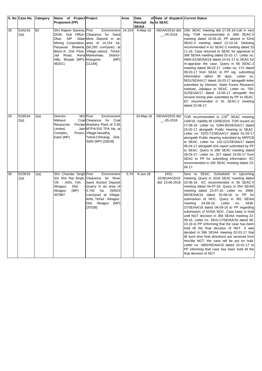|    | S. No Case No. Category |           | Name of Project Project                                                                          |                                                                                                                                                                                                                                                                            | Area | Date                    | of Date of dispatch Current Status        |                                                                                                                                                                                                                                                                                                                                                                                                                                                                                                                                                                                                                                                                                                                                                                                                                                                                                                                            |
|----|-------------------------|-----------|--------------------------------------------------------------------------------------------------|----------------------------------------------------------------------------------------------------------------------------------------------------------------------------------------------------------------------------------------------------------------------------|------|-------------------------|-------------------------------------------|----------------------------------------------------------------------------------------------------------------------------------------------------------------------------------------------------------------------------------------------------------------------------------------------------------------------------------------------------------------------------------------------------------------------------------------------------------------------------------------------------------------------------------------------------------------------------------------------------------------------------------------------------------------------------------------------------------------------------------------------------------------------------------------------------------------------------------------------------------------------------------------------------------------------------|
|    |                         |           | <b>Proponent (PP)</b>                                                                            |                                                                                                                                                                                                                                                                            |      | Receipt<br><b>SEIAA</b> | by to SEAC                                |                                                                                                                                                                                                                                                                                                                                                                                                                                                                                                                                                                                                                                                                                                                                                                                                                                                                                                                            |
| 28 | 5191/16<br>1(a)         | <b>B2</b> | Shri Rajeev Saxena, Prior<br>Dhar,<br>MP<br>Jail Road,<br>Hills, Bhopal (MP)- Khargone<br>462011 | Environment 14.154<br>DGM, Sub Office-Clearance for Sand<br>State Mine Deposit in an<br>Mining Corporation, area of 14.154 ha.<br>Paryavas Bhawna, (56,250 cum/year) at<br>Block-A, 2nd Floor, Village-Jalood, Tehsil-<br>Arera Maheshwar,<br>District-<br>(MP)<br>[11184] |      | 6-May-16                | /SEIAA/2016 dtd.<br>$-05 - 2016$          | 25th SEAC meeting dtd 17.05.16-Call in next<br>mtg. TOR recommended in 26th SEAC-II<br>meeting dated 24.05.16. PP absent in 52nd<br>SEAC-II meeting dated 12-10-16. Delisting<br>recommended in 61 SEAC-2 meeting dated 25<br>11-16. Case returned to SEAC for appraisal in<br>398 SEIAA meeting dated 02-01-17. Letter no.<br>4960-61/SEIAA/16 dated 10-01-17 to SEAC for<br>re-appraise the case. Query in 66 SEAC-2<br>meeting dated 06-02-17. Letter no. 172 dated<br>09-03-17 from SEAC to PP reg. submitting<br>information within 30 days. Letter no.<br>5631/SEIAA/17 dated 16-03-17 alongwith letter<br>submitted by Director, State Forest Research<br>Institute, Jabalpur to SEAC. Letter no. 700-<br>01/SEIAA/17 dated 13-06-17 alongwith the<br>revised mining plan submitted by PP to SEAC.<br>EC recommended in 81 SEAC-2 meeting<br>dated 22-06-17.                                                        |
| 29 | 5195/16<br>2(a)         | 2(a)      | Director,<br>Mahavir<br>Resources<br>Limited,<br>Complex,<br>Katni (MP)                          | M/s Prior<br>Environment<br>Coal Clearance for Coal<br>Private Washery Plant of 0.95<br>Jain MTPA/150 TPA Ha. at<br>Pureni, Village-Noudiha,<br>Tehsil-Chitrangi, Dist-<br>Sidhi (MP) [10618]                                                                              |      | 10-May-16               | /SEIAA/2016 dtd.<br>$-05 - 2016$          | TOR recommended in 278 <sup>th</sup> SEAC meeting<br>14/6/16. Validity till 13/06/2019. TOR issued on<br>27-06-16. Letter no. 5284-85/SEIAA/17 dated<br>15-02-17 alongwith Public Hearing to SEAC.<br>Letter no. 5370-71/SEIAA/17 dated 01-03-17<br>alongwith Public Hearing submitted by MPPCB<br>to SEAC. Letter no. 120-121/SEIAA/17 dated<br>06-04-17 alongwith EIA report submitted by PP<br>to SEAC. Query in 289 SEAC meeting dated<br>28-04-17. Letter no. 327 dated 15-05-17 from<br>SEAC to PP for submitting information. EC<br>recommended in 294 SEAC meeting dated 23-<br>06-17.                                                                                                                                                                                                                                                                                                                             |
| 30 | 5229/16<br>1(a)         | 1(a)      | Shri Chandar Singh Prior<br>Alirajpur,<br>Dist.<br>Alirajpur<br>(MP)<br>457887                   | Environment<br>S/o Shri Rai Singh, Clearance for River<br>Vill. - Arthi, Teh. - Sand Auction Deposit<br>Quarry in an area of<br>5.740<br>(50024)<br>ha.<br>cum/year) at Village-<br>Arthi, Tehsil - Aliraipur,<br>Dist. Alirajpur (MP)<br>[37038]                          | 5.74 | $6$ -Jun-16             | 1931-<br>32/SEIAA/2016<br>dtd. 13-06-2016 | Sent to SEAC. Scheduled in Upcoming<br>meeting. Query in 32nd SEAC meeting dated<br>23-06-16. EC recommended in 36 SEAC-II<br>meeting dated 04-07-16. Query in 354 SEIAA<br>meeting dated 23-07-16. Letter no. 2868-<br>69/SEIAA/16 dated 02-08-16 to PP for<br>submission of NOC. Query in 361 SEIAA<br>24-08-16.<br>Letter<br>no.<br>3436-<br>meeting<br>37/SEIAA/16 dated 08-09-16 to PP regarding<br>submission of NVDA NOC. Case keep in hold<br>until NGT decision in 368 SEIAA meeting 22-<br>09-16. Letter no. 3916-17/SEIAA/16 dated 06-<br>10-16 to PP imforming that the case has been<br>hold till the final decision of NGT. It was<br>decided in 398 SEIAA meeting 02-01-17 that<br>till such time final directions are received from<br>Hon'ble NGT, the case will be put on hold.<br>Letter no. 4962/SEIAA/16 dated 10-01-17 to<br>PP informing that case has been hold till the<br>final decision of NGT. |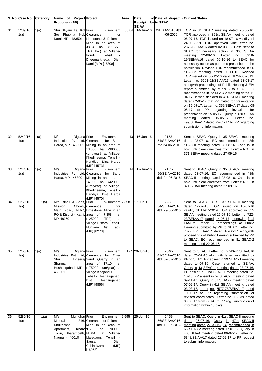|    | S. No Case No. Category |      | Name of Project Project                                                             |                                                                                                                                                                                                                              | Area  | Date                      | of Date of dispatch Current Status        |                                                                                                                                                                                                                                                                                                                                                                                                                                                                                                                                                                                                                                                                                                                                                                                                                                                                                                                                                                                                                                                                                                                                                   |
|----|-------------------------|------|-------------------------------------------------------------------------------------|------------------------------------------------------------------------------------------------------------------------------------------------------------------------------------------------------------------------------|-------|---------------------------|-------------------------------------------|---------------------------------------------------------------------------------------------------------------------------------------------------------------------------------------------------------------------------------------------------------------------------------------------------------------------------------------------------------------------------------------------------------------------------------------------------------------------------------------------------------------------------------------------------------------------------------------------------------------------------------------------------------------------------------------------------------------------------------------------------------------------------------------------------------------------------------------------------------------------------------------------------------------------------------------------------------------------------------------------------------------------------------------------------------------------------------------------------------------------------------------------------|
|    |                         |      | <b>Proponent (PP)</b>                                                               |                                                                                                                                                                                                                              |       | Receipt                   | by to SEAC                                |                                                                                                                                                                                                                                                                                                                                                                                                                                                                                                                                                                                                                                                                                                                                                                                                                                                                                                                                                                                                                                                                                                                                                   |
| 31 | 5239/16<br>1(a)         | 1(a) | Shri Shyam Lal Kol Prior<br>S/o Phuphla Kol, Clearance<br>Katni, MP - 483501        | Environment<br>for<br>Limestone & Dolomite<br>Mine in an area of<br>38.84 ha. (111275)<br>TPA ha.) at Village-<br>Pondi,<br>Tehsil<br>Dheemarkheda, Dist.<br>Katni (MP) [15808]                                              | 38.84 | <b>SEIAA</b><br>14-Jun-16 | __-06-2016                                | /SEIAA/2016 dtd. TOR in 34 SEAC meeting dated 25-06-16.<br>TOR approved in 351st SEIAA meeting dated<br>06-07-16. TOR issued on 18-07-16 validity till<br>24-06-2019. TOR approved vide letter no.<br>2872/SEIAA/16 dated 02-08-16. Case sent to<br>SEAC for necesary action in 368 SEIAA<br>Letter<br>meeting<br>22-09-16.<br>no.<br>3918-<br>19/SEIAA/16 dated 06-10-16 to SEAC for<br>necessary action as per rules prescribed in the<br>notification. Revised TOR recommended in 56<br>SEAC-2 meeting dated 08-11-16. Revised<br>TOR issued on 06-12-16 valid till 24-06-2019.<br>Letter no. 5661-62/SEIAA/17 dated 23-03-17<br>alongwith proceedings of Public Hearing & EIA<br>report submitted by MPPCB to SEAC. EC<br>recommended in 72 SEAC-2 meeting dated 11<br>04-17. It was decided in 426 SEIAA meeting<br>dated 02-05-17 that PP invited for presentation<br>on 15-05-17. Letter no. 359/SEIAA/17 dated 08-<br>05-17 to PP regarding invitation for<br>presentation on 15-05-17. Query in 430 SEIAA<br>dated<br>15-05-17.<br>meeting<br>Letter<br>no.<br>499/SEIAA/17 dated 22-05-17 to PP regarding<br>submission of information. |
| 32 | 5242/16<br>1(a)         | 1(a) | Digiana Prior<br>M/s                                                                | Environment<br>Industries Pvt Ltd, Clearance for Sand<br>Harda, MP - 463001 Mining in an area of<br>13.000 ha. (390000<br>cum/year) at Village-<br>Khedineema, Tehsil -<br>Handiya, Dist. Harda<br>(MP) [4573]               | 13    | 16-Jun-16                 | 2153-<br>54/SEIAA/2016<br>dtd.24-06-2016  | Sent to SEAC. Query in 35 SEAC-II meeting<br>dated 03-07-16. EC recommended in 48th<br>SEAC-II meeting dated 28-08-16. Case is in<br>hold until clear directives from Hon'ble NGT in<br>371 SEIAA meeting dated 27-09-16.                                                                                                                                                                                                                                                                                                                                                                                                                                                                                                                                                                                                                                                                                                                                                                                                                                                                                                                         |
| 33 | 5244/16<br>1(a)         | 1(a) | M/s<br>Digiana Prior<br>Harda, MP - 463001                                          | Environment<br>Industries Pvt Ltd, Clearance for Sand<br>Mining in an area of<br>14.000 ha. (420000<br>cum/year) at Village-<br>Khedineema, Tehsil -<br>Handiya, Dist. Harda<br>(MP) [4570]                                  | 14    | 17-Jun-16                 | 2155-<br>56/SEIAA/2016<br>dtd. 24-06-2016 | Sent to SEAC. Query in 35 SEAC-II meeting<br>dated 03-07-16. EC recommended in 48th<br>SEAC-II meeting dated 28-08-16. Case is in<br>hold until clear directives from Hon'ble NGT in<br>371 SEIAA meeting dated 27-09-16.                                                                                                                                                                                                                                                                                                                                                                                                                                                                                                                                                                                                                                                                                                                                                                                                                                                                                                                         |
| 34 | 5250/16<br>1(a)         | 1(a) | M/s Ismail & Sons, Prior<br><b>Mission</b><br>MP-483501                             | Environment 7.358<br>Chowk, Clearance<br>for<br>Main Road, NH-7, Limestone Mine in an<br>PO & District - Katni, area of 7.358 ha.<br>(125000)<br>TPA)<br>at<br>Village-Bistara, Tehsil<br>Murwara Dist. Katni<br>(MP) [8273] |       | 17-Jun-16                 | 2233-<br>34/SEIAA/2016<br>dtd. 29-06-2016 | Sent to SEAC. TOR - 37 SEAC-II meeting<br>dated 12-07-16. TOR issued on 18-07-16<br>validity till 11-07-2019. TOR approved in 355<br>SEIAA meeting dated 25-07-16. Letter no. 722-<br>23/SEIAA/17 dated 14-06-17 alongwith final<br>EIA/EMP report & proceedings of Public<br>Hearing submitted by PP to SEAC. Letter no.<br>739- 40/SEIAA/17 dated 16-06-17 alongwith<br>proceedings of Public Hearing submitted by PP<br>to SEAC. EC recommended in 81 SEAC-2<br>meeting dated 22-06-17.                                                                                                                                                                                                                                                                                                                                                                                                                                                                                                                                                                                                                                                        |
| 35 | 5256/16<br>1(a)         | 1(a) | Digiana Prior<br>M/s<br>Shri<br>Sharma.<br>Hoshangabad, MP<br>463001                | Environment<br>Industries Pvt. Ltd, Clearance for River<br>Dheeraj Sand Quarry in an<br>area of 17.10 ha.<br>(175000 cum/year) at<br>Village-Khojanpur,<br>Tehsil - Hoshangabad,<br>Dist.<br>Hoshangabad<br>(MP) [9856]      |       | 17.1 20-Jun-16            | 2340-<br>41/SEIAA/2016<br>dtd. 02-07-2016 | Sent to SEAC. Letter no. 2740-41/SEIAA/16<br>dated 26-07-16 alongwith letter submitted by<br>PP to SEAC. PP absent in 39 SEAC-II meeting<br>dated 14-07-16. Case returned to SEIAA.<br>Query in 43 SEAC-II meeting dated 28-07-16.<br>PP absent in 52nd SEAC-II meeting dated 12-<br>10-16. PP absent in 57 SEAC-II meeting dated<br>09-11-16. Query in 67 SEAC-2 meeting dated<br>07-02-17. Query in 413 SEIAA meeting dated<br>03-03-17. Letter no. 5577-78/SEIAA/17 dated<br>10-03-17 to PP regarding submission of<br>revised coordinates. Letter no. 138-39 dated<br>09-03-17 from SEAC to PP reg. submission of<br>information within 15 days.                                                                                                                                                                                                                                                                                                                                                                                                                                                                                              |
| 36 | 5280/16<br>1(a)         | 1(a) | M/s<br>Murlidhar Prior<br>Minerals,<br>Shrikrishna<br>Apartment,<br>Nagpur - 440010 | Environment 9.595<br>316, Clearance for Dolomite<br>Mine in an area of<br>Khare 9.595<br>700000<br>ha.<br>Town, Dharampeth, MTPA) at Village-<br>Malegaon, Tehsil -<br>Sausar,<br>Dist.<br>Chhindwara<br>(MP)<br>[16063]     |       | 25-Jun-16                 | 2455-<br>56/SEIAA/2016<br>dtd. 12-07-2016 | Sent to SEAC. Query in 41st SEAC-II meeting<br>dated 26-07-16. Query in 47th SEAC-II<br>meeting dated 27-08-16. EC recommended in<br>65 SEAC-2 meeting dated 17-01-17. Query in<br>406 SEIAA meeting dated 06-02-17. Letter no.<br>5348/SEIAA/17 dated 27-02-17 to PP request<br>to submit information.                                                                                                                                                                                                                                                                                                                                                                                                                                                                                                                                                                                                                                                                                                                                                                                                                                           |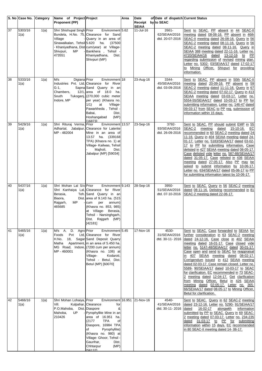|    | S. No Case No. Category |      | Name of Project Project<br><b>Proponent (PP)</b>                                                     |                                                                                                                                                                                                                                                                                                                         | Area | Date<br>Receipt by to SEAC | of Date of dispatch Current Status        |                                                                                                                                                                                                                                                                                                                                                                                                                                                                                                                                                                                                                                                                                                                                 |
|----|-------------------------|------|------------------------------------------------------------------------------------------------------|-------------------------------------------------------------------------------------------------------------------------------------------------------------------------------------------------------------------------------------------------------------------------------------------------------------------------|------|----------------------------|-------------------------------------------|---------------------------------------------------------------------------------------------------------------------------------------------------------------------------------------------------------------------------------------------------------------------------------------------------------------------------------------------------------------------------------------------------------------------------------------------------------------------------------------------------------------------------------------------------------------------------------------------------------------------------------------------------------------------------------------------------------------------------------|
| 37 | 5303/16<br>1(a)         | 1(a) | Shri Shishupal Singh Prior<br>Village<br>Sinawalkalan, Tehsil 5.620 ha.<br>Shivpuri,<br>MP<br>473551 | Environment 5.62<br>Bundela, H.No. 75, Clearance for Sand<br>Quarry in an area of<br>(37500)<br>- Khaniyadhana, Dist-cum/year) at Village-<br>Bankhera, Tehsil -<br>Khaniyadhana,<br>Dist.<br>Shivpuri (MP)                                                                                                             |      | <b>SEIAA</b><br>11-Jul-16  | 2661-<br>62/SEIAA/2016<br>dtd. 20-07-2016 | Sent to SEAC. PP absent in 44 SEAC-II<br>meeting dated 08-08-16. PP absent in 46th<br>SEAC-II meeting dated 26-08-16. Query in 56<br>SEAC-2 meeting dated 08-11-16. Query in 56<br>SEAC-2 meeting dated 08-11-16. Query in<br>SEIAA 388 meeting dated 22-11-16. Letter no.<br>4720/SEIAA/16<br>dated<br>13-12-16 to PP<br>regarding submission of revised mining plan.<br>Letter no. 5302- 03/SEIAA/17 dated 17-02-17<br>to Mining Officer, Shivpuri for providing<br>information.                                                                                                                                                                                                                                              |
| 38 | 5333/16<br>1(a)         | 1(a) | Digiana Prior<br>M/s<br>G-1,<br>Chambers,<br>South<br>Indore, MP                                     | Environment 18<br>Industries Pvt. Ltd, Clearance for River<br>Sapna Sand Quarry in an<br>12/1, area of 18.0 ha.<br>Tukoganj, (270,000 cubic meter<br>per year) (Khasra no.<br>1/1)<br>at<br>Village-<br>Pawarkheda, Tehsil .<br>Babai,<br>Dist.<br>(MP)<br>Hoshangabad<br>[16873]                                       |      | 23-Aug-16                  | 3344-<br>45/SEIAA/2016<br>dtd. 03-09-2016 | Sent to SEAC. PP absent in 50th SEAC-II<br>meeting dated 20-09-16. PP absent in 59<br>SEAC-2 meeting dated 11-11-16. Query in 67<br>SEAC-2 meeting dated 07-02-17. Query in 413<br>SEIAA meeting dated 03-03-17. Letter no.<br>5554-55/SEIAA/17 dated 10-03-17 to PP for<br>submitting information. Letter no. 146-47 dated<br>09-03-17 from SEAC to PP reg. submission of<br>information within 15 days.                                                                                                                                                                                                                                                                                                                       |
| 39 | 5429/16<br>1(a)         | 1(a) | Shri Rituraj Verma,<br>MP - 482004                                                                   | Environment 13.57<br>Prior<br>Adhartal, Jabalpur, Clearance for Laterite<br>Mine in an area of<br>13.57 ha. (339168)<br>TPA) (Khasra no. 1) at<br>Village- Kailwas, Tehsil<br>Majholi,<br>Dist.<br>Jabalpur (MP) [59034]                                                                                                |      | 23-Sep-16                  | 3792-<br>93/SEIAA/2016<br>dtd. 26-09-2016 | Sent to SEAC. PP should submit EMP in 55<br>SEAC-2 meeting<br>dated<br>15-10-16.<br>EC<br>recommended in 60 SEAC-2 meeting dated 24<br>11-16. Query in 404 SEIAA meeting dated 24-<br>01-17. Letter no. 5183/SEIAA/17 dated 03-02-<br>17 to PP for submitting information. Case<br>delisted in 427 SEIAA meeting dated 08-05-17.<br>Case delisted vide letter no. 587-88/SEIAA/17<br>dated 31-05-17. Case relisted in 436 SEIAA<br>meeting dated 27-05-17. Also PP may be<br>asked to submit information by 10-06-17.<br>Letter no. 634/SEIAA/17 dated 05-06-17 to PP<br>for submitting information latest by 10-06-17.                                                                                                         |
| 40 | 5437/16<br>1(a)         | 1(a) | Shri Mohan Lal S/o Prior<br>Berasia,<br>Biaora,<br>MP<br>Rajgarh,<br>465685                          | Environment 9.143<br>Shri Kanhaiya Lal, Clearance for River<br>Teh. Sand Quarry in an<br>Dist. area of 9.143 ha. (515<br>cum<br>per<br>annum)<br>(Khasra no. 853, 985)<br>at Village- Berasia,<br>Tehsil - Narsinghgarh,<br>Dist. Rajgarh (MP)<br>[42181]                                                               |      | 28-Sep-16                  | 3950-<br>51/SEIAA/2016<br>dtd. 07-10-2016 | Sent to SEAC. Query in 56 SEAC-2 meeting<br>dated 08-11-16. Delisting recommended in 81<br>SEAC-2 meeting dated 22-06-17.                                                                                                                                                                                                                                                                                                                                                                                                                                                                                                                                                                                                       |
| 41 | 5465/16<br>1(a)         | 1(a) | M/s A. D. Agro Prior<br>Foods<br>Pvt<br>H.No.<br>18,<br>Matha<br>MP - 460001                         | Environment 5.45<br>Ltd, Clearance for River<br>Sagar Sand Deposit Quarry<br>Apartment, in an area of 5.450 ha.<br>MG Road, Indore, (7200 cum per annum)<br>(Khasra no. 106) at<br>Kodaroti,<br>Village-<br>Tehsil - Betul, Dist.<br>Betul (MP) [60070]                                                                 |      | 17-Nov-16                  | 4530-<br>31/SEIAA/2016<br>dtd. 30-11-2016 | Sent to SEAC. Case forwarded to SEIAA for<br>further consideration in 63 SEAC-2 meeting<br>dated 24-12-16. Case close in 402 SEIAA<br>meeting dated 16-01-17. Case closed vide<br>letter no. 5147-48/SEIAA/17 dated 30-01-17.<br>Case open and send to SEAC for reappraisal<br>in 407 SEIAA meeting dated 08-02-17.<br>Corrigendum issued in 412 SEIAA meeting<br>dated 02-03-17. Case remain closed. Letter no.<br>5589- 90/SEIAA/17 dated 10-03-17 to SEAC<br>for clarification. EC recommended in 73 SEAC-<br>2 meeting dated 12-04-17. Get clarification<br>from Mining Officer, Betul in 426 SEIAA<br>meeting dated 02-05-17. Letter no. 365-<br>66/SEIAA/17 dated 08-05-17 to Mining Officer,<br>Betul for clarification. |
| 42 | 5466/16<br>1(a)         | 1(a) | Shri Mohan Lohaiya, Prior<br>Vill.<br>P.O.Mahoba,<br>Mahoba,<br>UP<br>210426                         | Environment 16.951 21-Nov-16<br>Kulpahar, Clearance<br>for<br>Dist. Diaspore<br>&<br>Pyrophyllite Mine in an<br>area of 16.951 ha.<br>(2177)<br><b>TPA</b><br>οf<br>Diaspore, 16984 TPA<br>of<br>Pyrophyllite)<br>(Khasra no. 980) at<br>Village- Ghoor, Tehsil -<br>Gaurihar,<br>Dist.<br>Chhtarpur<br>(MP)<br>[56137] |      |                            | 4540-<br>41/SEIAA/2016<br>dtd. 30-11-2016 | Sent to SEAC. Query in 62 SEAC-2 meeting<br>dated 23-12-16. Letter no. 5290- 91/SEIAA/17<br>16-02-17<br>alongwith<br>information<br>dated<br>submitted by PP to SEAC. Query in 69 SEAC-<br>2 meeting dated 07-03-17. Letter no. 234-235<br>dated 31-03-17 to PP for submitting<br>information within 15 days. EC recommended<br>in 80 SEAC-II meeting dated 14-06-17.                                                                                                                                                                                                                                                                                                                                                           |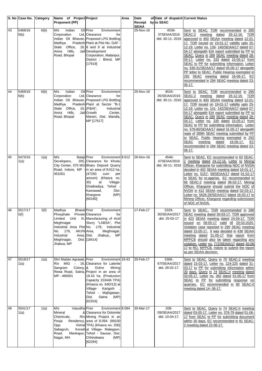|    | S. No Case No. Category |      | Name of Project Project<br><b>Proponent (PP)</b>                                                                                              |                                                                                                                                                                                                                                                                                            | Area | Date<br>Receipt by to SEAC | of Date of dispatch Current Status         |                                                                                                                                                                                                                                                                                                                                                                                                                                                                                                                                                                                                                                                                                    |
|----|-------------------------|------|-----------------------------------------------------------------------------------------------------------------------------------------------|--------------------------------------------------------------------------------------------------------------------------------------------------------------------------------------------------------------------------------------------------------------------------------------------|------|----------------------------|--------------------------------------------|------------------------------------------------------------------------------------------------------------------------------------------------------------------------------------------------------------------------------------------------------------------------------------------------------------------------------------------------------------------------------------------------------------------------------------------------------------------------------------------------------------------------------------------------------------------------------------------------------------------------------------------------------------------------------------|
| 43 | 5468/16<br>6(b)         | 6(b) | M/s<br>Indian<br>Corporation<br>Madhva<br>State Office,<br>Hills,<br>Arera<br>Road, Bhopal                                                    | Oil Prior<br>Environment<br>Ltd, Clearance<br>for<br>Indian Oil Bhavan, Proposed LPG Bottling<br>Pradesh Plant at Plot No. GAF -<br>16, 8 and 9 at Industrial<br>Jail Development<br>Corporation, Malanpur,<br>District : Bhind, MP<br>[17619]                                             |      | <b>SEIAA</b><br>25-Nov-16  | 4536-<br>37SEIAA/2016<br>dtd. 30-11-2016   | Sent to SEAC. TOR recommended in 285<br>SEAC-2<br>meeting dated 26-12-16.<br>TOR<br>approved in 400 SEIAA meeting dated 12-01-<br>17. TOR issued on 19-01-17 validity upto 25-<br>12-19. Letter no. 139- 140/SEIAA/17 dated 07-<br>04-17 alongwith EIA report submitted by PP to<br>SEAC. Query in 289 SEAC meeting dated 28-<br>04-17. Letter no. 333 dated 15-05-17 from<br>SEAC to PP for submitting information. Letter<br>no. 630-31/SEIAA/17 dated 05-06-17 alongwith<br>PP letter to SEAC. Public Hearing exempted in<br>292 SEAC meeting dated 16-06-17. EC<br>recommended in 294 SEAC meeting dated 23-<br>06-17.                                                         |
| 44 | 5469/16<br>6(b)         | 6(b) | M/s<br>Indian<br>Corporation<br>Madhya<br>Office,<br>State<br>Hills,<br>Arera<br>Road, Bhopal                                                 | Oil Prior<br>Environment<br>Ltd, Clearance<br>for<br>Indian Oil Bhavan, Proposed LPG Bottling<br>Pradesh Plant at Sector "B-1<br>$16,$ (P&H)",<br>Industrial<br>Jail Growth<br>Center,<br>Maneri, Dist. Mandla,<br>MP [17617]                                                              |      | 25-Nov-16                  | 4534-<br>35/SEIAA/2016<br>dtd. 30-11-2016  | Sent to SEAC. TOR recommended in 285<br>SEAC-2<br>meeting dated 26-12-16.<br><b>TOR</b><br>approved in 400 SEIAA meeting dated 12-01-<br>17. TOR issued on 19-01-17 validity upto 25-<br>12-19. Letter no. 141- 142/SEIAA/17 dated 07-<br>04-17 alongwith EIA report submitted by PP to<br>SEAC. Query in 289 SEAC meeting dated 28-<br>04-17. Letter no. 335 dated 15-05-17 from<br>SEAC to PP for submitting information. Letter<br>no. 579-80/SEIAA/17 dated 31-05-17 alongwith<br>reply of 289th SEAC meeting submitted by PP<br>to SEAC. Public Hearing exempted in 292<br>SEAC<br>meeting<br>dated<br>16-06-17.<br>EC<br>recommended in 294 SEAC meeting dated 23-<br>06-17. |
| 45 | 5473/16<br>1(a)         | 1(a) | M/s<br><b>Balaji</b> Prior<br>Developers,<br>451001                                                                                           | Environment 8.612<br>205, Clearance for Khodu<br>City Center, 570 MG Bharu Deposit Quarry<br>Road, Indore, MP - in an area of 8.612 ha.<br>(47250)<br>cum<br>per<br>annum) (Khasra no.<br>30)<br>at<br>Village-<br>Ghatbadiya, Tehsil<br>Kasrawad,<br>Dist.<br>(MP)<br>Khargone<br>[60180] |      | 26-Nov-16                  | 4546-<br>47SEIAA/2016<br>dtd. 30-11-2016   | Sent to SEAC. EC recommended in 63 SEAC-<br>2 meeting dated 24-12-16. Letter to Mining<br><b>Officer, Khargone for submitting NOC of NVDA</b><br>decided in 402 SEIAA meeting dated 16-01-17.<br>Letter no. 5157- 58/SEIAA/17 dated 01-02-17<br>to SEAC for re-apprise. EC recommended in<br>66 SEAC-2 meeting dated 06-02-17. Mining<br>Officer, Khargone should submit the NOC of<br>NVDA in 412 SEIAA meeting dated 02-03-17.<br>Letter no. 5628-29/SEIAA/17 dated 16-03-17 to<br>Mining Officer, Khargone regarding submission<br>of NOC of NVDA.                                                                                                                              |
| 46 | 5517/17<br>5(t)         | 5(f) | Madhya<br><b>Bharat</b> Prior<br>Phosphate Private Clearance<br>Meghnagar<br>AKVN Area,<br>No. 176,<br>Industrial<br>Meghnagar,<br>Jhabua, MP | Environment<br>tor<br>Limited Unit III, Manufacturing of Acid<br>Slurry "LABSA", Plot<br>Industrial Area Plot No. 176, Industrial<br>Meghnagar,<br>Jhabua,,<br>Area, Dist.<br>MP<br>Dist. [18414]                                                                                          |      | 17-Feb-17                  | 5329-<br>30/SEIAA/2017<br>dtd. 25-02-17    | Sent to SEAC TOR recommended in 288<br><b>SEAC</b> meeting dated 30-03-17. TOR approved<br>in 423 SEIAA meeting dated 24-04-17. TOR<br>issued on 08-05-17 valid till 29-03-2020.<br>Violation case reported in 290 SEAC meeting<br>dated 22-05-17. It was decided in 438 SEIAA<br>meeting dated 31-05-17 that report from<br>MPPCB should also be taken regarding any<br>violation. Letter no. 772/SEIAA/17 dated 20-06-<br>17 to RO, MPPCB, Indore to submit the report<br>as per SEIAA decision.                                                                                                                                                                                 |
| 47 | 5518/17<br>1(a)         | 1(a) | Shri Madan Agrawal, Prior<br>R/o MIG<br>Sangram<br>Colony, &<br>MP - 485001                                                                   | Environment 19.43<br>- 16, Clearance for Laterite<br>Ochre<br>Mining<br>Rewa Road, Satna, Project in an area of<br>19.43 ha. (Production<br>Capacity 153446 TPA)<br>(Khasra no. 64D/13) at<br>Village- Karigohi<br>Tehsil - Majhgawan,<br>Satna<br>Dist.<br>(MP)<br>[61916]                |      | 20-Feb-17                  | 5366-<br>67/SEIAA/2017<br>dtd. 28-02-17.   | Sent to SEAC. Query in 70 SEAC-2 meeting<br>dated 15-03-17. Letter no. 224-225 dated 31-<br>03-17 to PP for submitting information within<br>30 days. Query in 74 SEAC-II meeting dated<br>03-05-17. Letter no. 382 dated 01-06-17 from<br>SEAC to PP for submitting response on<br>quarries. EC recommended in 80 SEAC-II<br>meeting dated 14- 06-17.                                                                                                                                                                                                                                                                                                                             |
| 48 | 5541/17<br>1(a)         | 1(a) | M/s<br>Vasudha Prior<br>Mineral<br>Chemicals,<br>Pooja<br>Opp.<br>Sabagruh,<br>Road,<br>Nagar, MH                                             | Environment 8.094<br>& Clearance for Dolomite<br>R/o Mining Project in an<br>Residency, area of 8.094. (89100<br>Vishal TPA) (Khasra no. 200)<br>Koradi at Village- Malegaon,<br>Mankapur, Tehsil - Sausar, Dist.<br>Chhindwara<br>(MP)<br>[62264]                                         |      | 30-Mar-17                  | $208 -$<br>09/SEIAA/2017<br>dtd. 10-04-17. | Sent to SEAC. Query in 74 SEAC-II meeting<br>dated 03-05-17. Letter no. 378-79 dated 01-06-<br>17 from SEAC to PP for submitting document<br>within 30 days. EC recommended in 81 SEAC-<br>2 meeting dated 22-06-17.                                                                                                                                                                                                                                                                                                                                                                                                                                                               |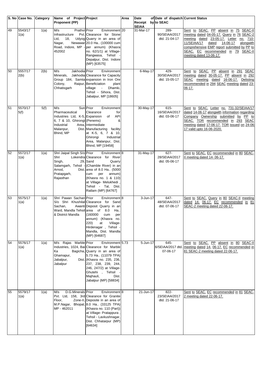|    | S. No Case No.  | Category | Name of Project Project                                                                                                            |                                                                                                                                                                                                                                                                                   | Area | Date                               | of Date of dispatch Current Status        |                                                                                                                                                                                                                                                                                                 |
|----|-----------------|----------|------------------------------------------------------------------------------------------------------------------------------------|-----------------------------------------------------------------------------------------------------------------------------------------------------------------------------------------------------------------------------------------------------------------------------------|------|------------------------------------|-------------------------------------------|-------------------------------------------------------------------------------------------------------------------------------------------------------------------------------------------------------------------------------------------------------------------------------------------------|
|    |                 |          | <b>Proponent (PP)</b>                                                                                                              |                                                                                                                                                                                                                                                                                   |      | Receipt by to SEAC<br><b>SEIAA</b> |                                           |                                                                                                                                                                                                                                                                                                 |
| 49 | 5543/17<br>1(a) | 1(a)     | M/s<br><b>Prathvil Prior</b><br>Infrastructure<br>Ltd,<br>18.<br>Nagar,<br>452002                                                  | Environment <sub>20</sub><br>Pvt. Clearance for Stone<br>Udyog Quarry in an area of<br>Newawar 20.0 Ha (100000 cum<br>Road, Indore, MP - per annum) (Khasra<br>no. 62/1/1) at Village-<br>Rangwasa, Tehsil -<br>Depalpur, Dist. Indore<br>(MP) [63575]                            |      | 31-Mar-17                          | 289-<br>90/SEIAA/2017<br>dtd. 21-04-17    | Sent to SEAC. PP absent in 75 SEAC-II<br>meeting dated 04-05-17. Query in 76 SEAC-2<br>meeting dated 23-05-17. Letter no. 710-<br>11/SEIAA/17<br>14-06-17<br>alongwith<br>dated<br>comprehensive EMP report submitted by PP to<br>SEAC. EC recommended in 79 SEAC-II<br>meeting dated 13-06-17. |
| 50 | 5557/17<br>2(b) | 2(b)     | M/s<br>Jakhodia Prior<br>Minerals.<br>Colony,<br>Chhatisgarh                                                                       | Environment<br>Jakhodia Clearance for Capacity<br>Group 184, Samta expansion in Iron Ore<br>Raipur, Beneficiation<br>plant<br>village<br>Dhamki,<br>$\sigma_{\rm{max}}$<br>Tehsil - Sihora, Dist.<br>Jabalpur, MP [18605]                                                         |      | $6$ -May-17                        | 429-<br>30/SEIAA/2017<br>dtd. 15-05-17    | Sent to SEAC. PP absent in 291 SEAC<br>meeting dated 30-05-17. PP absent in 292<br>SEAC meeting dated 16-06-17. Delisting<br>recommended in 294 SEAC meeting dated 23-<br>06-17.                                                                                                                |
| 51 | 5570/17<br>5(f) | 5(f)     | M/s<br>Pharmaceutical<br>Industries Ltd, K-5, Expansion of<br>6, 7 & 10, Ghirongi (Penems)<br>Industrial<br>Malanpur,<br>Bhind, MP | Sun Prior<br>Environment<br>Clearance<br>for<br><b>API</b><br>&<br>Area, Intermediate<br>Dist. Manufacturing facility<br>at K-5, 6, 7 & 10,<br>Industrial<br>Ghirongi<br>Area, Malanpur, Dist.<br>Bhind, MP [19458]                                                               |      | 30-May-17                          | $615 -$<br>16/SEIAA/2017<br>dtd. 03-06-17 | Sent to SEAC. Letter no. 731-32/SEIAA/17<br>dated 14-06-17 alongwith information regarding<br>Company Ownership submitted by PP to<br>SEAC. TOR recommended in 293 SEAC<br>meeting dated 17-06-17. TOR issued on 24-06-<br>17 valid upto 16-06-2020.                                            |
| 52 | 5572/17<br>1(a) | 1(a)     | Shri Jaipal Singh S/o Prior<br>Shri<br>Singh,<br>Arnod,<br>Pratapgarh,<br>Rajasthan                                                | Environment <sup>8</sup><br>Lokendra Clearance for River<br>29. Sand<br>Quarry<br>Salamgarh, Tehsil - (Chamble River) in an<br>Dist. area of 8.0 Ha (5000<br>per<br>annum)<br>cum<br>(Khasra no. 1 & 110)<br>at Village- Melukhedi,<br>Tehsil - Tal, Dist.<br>Ratlam (MP) [64767] |      | 31-May-17                          | $627 -$<br>28/SEIAA/2017<br>dtd. 05-06-17 | Sent to SEAC. EC recommended in 80 SEAC-<br>II meeting dated 14-06-17.                                                                                                                                                                                                                          |
| 53 | 5575/17<br>1(a) | 1(a)     | Shri Pawan Sachan Prior<br>Sachan,<br>& District Mandla                                                                            | Environment <sup>8</sup><br>S/o Shri Khushilal Clearance for Sand<br>Awanti Deposit Quarry in an<br>Ward, Mandla Tehsil area of 8.0 Ha<br>(160000)<br>cum<br>per<br>annum) (Khasra no.<br>220)<br>at<br>Village-<br>Hirdenagar, Tehsil<br>Mandla, Dist. Mandla<br>(MP) [64687]    |      | 3-Jun-17                           | $647 -$<br>48/SEIAA/2017<br>dtd. 07-06-17 | Sent to SEAC. Query in 80 SEAC-II meeting<br>dated 14- 06-17. EC recommended in 81<br>SEAC-2 meeting dated 22-06-17.                                                                                                                                                                            |
| 54 | 5576/17<br>1(a) | 1(a)     | M/s Rajas Marble Prior<br>Ka<br>Ghamapur,<br>Jabalpur,<br>Jabalpur                                                                 | Environment 5.73<br>Industries, 1024, Bai Clearance for Marble<br>Bagicha, Quarry in an area of<br>5.73 Ha (11079 TPA)<br>Dist. (Khasra no. 235, 236,<br>237, 238, 239, 244,<br>246, 247/2) at Village-<br>Ghutehi , Tehsil<br>Majhauli,<br>Dist.<br>Jabalpur (MP) [58834]        |      | 5-Jun-17                           | 645-<br>6/SEIAA/2017 dtd.<br>07-06-17     | Sent to SEAC. PP absent in 80 SEAC-II<br>meeting dated 14- 06-17. EC recommended in<br>81 SEAC-2 meeting dated 22-06-17.                                                                                                                                                                        |
| 55 | 5579/17<br>1(a) | 1(a)     | D.G.Minerals Prior<br>M/s<br>Floor,<br>MP - 462011                                                                                 | Environment <sup>8</sup><br>Pvt. Ltd, 158, 3rd Clearance for Granite<br>Zone-II, Deposite in an area of<br>M.P.Nagar, Bhopal, 8.0 Ha (33125 TPA)<br>(Khasra no. 110 (Part))<br>at Village- Pratappura,<br>Tehsil - Lavkushnagar,<br>Dist. Chhatarpur (MP)<br>[64634]              |      | 21-Jun-17                          | 822-<br>23/SEIAA/2017<br>dtd. 21-06-17    | Sent to SEAC. EC recommended in 81 SEAC-<br>2 meeting dated 22-06-17.                                                                                                                                                                                                                           |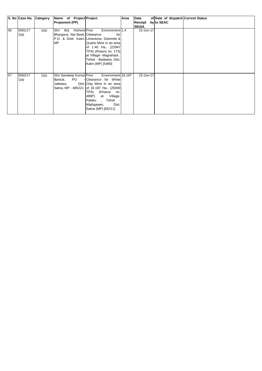|    | S. No Case No. Category |      |                       | Name of Project Project  |                                            | Area | Date         |            | of Date of dispatch Current Status |
|----|-------------------------|------|-----------------------|--------------------------|--------------------------------------------|------|--------------|------------|------------------------------------|
|    |                         |      | <b>Proponent (PP)</b> |                          |                                            |      | Receipt      | by to SEAC |                                    |
|    |                         |      |                       |                          |                                            |      | <b>SEIAA</b> |            |                                    |
| 56 | 5581/17                 | 1(a) |                       | Shri Brij Kishore Prior  | Environment 1.4                            |      | 22-Jun-17    |            |                                    |
|    | 1(a)                    |      |                       |                          | Bhargava, Nai Basti, Clearance<br>for      |      |              |            |                                    |
|    |                         |      |                       |                          | P.O. & Distt. Katni, Limestone, Dolomite & |      |              |            |                                    |
|    |                         |      | <b>MP</b>             |                          | Quartz Mine in an area                     |      |              |            |                                    |
|    |                         |      |                       |                          | of 1.40 Ha (22947)                         |      |              |            |                                    |
|    |                         |      |                       |                          | TPA) (Khasra no. 173)                      |      |              |            |                                    |
|    |                         |      |                       |                          | at Village- Magrahata,                     |      |              |            |                                    |
|    |                         |      |                       |                          | Tehsil - Badwara, Dist.                    |      |              |            |                                    |
|    |                         |      |                       |                          | Katni (MP) [5480]                          |      |              |            |                                    |
|    |                         |      |                       |                          |                                            |      |              |            |                                    |
|    |                         |      |                       |                          |                                            |      |              |            |                                    |
| 57 | 5582/17                 | 1(a) |                       | Shri Sandeep Kumar Prior | Environment 16.187                         |      | 22-Jun-17    |            |                                    |
|    | 1(a)                    |      | Bansal,               | PO D                     | - Clearance for White                      |      |              |            |                                    |
|    |                         |      | Jaitwara,             |                          | Dist. Clay Mine in an area                 |      |              |            |                                    |
|    |                         |      |                       |                          | Satna, MP - 485221 of 16.187 Ha (25000     |      |              |            |                                    |
|    |                         |      |                       |                          | (Khasra no.<br>TPA)                        |      |              |            |                                    |
|    |                         |      |                       |                          | 489P)<br>at Village-                       |      |              |            |                                    |
|    |                         |      |                       |                          | Paldev , Tehsil                            |      |              |            |                                    |
|    |                         |      |                       |                          | Dist.<br>Majhgawan,                        |      |              |            |                                    |
|    |                         |      |                       |                          | Satna (MP) [65211]                         |      |              |            |                                    |
|    |                         |      |                       |                          |                                            |      |              |            |                                    |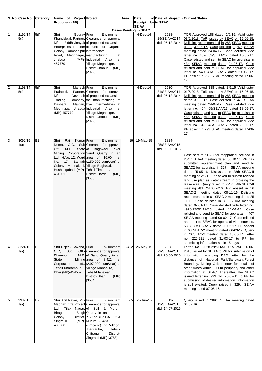|                | S. No Case No. Category |           | Name of Project Project                                                                                                                         |                                                                                                                                                                                                                                                                                                | Area  | Date                               | of Date of dispatch Current Status           |                                                                                                                                                                                                                                                                                                                                                                                                                                                                                                                                                                                                                                                                                                                                                                                                                                                                                                                                                                                                                                                   |
|----------------|-------------------------|-----------|-------------------------------------------------------------------------------------------------------------------------------------------------|------------------------------------------------------------------------------------------------------------------------------------------------------------------------------------------------------------------------------------------------------------------------------------------------|-------|------------------------------------|----------------------------------------------|---------------------------------------------------------------------------------------------------------------------------------------------------------------------------------------------------------------------------------------------------------------------------------------------------------------------------------------------------------------------------------------------------------------------------------------------------------------------------------------------------------------------------------------------------------------------------------------------------------------------------------------------------------------------------------------------------------------------------------------------------------------------------------------------------------------------------------------------------------------------------------------------------------------------------------------------------------------------------------------------------------------------------------------------------|
|                |                         |           | Proponent (PP)                                                                                                                                  |                                                                                                                                                                                                                                                                                                |       | Receipt by to SEAC<br><b>SEIAA</b> |                                              |                                                                                                                                                                                                                                                                                                                                                                                                                                                                                                                                                                                                                                                                                                                                                                                                                                                                                                                                                                                                                                                   |
|                |                         |           |                                                                                                                                                 |                                                                                                                                                                                                                                                                                                |       | <b>Cases Pending in SEAC</b>       |                                              |                                                                                                                                                                                                                                                                                                                                                                                                                                                                                                                                                                                                                                                                                                                                                                                                                                                                                                                                                                                                                                                   |
| $\mathbf{1}$   | 2192/14<br>5(f)         | 5(f)      | Shri<br>Gourav Prior<br>Colony, Rambhalpur intermediate<br>Road, Meghnagar, manufacturing<br>Jhabua<br>457779                                   | Environment<br>Khandelwal, Partner, Clearance for approval<br>M/s Siddhivinayak of proposed expansion<br>Enterprises, Teacher of unit for Organic<br>at<br>(MP)- Industrial<br>Area<br>at<br>Village-Meghnagar,<br>District-Jhabua (MP)<br>[2022]                                              |       | 4-Dec-14                           | 2528-<br>29/SEIAA/2014<br>dtd. 05-12-2014    | TOR Approved 188 dated: 2/5/15, Valid upto-<br>03/5/2018. ToR issued by SEAC on 15-06-15.<br>Delisting recommendedl in 288 SEAC meeting<br>dated 30-03-17. Case delisted in 423 SEIAA<br>meeting dated 24-04-17. Case delisted vide<br>letter no. 462- 63/SEIAA/17 dated 18-05-17.<br>Case relisted and sent to SEAC for appraisal in<br>434 SEIAA meeting dated 24-05-17. Case<br>relisted and sent to SEAC for appraisal vide<br>letter no. 540- 41/SEIAA/17 dated 29-05- 17.<br>PP absent in 293 SEAC meeting dated 17-06-<br>17.                                                                                                                                                                                                                                                                                                                                                                                                                                                                                                              |
| 2              | 2193/14<br>5(f)         | 5(f)      | Shri<br>Mahesh Prior<br>Prajapati,<br>M/s<br>Trading<br>Dashara<br>Meghnagar, Jhabua Industrial<br>(MP)-457779                                  | Environment<br>Partner, Clearance for approval<br>Devansh of proposed expansion<br>Company, for manufacturing of<br>Maidan, Dye Intermediates at<br>Area<br>at<br>Village-Meghnagar,<br>District-Jhabua (MP)<br>[2022]                                                                         |       | 4-Dec-14                           | 2530-<br>31/SEIAA/2014<br>dtd. 05-12-2014    | TOR Approved 188 dated: 2.5.15 Valid upto-<br>01/5/2018. ToR issued by SEAC on 15-06-15.<br>Delisting recommendedl in 288 SEAC meeting<br>dated 30-03-17. Case delisted in 423 SEIAA<br>meeting dated 24-04-17. Case delisted vide<br>letter no. 464- 65/SEIAA/17 dated 18-05-17.<br>Case relisted and sent to SEAC for appraisal in<br>434 SEIAA meeting dated 24-05-17. Case<br>relisted and sent to SEAC for appraisal vide<br>letter no. 542- 43/SEIAA/17 dated 29-05-17.<br>PP absent in 293 SEAC meeting dated 17-06-<br>17.                                                                                                                                                                                                                                                                                                                                                                                                                                                                                                                |
| 3              | 3092/15<br>1(a)         | <b>B2</b> | Kumar Prior<br>Raj<br>Shri<br>Off., M.P. State of Baghwad<br>Colony, Meenakshi, Village-Baghwad,<br>Hoshangabad (MP)-Tehsil-Timarani,<br>461001 | Environment<br>Nema, OIC, Sub Clearance for approval<br>River<br>Mining Corporation Sand Quarry in an<br>Ltd., H.No. 12, Ward area of 16.00 ha.<br>No. 17, Sainath (1,50,000 cum/year) at<br>District-Harda<br>(MP)<br>[3536]                                                                  | 16    | 19-May-15                          | 1824-<br>25/SEIAA/2015<br>dtd. 09-06-2015    | Case sent to SEAC for reappraisal decided in<br>254th SEIAA meeting dated 30.10.15. PP has<br>submitted replenishment plan and send to<br>SEAC2 for appraisal in 327th SEIAA meeting<br>dated 05-05-16. Discussed in 28th SEAC-II<br>meeting at 2/6/16, PP asked to submit revised<br>land use plan as water stream in crossing the<br>lease area. Query raised to PP in 34th SEAC-II<br>meeting dtd. 24.06.2016. PP absent in 56<br>SEAC-2 meeting dated 08-11-16. Delisting<br>recommended in 61 SEAC-2 meeting dated 25<br>11-16. Case delisted in 398 SEIAA meeting<br>dated 02-01-17. Case delisted vide letter no.<br>4976-77/SEIAA/16 dated 11-01-17. Case<br>relisted and send to SEAC for appraisal in 407<br>SEIAA meeting dated 08-02-17. Case relisted<br>and sent to SEAC for appraisal vide letter no.<br>5337-38/SEIAA/17 dated 25-02-17. PP absent<br>in 68 SEAC-2 meeting dated 06-03-17. Query<br>in 70 SEAC-2 meeting dated 15-03-17. Letter<br>no. 220-221 dated 31-03-17 to PP for<br>submitting information within 15 days. |
| $\overline{4}$ | 3224/15<br>1(a)         | <b>B2</b> | Shri Rajeev Saxena, Prior<br>OIC,<br>Sub<br>Dhamnod,<br>State<br>Corporation<br>Tehsil-Dharampuri,<br>Dhar (MP)-454552                          | Environment<br>Off.- Clearance for approval<br>M.P. of Sand Quarry in an<br>Mining area of 8.422 ha.<br>Ltd., $(2,97,000 \text{ cum/year})$ at<br>Village-Mahapura,<br>Tehsil-Manawar,<br>(MP)<br>District-Dhar<br>[3584]                                                                      | 8.422 | 26-May-15                          | 2528-<br>29/SEIAA/2015<br>dtd. 26-06-2015    | Letter No. 2528-29/SEIAA/2015 dtd. 26-06-<br>2015 issued by SEIAA to PP for submission of<br>information regarding DFO letter for the<br>distance of National Park/Sanctuary/Forest<br>Boundary, Mining Officer letter for details of<br>other mines within 1000m periphery and other<br>information at SEAC. Thereafter, the SEAC<br>issued letter no. 993 dtd. 25-07-15 to PP for<br>submission of desired information. Information<br>is still awaited. Query raised in 329th SEIAA<br>meeting dated 07-05-16.                                                                                                                                                                                                                                                                                                                                                                                                                                                                                                                                 |
| 5              | 3337/15<br>1(a)         | <b>B2</b> | Shri Anil Nayar, M/s Prior<br><b>Bhagat</b><br>Colony,<br>Singrauli<br>486886                                                                   | Environment<br>Madhav Infra Project Clearance for approval<br>Ltd., Tilak Nagar, of Soil & Murum<br>Singh Quarry in an area of<br>District- 2.50 ha. (Soil-37,622 &<br>(MP)-Murum-56,433<br>cum/year) at Village-<br>Jhagrauha,<br>Tehsil-<br>Chitrangi,<br>District-<br>Singrauli (MP) [3788] | 2.5   | 23-Jun-15                          | $3512 -$<br>13/SEIAA/2015<br>dtd. 14-07-2015 | Query raised in 289th SEIAA meeting dated<br>04.02.16.                                                                                                                                                                                                                                                                                                                                                                                                                                                                                                                                                                                                                                                                                                                                                                                                                                                                                                                                                                                            |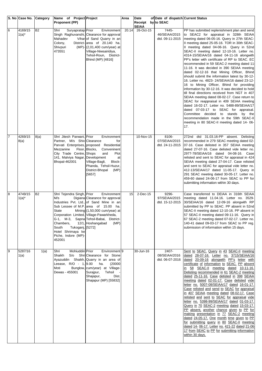|   |                       | S. No Case No. Category | Name of Project Project<br><b>Proponent (PP)</b>                                                                                                                                       |                                                                                                                                                                                                                                                      | Area  | <b>Date</b><br>Receipt    | of Date of dispatch Current Status<br>by to SEAC |                                                                                                                                                                                                                                                                                                                                                                                                                                                                                                                                                                                                                                                                                                                                                                                                                                                                                                                                                                                                                                                                                                        |
|---|-----------------------|-------------------------|----------------------------------------------------------------------------------------------------------------------------------------------------------------------------------------|------------------------------------------------------------------------------------------------------------------------------------------------------------------------------------------------------------------------------------------------------|-------|---------------------------|--------------------------------------------------|--------------------------------------------------------------------------------------------------------------------------------------------------------------------------------------------------------------------------------------------------------------------------------------------------------------------------------------------------------------------------------------------------------------------------------------------------------------------------------------------------------------------------------------------------------------------------------------------------------------------------------------------------------------------------------------------------------------------------------------------------------------------------------------------------------------------------------------------------------------------------------------------------------------------------------------------------------------------------------------------------------------------------------------------------------------------------------------------------------|
| 6 | 4169/15<br>$1(a)^*$   | <b>B2</b>               | Suryapratap Prior<br>Shri<br>Mahadev<br>Colony,<br>Shivpuri<br>473551                                                                                                                  | Environment<br>Singh Raghuvanshi, Clearance for approval<br>Vihar of Sand Quarry in an<br>District-area of 20.140 ha.<br>(MP)-(2,01,400 cum/year) at<br>Village-Niwsairidiya,<br>Tehsil-Roun, District-<br>Bhind (MP) [4816]                         | 20.14 | <b>SEIAA</b><br>26-Oct-15 | 7445-<br>46/SEIAA/2015<br>dtd. 09-11-2015        | PP has submitted replenishment plan and send<br>to SEAC2 for appraisal in 328th SEIAA<br>meeting dated 06-05-16. Query in 27th SEAC-<br>II meeting dated 25-05-16. TOR in 30th SEAC-<br>II meeting dated 04-06-16. Query in 52nd<br>SEAC-II meeting dated 12-10-16. Letter no.<br>4314-15/SEIAA/16 dated 04-11-16 alongwith<br>PP's letter with certificate of RP to SEAC. EC<br>recommended in 59 SEAC-2 meeting dated 11<br>11-16. It was decided in 390 SEIAA meeting<br>dated 02-12-16 that Mining Officer, Bhind<br>should submit the information latest by 30-12-<br>16. Letter no. 4823- 24/SEIAA/16 dated 23-12-<br>16 to Mining Officer, Bhind for providing<br>information by 30-12-16. It was decided to hold<br>till final directions received from NGT in 407<br>SEIAA meeting dated 08-02-17. Case return to<br>SEAC for reappraisal in 409 SEIAA meeting<br>dated 16-02-17. Letter no. 5488-89/SEIAA/17<br>dated 07-03-17 to SEAC for appraisal.<br>Committee decided to stands by the<br>recommendation made in the 59th SEAC-II<br>meeting in 80 SEAC-II meeting dated 14- 06-<br>17. |
|   | 4269/15<br>8(a)       | 8(a)                    | Shri Jitesh Parwani, Prior<br>Partner, M/s Shiv Clearance<br>Mezzanine<br>City Trade Centre, Shops<br>141, Malviya Nagar, Development<br>Bhopal-462001                                 | Environment<br>for<br>Parvati Enterprises, proposed Residential<br>Floor, Blocks,<br>Conveninent<br>Plot<br>and<br>at<br>Village-Bagli,<br>Block-<br>Phanda, Tehsil-Huzur,<br>District-Bhopal<br>(MP)<br>[5657]                                      |       | 10-Nov-15                 | 8106-<br>07/SEIAA/2015<br>dtd. 24-11-2015        | 272nd dtd 31.03.16-PP absent. Delisting<br>recommended in 279 SEAC meeting dated 02-<br>07-16. Case delisted in 357 SEIAA meeting<br>dated 27-07-16. Case delisted vide letter no.<br>2977-78/SEIAA/16 dated 04-08-16. Case<br>relisted and sent to SEAC for appraisal in 424<br>SEIAA meeting dated 27-04-17. Case relisted<br>and sent to SEAC for appraisal vide letter no.<br>412-13/SEIAA/17 dated 11-05-17. Query in<br>291 SEAC meeting dated 30-05-17. Letter no.<br>459-60 dated 24-06-17 from SEAC to PP for<br>submitting information within 30 days.                                                                                                                                                                                                                                                                                                                                                                                                                                                                                                                                       |
| 8 | 4749/15<br>$1(a)^{*}$ | <b>B2</b>               | Shri Tejendra Singh, Prior<br>M/s<br>State<br>Corporation Limited, Village-Pawarkheda,<br>Chambers,<br>Tukoganj, [5272]<br>South<br>Hotel Shrimaya ke<br>Piche, Indore (MP)-<br>452001 | Environment<br>Digiana Clearance for approval<br>Industries Pvt. Ltd., of Sand Mine in an<br>Sub Lessee of M.P. area of 15.00 ha.<br>Mining $(1,50,000 \text{ cum/year})$ at<br>G-1, M-3, Sapna Tehsil-Babai, District-<br>12/1, Hoshangabad<br>(MP) | 15    | 2-Dec-15                  | 9296-<br>97/SEIAA/2015<br>dtd. 15-12-2015        | Case transferred to DEIAA in 316th SEIAA<br>meeting dated 11.04.16. Letter no. 3529-<br>30/SEIAA/16 dated 12-09-16 alongwith RP<br>submitted by PP to SEAC. PP absent in 52nd<br>SEAC-II meeting dated 12-10-16. PP absent in<br>57 SEAC-II meeting dated 09-11-16. Query in<br>67 SEAC-2 meeting dated 07-02-17. Letter no.<br>140-41 dated 09-03-17 from SEAC to PP reg.<br>submission of information within 15 days.                                                                                                                                                                                                                                                                                                                                                                                                                                                                                                                                                                                                                                                                                |
| 9 | 5287/16<br>1(a)       | 1(a)                    | Mohiuddin Prior<br>Shri<br>Shaikh<br>Leease, $R/O - 1, 9.00$<br>Moti<br>Dewas - 455001                                                                                                 | Environment <sup>19</sup><br>S/o Shri Clearance for Stone<br>Ayazuddin Shaikh, Quarry in an area of<br>(20000)<br>ha.<br>Bunglow, cum/year) at Village-<br>Surajpur,<br>Tehsil<br>Dist.<br>Shajapur,<br>Shajapur (MP) [55832]                        |       | 30-Jun-16                 | 2407-<br>08/SEIAA/2016<br>dtd. 06-07-2016        | Sent to SEAC. Query in 43 SEAC-II meeting<br>dated 28-07-16. Letter no. 3715/SEIAA/16<br>dated 20-09-16 alongwith PP's letter with<br>certificate of information to SEAC. PP absent<br>in 58 SEAC-II meeting dated 10-11-16.<br>Delisting recommended in 61 SEAC-2 meeting<br>dated 25-11-16. Case delisted in 398 SEIAA<br>meeting dated 02-01-17. Case delisted vide<br>letter no. 5007-08/SEIAA/17 dated 16-01-17.<br>Case relisted and send to SEAC for appraisal<br>in 407 SEIAA meeting dated 08-02-17. Case<br>relisted and sent to SEAC for appraisal vide<br>letter no. 5398-99/SEIAA/17 dated 01-03-17.<br>Query in 70 SEAC-2 meeting dated 15-03-17.<br>PP absent, another chance given to PP for<br>making presentation in 77 SEAC-2 meeting<br>dated 24-05-17. One month time given to PP<br>for submitting query in 80 SEAC-II meeting<br>dated 14- 06-17. Letter no. 421-22 dated 21-06-<br>17 from SEAC to PP for submitting information<br>within 30 days.                                                                                                                            |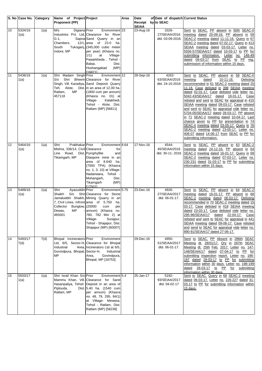|    | S. No Case No. Category |      | Name of Project Project                                                                                                              |                                                                                                                                                                                                                                                                                              | Area | Date                               | of Date of dispatch Current Status        |                                                                                                                                                                                                                                                                                                                                                                                                                                                                                                                                                                                                                                                                                                                                        |
|----|-------------------------|------|--------------------------------------------------------------------------------------------------------------------------------------|----------------------------------------------------------------------------------------------------------------------------------------------------------------------------------------------------------------------------------------------------------------------------------------------|------|------------------------------------|-------------------------------------------|----------------------------------------------------------------------------------------------------------------------------------------------------------------------------------------------------------------------------------------------------------------------------------------------------------------------------------------------------------------------------------------------------------------------------------------------------------------------------------------------------------------------------------------------------------------------------------------------------------------------------------------------------------------------------------------------------------------------------------------|
|    |                         |      | Proponent (PP)                                                                                                                       |                                                                                                                                                                                                                                                                                              |      | Receipt by to SEAC<br><b>SEIAA</b> |                                           |                                                                                                                                                                                                                                                                                                                                                                                                                                                                                                                                                                                                                                                                                                                                        |
| 10 | 5334/16<br>1(a)         | 1(a) | M/s<br>Digiana Prior<br>$G-1$ ,<br>Chambers,<br>South<br>Indore, MP                                                                  | Environment <sup>23</sup><br>Industries Pvt. Ltd, Clearance for River<br>Sapna Sand Quarry in an<br>12/1, area of 23.0 ha.<br>Tukoganj, (345,000 cubic meter<br>per year) (Khasra no.<br>at<br>1/1)<br>Village-<br>Pawarkheda, Tehsil -<br>Babai,<br>Dist.<br>(MP)<br>Hoshangabad<br>[16871] |      | 23-Aug-16                          | 3326-<br>27/SEIAA/2016<br>dtd. 03-09-2016 | Sent to SEAC. PP absent in 50th SEAC-II<br>meeting dated 20-09-16. PP absent in 59<br>SEAC-2 meeting dated 11-11-16. Query in 67<br>SEAC-2 meeting dated 07-02-17. Query in 413<br>SEIAA meeting dated 03-03-17. Letter no.<br>5556-57/SEIAA/17 dated 10-03-17 to PP for<br>submitting information. Letter no. 148-49<br>dated 09-03-17 from SEAC to PP reg.<br>submission of information within 15 days.                                                                                                                                                                                                                                                                                                                              |
| 11 | 5436/16<br>1(a)         | 1(a) | Shri Madam Singh Prior<br>Shri<br>S/O<br>Teh. Alote,<br>Ratlam,<br><b>MP</b><br>457118                                               | Environment 12<br>Bheem Clearance for River<br>Singh, Vill. Karadiya, Sand Deposit Quarry<br>Dist. in an area of 12.00 ha.<br>(1800 cum per annum)<br>(Khasra no. 01) at<br>Kalakhedi,<br>Village-<br>Tehsil - Alote, Dist.<br>Ratlam (MP) [56811]                                           |      | 28-Sep-16                          | 4262-<br>63/SEIAA/2016<br>dtd. 24-10-2016 | Sent to SEAC. PP absent in 58 SEAC-II<br>meeting<br>dated<br>10-11-16.<br>Delisting<br>recommended in 61 SEAC-2 meeting dated 25<br>11-16. Case delisted in 398 SEIAA meeting<br>dated 02-01-17. Case delisted vide letter no.<br>5042-43/SEIAA/17 dated 18-01-17. Case<br>relisted and sent to SEAC for appraisal in 415<br>SEIAA meeting dated 09-03-17. Case relisted<br>and sent to SEAC for appraisal vide letter no.<br>5704-05/SEIAA/17 dated 28-03-17. PP absent<br>in 71 SEAC-2 meeting dated 10-04-17. Last<br>chance given to PP for presentation in 74<br>SEAC-II meeting dated 03-05-17. Query in 76<br>SEAC-2 meeting dated 23-05-17. Letter no.<br>406-07 dated 14-06-17 from SEAC to PP for<br>submitting information. |
| 12 | 5464/16<br>1(a)         | 1(a) | Prabhakar Prior<br>Shri<br>Mishra, 336/14, Clvil Clearance<br>Line Road,<br>Tikamgarh, MP                                            | Environment 8.64<br>for<br>Dist. Pyrophyllite<br>and<br>Diaspore mine in an<br>area of 8.640 ha.<br>(7000 TPA) (Khasra<br>no. 1, 3, 10) at Village-<br>Nadanwara, Tehsil -<br>Mohangarh,<br>Dist.<br>(MP)<br>Tikamgarh<br>[17501]                                                            |      | 17-Nov-16                          | 4544-<br>45/SEIAA/2016<br>dtd. 30-11-2016 | Sent to SEAC. PP absent in 63 SEAC-2<br>meeting dated 24-12-16. PP absent in 64<br>SEAC-2 meeting dated 16-01-17. Query in 69<br>SEAC-2 meeting dated 07-03-17. Letter no.<br>230-231 dated 31-03-17 to PP for submitting<br>information within 15 days.                                                                                                                                                                                                                                                                                                                                                                                                                                                                               |
| 13 | 5489/16<br>1(a)         | 1(a) | Shri<br>Ayazuddin Prior<br>Shaikh<br>7, Clvil Lines, Infront area of 5.750<br>Collector<br>Bunglow, (20000<br>Dewas,<br>MP<br>465001 | Environment 5.75<br>S/o Shri Clearance for Stone<br>Jamaluddin Shaikh, Mining Quarry in an<br>ha.<br>cum<br>per<br>annum) (Khasra no.<br>780, 782 Min 2) at<br>Surajpur,<br>Village-<br>Tehsil - Shajapur, Dist.<br>Shajapur (MP) [60007]                                                    |      | 23-Dec-16                          | 4926-<br>27/SEIAA/2017<br>dtd. 06-01-17.  | Sent to SEAC. PP absent in 64 SEAC-2<br>meeting dated 16-01-17. PP absent in 68<br>SEAC-2 meeting dated 06-03-17. Delisting<br>recommended in 70 SEAC-2 meeting dated 15<br>03-17. Case delisted in 418 SEIAA meeting<br>dated 23-03-17. Case delisted vide letter no.<br>295-96/SEIAA/17 dated 22-04-17.<br>Case<br>relisted and sent to SEAC for appraisal in 441<br>SEIAA meeting dated 09-06-17. Case relisted<br>and send to SEAC for appraisal vide letter no.<br>890-91/SEIAA/17 dated 27-06-17.                                                                                                                                                                                                                                |
| 14 | 5493/17<br>7(d)         | 7(d) | Bhopal Incinerators Prior<br>Industrial<br>Govindpura, Bhopal, Sector-H,<br><b>MP</b>                                                | Environment<br>Ltd, 6/5, Sector-H, Clearance for Bhopal<br>Area, Incinerators Ltd at 6/5,<br>Industrial<br>Govindpura,<br>Area,<br>Bhopal, MP [16753]                                                                                                                                        |      | 29-Dec-16                          | 4950-<br>51/SEIAA/2017<br>dtd. 06-01-17.  | Sent to SEAC. PP Absent in 286th SEAC<br>Meeting dt. 28/01/17. Qry in 287th SEAC<br>Meeting dt. 25th Feb. 2017. Letter no. 147-<br>148/SEIAA/17 dated 07-04-17 to PP for<br>submitting inspection report. Letter no. 186-<br>187 dated 28-03-17 to PP for submitting<br>information within 30 days. Letter no. 198-199<br>28-03-17 to PP for submitting<br>dated<br>information within 30 days.                                                                                                                                                                                                                                                                                                                                        |
| 15 | 5503/17<br>1(a)         | 1(a) | Shri Israil Khan S/o Prior<br>Piplouda,<br>Ratlam, MP                                                                                | Environment 5.4<br>Mammu Khan, Vill. Clearance for Sand<br>Hasanpaliya, Tehsil Deposit in an area of<br>Dist. 5.40 ha. (1540 cum<br>per annum) (Khasra<br>no. 48, 79, 295, 84/1)<br>at Village- Mewasa,<br>Tehsil - Ratlam, Dist.<br>Ratlam (MP) [58238]                                     |      | 25-Jan-17                          | 5192-<br>93/SEIAA/2017<br>dtd. 04-02-17   | Sent to SEAC. Query in 68 SEAC-2 meeting<br>dated 06-03-17. Letter no. 226-227 dated 31-<br>03-17 to PP for submitting information within<br>15 days.                                                                                                                                                                                                                                                                                                                                                                                                                                                                                                                                                                                  |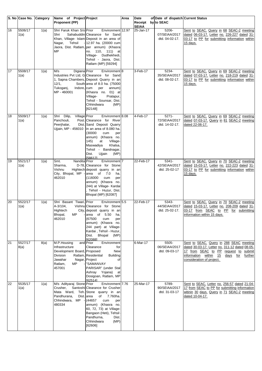|    | S. No Case No. Category |                    | Name of Project Project                                                                                               |                                                                                                                                                                                                                                                                                           | Area | Date                               | of Date of dispatch Current Status          |                                                                                                                                                                                                          |
|----|-------------------------|--------------------|-----------------------------------------------------------------------------------------------------------------------|-------------------------------------------------------------------------------------------------------------------------------------------------------------------------------------------------------------------------------------------------------------------------------------------|------|------------------------------------|---------------------------------------------|----------------------------------------------------------------------------------------------------------------------------------------------------------------------------------------------------------|
|    |                         |                    | <b>Proponent (PP)</b>                                                                                                 |                                                                                                                                                                                                                                                                                           |      | Receipt by to SEAC<br><b>SEIAA</b> |                                             |                                                                                                                                                                                                          |
| 16 | 5506/17<br>1(a)         | 1(a)               | Shri Faruk Khan S/o Prior<br>Shri<br>Tehsil<br>Nagar,<br><b>MP</b>                                                    | Environment 12.97<br>Sahabuddin Clearance for Sand<br>Khan, Village- Islam Deposit in an area of<br>- 12.97 ha. (20000 cum<br>Jaora, Dist. Ratlam, per annum) (Khasra<br>no. 110, 111) at<br>Village- Dudhekhedi,<br>Tehsil - Jaora, Dist.<br>Ratlam (MP) [59294]                         |      | 25-Jan-17                          | 5206-<br>07/SEIAA/2017<br>dtd. 04-02-17.    | Sent to SEAC. Query in 68 SEAC-2 meeting<br>dated 06-03-17. Letter no. 226-227 dated 31-<br>03-17 to PP for submitting information within<br>15 days.                                                    |
| 17 | 5508/17<br>1(a)         | 1(a)               | M/s<br>Digiana Prior<br>12/1,<br>Tukoganj,<br>Indore, cum<br>MP - 460001                                              | Environment <sup>8</sup><br>Industries Pvt Ltd, G-Clearance for Sand<br>1, Sapna Chambers, Deposit Quarry in an<br>South area of 8.0 ha. (75000<br>per<br>annum)<br>(Khasra no. 01) at<br>Pratapur,<br>Village-<br>Tehsil - Sounsar, Dist.<br>Chhindwara<br>(MP)<br>[62148]               |      | 3-Feb-17                           | 5234-<br>35/SEIAA/2017<br>dtd. 08-02-17.    | Sent to SEAC. Query in 69 SEAC-2 meeting<br>dated 07-03-17. Letter no. 218-219 dated 31-<br>03-17 to PP for submitting information within<br>15 days.                                                    |
| 18 | 5509/17<br>1(a)         | 1(a)               | Shri Dilip,<br>Village Prior<br>Panchouli,<br>Peerjhalar,                                                             | Environment 8.08<br>Post. Clearance for River<br>Dist. Sand Deposit Quarry<br>Ujjain, MP - 456010   in an area of 8.080 ha.<br>(30000)<br>cum<br>per<br>annum) (Khasra no.<br>145)<br>at<br>Village-<br>Maswadiya<br>Khalsa,<br>Tehsil - Bandnagar,<br>Dist.<br>Ujjain<br>(MP)<br>[58612] |      | 4-Feb-17                           | $5271 -$<br>72/SEIAA/2017<br>dtd. 14-02-17. | Sent to SEAC. Query in 69 SEAC-2 meeting<br>dated 07-03-17. Query in 81 SEAC-2 meeting<br>dated 22-06-17.                                                                                                |
| 19 | 5521/17<br>1(a)         | $\overline{1}$ (a) | Nandita Prior<br>Smt.<br>Sharma,<br>Vishnu<br>City, Bhopal, MP -<br>462010                                            | Environment <sup>7</sup><br>D-78, Clearance for Stone<br>Hightech deposit quarry in an<br>area of 7.0<br>ha.<br>(116000<br>cum<br>per<br>annum) (Khasra no.<br>244) at Village- Kardai<br>Tehsil - Huzur, Dist.<br>Bhopal (MP) [62087]                                                    |      | 22-Feb-17                          | $5341 -$<br>42/SEIAA/2017<br>dtd. 25-02-17  | Sent to SEAC. Query in 70 SEAC-2 meeting<br>dated 15-03-17. Letter no. 222-223 dated 31-<br>03-17 to PP for submitting information within<br>15 days.                                                    |
| 20 | 5522/17<br>1(a)         | 1(a)               | Shri Basant Tiwari, Prior<br>A-3/104,<br>Hightech<br>Bhopal,<br>МP<br>462010                                          | Environment <sup>5.5</sup><br>Vishnu Clearance for Stone<br>City, deposit quarry in an<br>area<br>of<br>5.50<br>ha.<br>(67500<br>cum<br>per<br>annum) (Khasra no.<br>244 part) at Village-<br>Kardai, Tehsil - Huzur,<br>Dist. Bhopal<br>(MP)<br>[62088]                                  |      | 22-Feb-17                          | 5343-<br>44/SEIAA/2017<br>dtd. 25-02-17.    | Sent to SEAC. Query in 70 SEAC-2 meeting<br>dated 15-03-17. Letter no. 208-209 dated 31-<br>03-17 from SEAC to PP for submitting<br>information within 15 days.                                          |
| 21 | 5527/17<br>8(a)         | 8(a)               | M.P.Housing<br>Infrastructure<br>Development Board, Proposed<br>Division<br>Jawahar<br>Ratlam,<br><b>MP</b><br>457001 | Environment<br>and Prior<br>Clearance<br>for<br><b>New</b><br>Ratlam, Residential<br><b>Building</b><br>Nagar, Project<br>οf<br>"SAMANVAY<br>PARISAR" (under Stal<br>Ashray Yojana)<br>at<br>Dosigoan, Ratlam, MP<br>[62514]                                                              |      | 6-Mar-17                           | 5505-<br>06/SEIAA/2017<br>dtd. 09-03-17     | Sent to SEAC. Query in 288 SEAC meeting<br>dated 30-03-17. Letter no. 311-12 dated 08-05-<br>17 from SEAC to PP request to submit<br>information within 15 days for further<br>consideration of project. |
| 22 | 5535/17<br>1(a)         | 1(a)               | M/s Adityaraj Stone Prior<br>Crusher,<br>Pandhurana,<br>Chhindwara, MP<br>480334                                      | Environment 7.76<br>Santoshi Clearance for Crusher<br>Mata Ward, Teh. Stone quarry in an<br>of 7.760ha.<br>Dist. area<br>(44657)<br>cum<br>per<br>annum) (Khasra no.<br>60, 72, 73) at Village-<br>Bangaon (Heti), Tehsil<br>Pandhurna,<br>Dist.<br>Chhindwara<br>(MP)<br>[62606]         |      | 25-Mar-17                          | 5789-<br>90/SEIAA/2017<br>dtd. 31-03-17     | Sent to SEAC. Letter no. 256-57 dated 21-04-<br>17 from SEAC to PP for submitting information<br>witinin 30 days. Query in 71 SEAC-2 meeting<br>dated 10-04-17.                                          |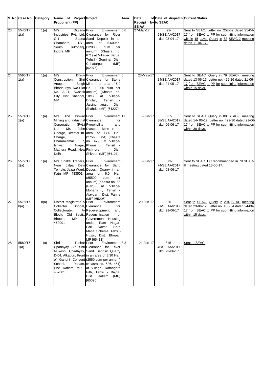|    | S. No Case No. Category |      | Name of Project Project                                                                                                                                                  |                                                                                                                                                                                                                                                                                                                                            | Area | Date                               | of Date of dispatch Current Status       |                                                                                                                                                                      |
|----|-------------------------|------|--------------------------------------------------------------------------------------------------------------------------------------------------------------------------|--------------------------------------------------------------------------------------------------------------------------------------------------------------------------------------------------------------------------------------------------------------------------------------------------------------------------------------------|------|------------------------------------|------------------------------------------|----------------------------------------------------------------------------------------------------------------------------------------------------------------------|
|    |                         |      | <b>Proponent (PP)</b>                                                                                                                                                    |                                                                                                                                                                                                                                                                                                                                            |      | Receipt by to SEAC<br><b>SEIAA</b> |                                          |                                                                                                                                                                      |
| 23 | 5540/17<br>1(a)         | 1(a) | M/s<br>Digiana Prior<br>$G-1$ ,<br>Chambers,<br>$12/1$ , area<br>South<br>Tukoganj, (120000<br>Indore, MP                                                                | Environment 5.6<br>Industries Pvt. Ltd, Clearance for River<br>Sapna Sand Deposit in an<br>5.600ha.<br>of<br>cum<br>per<br>annum) (Khasra no.<br>671) at Village- Barua,<br>Tehsil - Gourihar, Dist.<br>Chhatarpur<br>(MP)<br>[62976]                                                                                                      |      | 27-Mar-17                          | $92 -$<br>93/SEIAA/2017<br>dtd. 03-04-17 | Sent to SEAC. Letter no. 258-59 dated 21-04-<br>17 from SEAC to PP for submitting information<br>witinin 15 days. Query in 72 SEAC-2 meeting<br>dated 11-04-17.      |
| 24 | 5565/17<br>1(a)         | 1(a) | Dhruv Prior<br>M/s<br>Construction,<br>Anupam<br>City, Dist. Shahdol, 18/1)<br><b>MP</b>                                                                                 | Environment <sup>6</sup><br>Shri Clearance for Stone<br>Singh Mine in an area of 6.0<br>Bhadauriya, R/o Plot Ha 10000 cum per<br>No. A-21, Swastik annum) (Khasra no.<br>at<br>Village-<br>Dholar,<br>Tehsil<br>Jaisinghnagar,<br>Dist.<br>Shahdol (MP) [64227]                                                                            |      | 23-May-17                          | 523-<br>24/SEIAA/2017<br>dtd. 24-05-17   | Sent to SEAC. Query in 79 SEAC-II meeting<br>dated 13-06-17. Letter no. 425-26 dated 21-06-<br>17 from SEAC to PP for submitting information<br>within 15 days.      |
| 25 | 5574/17<br>1(a)         | 1(a) | The<br>Ishwar Prior<br>M/s<br>Mining and Industrial Clearance<br>Corporation<br>Mr.<br>Ltd,<br>Charge,<br>Charankamal,<br>Ishwar<br>Mathura Road, New Pichhore,<br>Delhi | Environment 17<br>for<br>(Pvt.) Pyrophyllite<br>and<br>John Diaspore Mine in an<br>George, Director In-arrea of 17.0 Ha<br>(27563 TPA) (Khasra<br>7, no. $479$ at Village-<br>Nagar, Khurai,<br>Tehsil<br>Dist.<br>Shivpuri (MP) [64121]                                                                                                   |      | 3-Jun-17                           | 637-<br>38/SEIAA/2017<br>dtd. 06-06-17   | Sent to SEAC. Query in 80 SEAC-II meeting<br>dated 14- 06-17. Letter no. 429-30 dated 21-06-<br>17 from SEAC to PP for submitting information<br>within 30 days.     |
| 26 | 5577/17<br>1(a)         | 1(a) | M/s Shakti Traders, Prior<br>Near Jalpa<br>Katni, MP - 483501                                                                                                            | Environment <sup>6</sup><br>Devi Clearance for Sand<br>Temple, Jalpa Ward, Deposit Quarry in an<br>area of 6.0<br>Ha<br>(85500<br>cum<br>per<br>annum) (Khasra no. 55<br>at Village-<br>(Part))<br>Mohana,<br>Tehsil -<br>Ajaygarh, Dist. Panna<br>(MP) [65205]                                                                            |      | 8-Jun-17                           | 673-<br>74/SEIAA/2017<br>dtd. 08-06-17   | Sent to SEAC. EC recommended in 79 SEAC-<br>II meeting dated 13-06-17.                                                                                               |
| 27 | 5578/17<br>8(a)         | 8(a) | District Magistrate & Prior<br>Collector<br>Collectorate,<br>Block, Old Sectt., Redensification<br>Bhopal,<br>МP<br>462001                                               | Environment<br>Bhopal, Clearance<br>for<br>A-Redevelopment<br>and<br>οf<br>Government Housing<br>under Ram Nagar,<br>Pari Nazar,<br>Bara<br>Mahal Scheme. Tehsil<br>Huzur, Dist. Bhopal,<br>MP [65411]                                                                                                                                     |      | 20-Jun-17                          | 820-<br>21/SEIAA/2017<br>dtd. 21-06-17   | Sent to SEAC. Query in 294 SEAC meeting<br>dated 23-06-17. Letter no. 463-64 dated 24-06-<br>17 from SEAC to PP for submitting information<br><u>within 15 days.</u> |
| 28 | 5580/17<br>1(a)         | 1(a) | Shri<br><b>Tushar</b> Prior<br>School,<br>457001                                                                                                                         | Environment <sup>8.3</sup><br>Upadhyay S/o Shri Clearance for River<br>Mukesh Upadhyay, Sand Deposit Quarry<br>D-04, Alkapuri, Front in an area of 8.30 Ha<br>of Gandhi Convent (2550 cum per annum)<br>Ratlam, (Khasra no. 526, 451)<br>Dist. Ratlam, MP - at Village- Ratangarh<br>Pith, Tehsil - Bajna,<br>Dist. Ratlam (MP)<br>[65096] |      | 21-Jun-17                          | 845-<br>46/SEIAA/2017<br>dtd. 23-06-17   | Sent to SEAC.                                                                                                                                                        |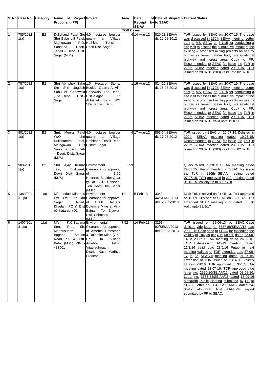|                  | S. No Case No. Category |           | Name of Project Project                                                                                     |                                                                                                                                                                                                                 | Area | Date                               | of Date of dispatch Current Status        |                                                                                                                                                                                                                                                                                                                                                                                                                                                                                                                                                                                                                                                                                                                                                                                                                                     |  |  |
|------------------|-------------------------|-----------|-------------------------------------------------------------------------------------------------------------|-----------------------------------------------------------------------------------------------------------------------------------------------------------------------------------------------------------------|------|------------------------------------|-------------------------------------------|-------------------------------------------------------------------------------------------------------------------------------------------------------------------------------------------------------------------------------------------------------------------------------------------------------------------------------------------------------------------------------------------------------------------------------------------------------------------------------------------------------------------------------------------------------------------------------------------------------------------------------------------------------------------------------------------------------------------------------------------------------------------------------------------------------------------------------------|--|--|
|                  |                         |           | <b>Proponent (PP)</b>                                                                                       |                                                                                                                                                                                                                 |      | Receipt by to SEAC<br><b>SEIAA</b> |                                           |                                                                                                                                                                                                                                                                                                                                                                                                                                                                                                                                                                                                                                                                                                                                                                                                                                     |  |  |
| <b>TOR Cases</b> |                         |           |                                                                                                             |                                                                                                                                                                                                                 |      |                                    |                                           |                                                                                                                                                                                                                                                                                                                                                                                                                                                                                                                                                                                                                                                                                                                                                                                                                                     |  |  |
| $\overline{1}$   | 785/2012<br>1(a)        | <b>B2</b> | Shri Babu Lal Patel, quarry<br>Majhgawan<br>Sanodha,<br>Tehsil - Deori, Dlst.<br>Sagar (M.P.)               | Dulichand Patel S/o 4.0 hectares boulder<br>at<br>Village<br>P.O. Hathkhoh, Tehsil<br>Deori, Deori Dist. Sagar                                                                                                  |      | 4 14-Aug-12                        | 820-21/SEIAA/<br>dt. 16-08-2012           | ToR issued by SEAC on 20-07-15. The case<br>was discussed in 170th SEIAA meeting. Letter<br>sent to MS, SEAC on 3.1.15 for conducting a<br>site visit to assess the cumulative impact of the<br>existing & proposed mining projects on nearby<br>human settlement, water body, state/national<br>highway and forest area. Copy to PP.<br>Recommended to SEAC for issue the ToR in<br>223rd SEIAA meeting dated 29.07.15. TOR<br>issued on 20.07.15 (203) valid upto 02.07.18.                                                                                                                                                                                                                                                                                                                                                       |  |  |
| $\overline{2}$   | 787/2012<br>1(a)        | <b>B2</b> | Shri Abhishek Sahu 1.0 Hectare<br>The.-Deori,<br>Sagar                                                      | Stone/<br>S/o Shri Jagdish Boulder Quarry At Vill.<br>Sahu, Vill. Chhewala Chhewala, The.-Deori,<br>Dist.- Dist.-Sagar<br>Of<br>Abhishek Sahu S/O<br>Shri Jagdish Sahu                                          |      | 1 16-Aug-12                        | 824-25/SEIAA/<br>dt. 16-08-2012           | ToR issued by SEAC on 20-07-15. The case<br>was discussed in 170th SEIAA meeting. Letter<br>sent to MS, SEAC on 3.1.15 for conducting a<br>site visit to assess the cumulative impact of the<br>existing & proposed mining projects on nearby<br>human settlement, water body, state/national<br>highway and forest area. Copy to PP.<br>Recommended to SEAC for issue the ToR in<br>223rd SEIAA meeting dated 29.07.15. TOR<br>issued on 20.07.15 valid upto 19.07.18.                                                                                                                                                                                                                                                                                                                                                             |  |  |
| 3                | 801/2012<br>1(a)        | <b>B2</b> | Meera<br>Smt.<br>W/O<br>Dulichandra<br>Majhgawan<br>Sanodha, Deori, Teh<br>- Deori, Distt. Sagar<br>(M.P.)  | Patel 4.0 hectares<br>boulder<br>Village<br>shri quarry<br>at<br>Patel, Hathkhoh Tehsil Deori<br>P.O District Sagar                                                                                             |      | 4 17-Aug-12                        | 863-64/SEIAA/<br>dt. 17-08-2012           | ToR issued by SEAC on 20-07-15. Delisted in<br>SEIAA<br>200th<br>meeting<br>dated<br>19.05.15.<br>Recommended to SEAC for issue the ToR in<br>223rd SEIAA meeting dated 29.07.15. TOR<br>issued on 20.07.15 (203) valid upto 02.07.18.                                                                                                                                                                                                                                                                                                                                                                                                                                                                                                                                                                                              |  |  |
| $\overline{4}$   | 909-2012<br>1(a)        | <b>B2</b> | Shri Ajay Kumar Environment<br>Jain,<br>Devri, Distt- Sagar of<br>(M.P.)                                    | Tilakward, Clearance for approval<br>3.99<br><b>Hectares Boulder Quar</b><br>ry at Vill. Chhevla,<br>Teh. Devri, Dist- Sagar<br>(M.P.)                                                                          | 3.99 |                                    |                                           | Query raised in 201st SEIAA meeting dated<br>22.05.15. Recommended to SEAC for issue<br>the ToR in 216th SEIAA meeting dated<br>07.07.15. TOR approved in 229 meeting dated<br>01.10.15. Validity up to 30/09/18                                                                                                                                                                                                                                                                                                                                                                                                                                                                                                                                                                                                                    |  |  |
| 5                | 1383/201<br>31(a)       | 1(a)      | M/s Jindutt Minerals Environment<br>Road, of<br>Sagar<br>(Chhatarpur)-01                                    | Pvt. Ltd., 6th km Clearance for approval<br>10.00<br>Hectare<br>Dhadari, PO & Dist Dolomite Mine at Vill.-<br>Bajna,<br>Teh.-Bijawar,<br>Dist.-Chhatarpur<br>(M.P.)                                             | 10   | 5-Feb-13                           | 3343-<br>44/SEIAA/2013<br>dtd. 28-03-2013 | Draft ToR received on 31-05-13, ToR approved<br>on 10-09-13 & sent to SEAC on 13-09-13. TOR<br>Extended SEAC meeting 23rd dated: 6/5/16<br>Valid upto 23/9/17                                                                                                                                                                                                                                                                                                                                                                                                                                                                                                                                                                                                                                                                       |  |  |
| 6                | 1407/201<br>31(a)       | 1(a)      | M/s<br>Sons,<br>Prop.<br>Madhusudan<br>Bagaria,<br>Road, P.O. & Distt. Ha.)<br>Katni (M.P.) PIN -<br>483501 | K.C.Bagaria Environmental<br>Sh. Clearance for approval<br>of Amehta Limestone<br>Station & Dolomite Mine (7.52)<br>In<br>Village<br>Tehsil<br>Amehta,<br>Vijayraghogarh,<br>District- Katni, Madhya<br>Pradesh | 7.52 | 14-Feb-13                          | 3291-<br>92/SEIAA/2013<br>dtd. 28-03-2013 | ToR<br>issued on 29-06-13 by SEAC Case<br>delisted vide letter no. 6587-88/SEIAA/15 date<br>20-10-15 Case send to SEAC for extending the<br>validity of ToR as per OM, MOEF dated 22-08-<br>14 in 298th SEIAA meeting dated 26.02.16.<br>TOR Extension SEAC-13 meeting dated:<br>21/3/16 valid upto 28/6/16 Putup in next<br>meeting Valided of TOR extended upto 27-06-<br>17 in 36 SEAC-II meeting dated 04-07-16.<br>Extension of TOR issued on 18-07-16 validity<br>till 27-06-2016. TOR approved in 354 SEIAA<br>meeting dated 23-07-16. TOR approved vide<br>letter no. 2925-26/SEIAA/16 dated 03-08-16.<br>Letter no. 3653-54/SEIAA/16 dated 16-09-16<br>alongwith Public Hearing submitted by PP to<br>SEAC. Letter no. 884-85/SEIAA/17 dated 24-<br>alongwith final EIA/EMP<br>06-17<br>report<br>submitted by PP to SEAC. |  |  |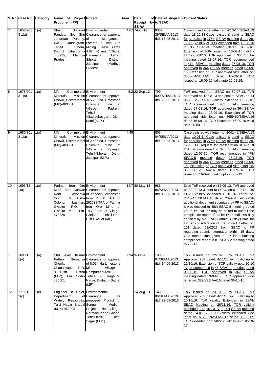|                | S. No Case No. Category |      | Name of Project Project                                                                                      |                                                                                                                                                                                                                                                                                   | Area | Date                    | of Date of dispatch Current Status        |                                                                                                                                                                                                                                                                                                                                                                                                                                                                                                                                                                                                                                                                                                |
|----------------|-------------------------|------|--------------------------------------------------------------------------------------------------------------|-----------------------------------------------------------------------------------------------------------------------------------------------------------------------------------------------------------------------------------------------------------------------------------|------|-------------------------|-------------------------------------------|------------------------------------------------------------------------------------------------------------------------------------------------------------------------------------------------------------------------------------------------------------------------------------------------------------------------------------------------------------------------------------------------------------------------------------------------------------------------------------------------------------------------------------------------------------------------------------------------------------------------------------------------------------------------------------------------|
|                |                         |      | Proponent (PP)                                                                                               |                                                                                                                                                                                                                                                                                   |      | Receipt<br><b>SEIAA</b> | by to SEAC                                |                                                                                                                                                                                                                                                                                                                                                                                                                                                                                                                                                                                                                                                                                                |
| $\overline{7}$ | 1658/201<br>31(a)       | 1(a) | Shri<br>Pandey,<br>Janardan Pandey, of<br>R/o-<br>Tehsil<br>483225,<br>Pradesh                               | Shrikant Environmental<br>S/o Shri Clearance for approval<br>Manganese,<br>Gandhigram, Laterite & Iron Ore<br>Sihora, Mining Lease (Area<br>District Jabalpur - 4.67 ha) near Village:<br>Madhya Hirdenagar,<br>Tehsil:<br>District:<br>Sihora,<br>Jabalpur<br>(Madhya<br>Pradesh |      | $4.67$ 7-Oct-12         | 638-<br>39/SEIAA/2013<br>dtd. 17-05-2013  | Case closed vide letter no. 2013-14/SEIAA/13<br>date 18-12-13 Case relisted & send to SEAC<br>for appraisal in 276th SEIAA meeting dated 28-<br>12-15. Validity of TOR extended upto 19-08-16<br>in 36 SEAC-II meeting dated 04-07-16.<br>Extension of TOR issued on 18-07-16 validity<br>till 19-08-2016. TOR approved in 354 SEIAA<br>meeting dated 23-07-16. TOR recommended<br>in 47th SEAC-II meeting dated 27-08-16. TOR<br>approved in 364 SEIAA meeting dated 02-09-<br>16. Extension of TOR approved vide letter no.<br>3663-64/SEIAA/16 dated 16-09-16.<br>TOR<br>issued on 16-09-16 valid upto 26-08-19.                                                                            |
| 8              | 1678/201<br>31(a)       | 1(a) | M/s<br>Minerals,<br>(MP)-483501                                                                              | Commercial Environment<br>Mission Clearance for approval<br>Chowk, District Katni of 5.200 ha. Limestone<br>Dolomite<br>mine<br>at<br>Padrehi,<br>Village<br>$\sim 100$<br>Tehsil-<br>Vijayraghavgarh, Distt.<br>Katni (M.P.).                                                    |      | 5.2 22-Sep-12           | 799-<br>800/SEIAA/2013<br>dtd. 28-05-2013 | ToR received from SEAC on 30-07-13, ToR<br>approved on 13-08-13 and sent to SEAC on 14<br>08-13. 255 SEAC validity extended 19-08-16.<br>TOR recommended in 47th SEAC-II meeting<br>dated 27-08-16. TOR approved in 364 SEIAA<br>meeting dated 02-09-16. Extension of TOR<br>approved vide letter no. 3659-60/SEIAA/16<br>dated 16-09-16. TOR issued on 16-09-16 valid<br>upto 26-08-19.                                                                                                                                                                                                                                                                                                       |
| 9              | 1680/201<br>31(a)       | 1(a) | M/s<br>Minerals,<br>(MP)-483501                                                                              | Commercial Environment<br>Mission Clearance for approval<br>Chowk, District Katni of 2.686 ha. Limestone<br>Dolomite<br>mine<br>at<br>Village - Pipariya,<br>Tehsil-Sihora,<br>Distt.-<br>Jabalpur (M.P.)                                                                         | 4.45 |                         | 803-<br>04/SEIAA/2013<br>dtd. 28-05-2013  | Case delisted vide letter no. 2041-42/SEIAA/13<br>date 10-01-14 Case relisted & send to SEAC<br>for appraisal in 276th SEIAA meeting dated 28-<br>12-15. PP request for presentation in August<br>2016 is considered in 37th SEAC-II meeting<br>dated 12-07-16. TOR recommended in 47th<br>SEAC-II meeting dated 27-08-16. TOR<br>approved in 364 SEIAA meeting dated 02-09-<br>16. Extension of TOR approved vide letter no.<br>3665-66 /SEIAA/16 dated 16-09-16. TOR<br>issued on 16-09-16 valid upto 26-08-19.                                                                                                                                                                              |
| 10             | 1693/13<br>1(a)         | 1(a) | Iron<br>Parihar<br>Rani<br>Singh,<br>6,<br>Colony,<br>Gwalior<br>P.O.<br>470339                              | Ore Environment<br>Mine, Smt. Kunwar Clearance for approval<br>Ayodhya of capacity expansion<br>Usha from 20000 TPA to<br>Lashkar, 262538 TPA of Parihar<br>Iron Ore Mine<br>of<br>Gwalior M.P. Pin- 14.700 Ha at Village-<br>Tehsil-Grid,<br>Panihar,<br>Dist-Gwalior (MP)       |      | 14.7 30-May-13          | 985-<br>86/SEIAA/2013<br>dtd. 12-06-2013  | Draft ToR received on 12-09-13, ToR approved<br>on 30-09-13 & sent to SEAC on 01-10-13. 249<br>SEAC validity extended 10-10-16. Letter no.<br>2646-47 /SEIAA/16 dated 20-07-16 alongwith<br>additional document submitted by PP to SEAC.<br>It was decided in 48th SEAC-II meeting dated<br>28-08-16 that PP may be asked to submit the<br>compliance report of earlier EC conditions duly<br>certified by MoEF&CC within 30 days time for<br>further consideration of the project. Letter no.<br>101 dated 03/02/17 from SEAC to PP<br>regarding submit information within 15 days.<br>One month time given to PP for submitting<br>compliance report in 81 SEAC-2 meeting dated<br>22-06-17. |
| 11             | 1698/13<br>1(a)         | 1(a) | Ajay<br>Shri<br>Pathak.<br>Chowk,<br>Chanakyapuri, P.O. Mine at Village<br>& Distt -<br>(M.P), Pin<br>485001 | Kumar Environment<br>Semariya Clearance for approval<br>of 8.094 Ha Limestone<br>Satna Rampurchourasi,<br>Code-Tehsil<br>Raghuraj<br>$\sim 10^{-1}$<br>Nagar, District - Satna,<br>(MP)                                                                                           |      | 8.094 3-Jun-13          | 1003-<br>04/SEIAA/2013<br>dtd. 14-06-2013 | issued on 22-10-13 by SEAC. ToR<br>ToR<br>Approved 239 dated: 4/11/15 ext. valid up to<br>21/10/16. Extension of TOR validity upto 20-10-<br>17 recommended in 45 SEAC-II meeting dated<br>09-08-16. TOR approved in 367 SEIAA<br>meeting dated 19-09-16. TOR approved vide<br>letter no. 3896/SEIAA/16 dated 06-10-16.                                                                                                                                                                                                                                                                                                                                                                        |
| 12             | 1716/13<br>1(c)         | 1(c) | Engineer- in- Chief, Environmental<br>Department<br>Tulsi Nagar Bhopal Sonpur<br>(M.P.) 462003               | of Clearance<br>for<br>Water, Resources, proposed Project of<br>Medium<br>Project at Near village-<br>Naraynpur and Ghana,<br>Tehsil-Kesli,<br>Distt.<br>Sagar (M.P.)                                                                                                             |      | 14-Aug-13               | 1485-<br>86/SEIAA/2013<br>dtd. 23-08-2013 | issued on 23-10-13 by SEAC. ToR<br>ToR<br>Approved 239 dated: 4/11/15 ext. valid up to<br>10/10/16. ToR validity Extended in 284th<br>SEAC Meeting dt. 26/11/16. TOR validity<br>extended upto 10-10-17 in 404 SEIAA meeting<br>dated 24-01-17. TOR validity extended vide<br>letter no. 5175- 76/SEIAA/17 dated 03-02-17.<br>TOR extended on 27-02-17 validity upto 10-10-<br><u>17.</u>                                                                                                                                                                                                                                                                                                      |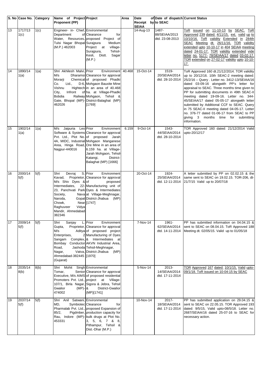|    | S. No Case No. Category |      | Name of Project Project<br><b>Proponent (PP)</b>                                                                                                       |                                                                                                                                                                                                                                                                                                          | Area  | Date<br>Receipt by to SEAC | of Date of dispatch Current Status        |                                                                                                                                                                                                                                                                                                                                                                                                                                                                                                                                                                                     |
|----|-------------------------|------|--------------------------------------------------------------------------------------------------------------------------------------------------------|----------------------------------------------------------------------------------------------------------------------------------------------------------------------------------------------------------------------------------------------------------------------------------------------------------|-------|----------------------------|-------------------------------------------|-------------------------------------------------------------------------------------------------------------------------------------------------------------------------------------------------------------------------------------------------------------------------------------------------------------------------------------------------------------------------------------------------------------------------------------------------------------------------------------------------------------------------------------------------------------------------------------|
| 13 | 1717/13<br>1(c)         | 1(c) | Engineer- in- Chief, Environmental<br>Department<br>Tulsi Nagar Bhopal Surajpura<br>(M.P.) 462003                                                      | of Clearance<br>for<br>Water, Resources, proposed Project of<br>Medium<br>Project at village-<br>Surajpura,<br>Tehsil-<br>Kesli,<br>Distt.<br>Sagar<br>(M.P.)                                                                                                                                            |       | <b>SEIAA</b><br>14-Aug-13  | 1487-<br>88/SEIAA/2013<br>dtd. 23-08-2013 | ToR issued on 11-10-13 by SEAC. ToR<br>Approved 239 dated: 4/11/15, ext. valid up to<br>10/10/16. ToR validity Extended in 284th<br>SEAC Meeting dt. 26/11/16. TOR validity<br>extended upto 10-10-17 in 404 SEIAA meeting<br>dated 24-01-17. TOR validity extended vide<br>letter no. 5177- 78/SEIAA/17 dated 03-02-17.<br>TOR extended on 27-02-17 validity upto 10-10-<br><u> 17.</u>                                                                                                                                                                                            |
| 14 | 1890/14<br>1(a)         | 1(a) | Shri Akhilesh Malvi, Prior<br>M/s<br>Morarji<br>Ltd.,<br>Co.<br>Vishnu<br>City,<br>Infront<br>Bobdia<br>462026                                         | Environment 40.468<br>Dharamsi Clearance for approval<br>Chemical of proposed Phadki<br>D-6, Mohgaon Bauxite Mine<br>Hightech in an area of 40.468<br>of ha. at Village-Phadki<br>Railway Mohgaon, Tehsil &<br>Gate, Bhopal (MP)- District-Balaghat (MP)<br>[1769]                                       |       | 15-Oct-14                  | 1519-<br>20/SEIAA/2014<br>dtd. 28-10-2014 | ToR Approved 160 dt.21/12/2014. TOR validity<br>up to 20/12/16. 10th SEAC-2 meeting dated:<br>25/2/16 - Query . Letter no. 3412-13/SEIAA/16<br>dated 03-09-16 alongwith PP's letter for<br>appraisal to SEAC. Three months time given to<br>PP for submitting documents in 49th SEAC-II<br>meeting dated 19-09-16. Letter no. 344-<br>45/SEIAA/17 dated 05-05-17 alongwith letter<br>submitted by Additional CCF to SEAC. Query<br>in 75 SEAC-II meeting dated 04-05-17. Letter<br>no. 376-77 dated 01-06-17 from SEAC to PP<br>giving 3 months time for submitting<br>information. |
| 15 | 1902/14<br>1(a)         | 1(a) | Jaipuria<br>M/s<br>Nagpur-440016                                                                                                                       | Leo Prior<br>Environment<br>Software & Systems Clearance for approval<br>Pvt. Ltd., Plot No. of proposed Jarah<br>4A, MIDC, Industrial Mohgaon Manganese<br>Area, Hinga Road, Ore Mine in an area of<br>6.159 ha. at Village-<br>Jarah Mohgaon, Tehsil·<br>Katangi,<br>District-<br>Balaghat (MP) [1666] | 6.159 | 9-Oct-14                   | 1543-<br>44/SEIAA/2014<br>dtd. 28-10-2014 | TOR Approved 160 dated: 21/12/2014 Valid<br>upto-20/12/17                                                                                                                                                                                                                                                                                                                                                                                                                                                                                                                           |
| 16 | 2000/14<br>5(f)         | 5(f) | Shri<br>Devraj<br>Kavad,<br>M/s Shiv Dyes & of<br>Intermediates,<br>Society,<br>Naroda,<br>Chowk,<br>Raghuveer<br>Vidya<br>Mandir, Ahmedabad<br>382346 | S. Prior<br>Environment<br>Proprietor, Clearance for approval<br>proposed<br>22-Manufacturing unit of<br>23, Panchvati Park Dyes & Intermediates<br>Nava at Village-Meghnagar,<br>Gopal District-Jhabua<br>(MP)<br>Near [1747]                                                                           |       | 20-Oct-14                  | 1924-<br>25/SEIAA/2014<br>dtd. 12-11-2014 | A letter submitted by PP on 02.02.15 & the<br>same sent to SEAC on 19.02.15. TOR-206, dt-<br>21/7/15 Valid up to 20/07/18                                                                                                                                                                                                                                                                                                                                                                                                                                                           |
| 17 | 2009/14<br>5(f)         | 5(f) | Shri<br>Sanjay<br>Gupta,<br>M/s<br>Enterprises,<br>Sangam<br>Bombay<br>Road,<br>Nagar,<br>Ahmedabad-382445 [1970]<br>(Gujarat)                         | L. Prior<br>Environment<br>Proprietor, Clearance for approval<br>Aditya of proposed project<br>2 Manufacturing of Dyes<br>Complex, & Intermediates at<br>Conductor AKVN Industrial Area,<br>Jashoda Tehsil-Meghnagar,<br>Vatva, District-Jhabua<br>(MP)                                                  |       | 7-Nov-14                   | 1961-<br>62/SEIAA/2014<br>dtd. 14-11-2014 | PP has submitted information on 04.04.15 &<br>sent to SEAC on 08.04.15. ToR Approved 188<br>Meeting dt. 02/05/15. Valid up to 01/05/18                                                                                                                                                                                                                                                                                                                                                                                                                                              |
| 18 | 2035/14<br>8(b)         | 8(b) | Shri Mohit<br>Tomar,<br>Gwalior<br>$(MP)$ - &<br>474002                                                                                                | Singh Environmental<br>Senior Clearance for approval<br>Executive, M/s AIMS of proposed residential<br>Promoters Pvt. Ltd., project at Village-<br>107/1, Birla Nagar, Sigora & Jebra, Tehsil<br>District-Gwalior<br>(MP)[1741]                                                                          |       | 5-Nov-14                   | 2013-<br>14/SEIAA/2014<br>dtd. 17-11-2014 | TOR Approved 167 dated: 10/1/15, Valid upto-<br>09/1/18. ToR issued on 10-04-15 by SEAC                                                                                                                                                                                                                                                                                                                                                                                                                                                                                             |
| 19 | 2037/14<br>5(f)         | 5(f) | Shri<br>MD,<br>85/2,<br>453331                                                                                                                         | Anil Satwani, Environmental<br>Symbiotec Clearance<br>for<br>Pharmalab Pvt. Ltd., proposed Expansion of<br>Pigdmber, production capacity for<br>Rau, Indore (MP)- bulk drugs at Plot No.<br>3, 5, 6, 7 & 8,<br>Pithampur, Tehsil &<br>Dist.-Dhar (M.P.)                                                  |       | 10-Nov-14                  | 2017-<br>18/SEIAA/2014<br>dtd. 17-11-2014 | PP has submitted application on 29.04.15 &<br>sent to SEAC on 22.05.15. TOR Approved 193<br>dated: 9/5/15, Valid upto-08/5/18. Letter no.<br>2687/SEIAA/16 dated 25-07-16 to SEAC for<br>necessary action.                                                                                                                                                                                                                                                                                                                                                                          |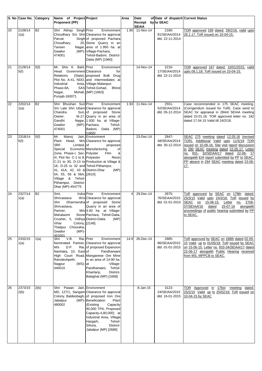|    | S. No Case No.  | Category  | Name of Project Project                                                                                                                                                                                                                                                                                          |                                                                                                                                                                                                                                                                                                                        | Area           | Date                      | of Date of dispatch Current Status           |                                                                                                                                                                                                                                                                                                                                     |
|----|-----------------|-----------|------------------------------------------------------------------------------------------------------------------------------------------------------------------------------------------------------------------------------------------------------------------------------------------------------------------|------------------------------------------------------------------------------------------------------------------------------------------------------------------------------------------------------------------------------------------------------------------------------------------------------------------------|----------------|---------------------------|----------------------------------------------|-------------------------------------------------------------------------------------------------------------------------------------------------------------------------------------------------------------------------------------------------------------------------------------------------------------------------------------|
|    |                 |           | Proponent (PP)                                                                                                                                                                                                                                                                                                   |                                                                                                                                                                                                                                                                                                                        |                | Receipt by to SEAC        |                                              |                                                                                                                                                                                                                                                                                                                                     |
| 20 | 2108/14<br>1(a) | <b>B2</b> | Shri Abhay Singh Prior<br>Parvat<br>Choudhary,<br>Tansen<br>Gwalior<br>474001                                                                                                                                                                                                                                    | Environment<br>Choudhary S/o Shri Clearance for approval<br>Singh of proposed Pachara<br>20, Stone Quarry in an<br>Nagar, area of 1.950 ha. at<br>(MP)- Village-Pachara,<br>Tehsil-Badoni, District-<br>Datia (MP) [1960]                                                                                              | 1.95           | <b>SEIAA</b><br>11-Nov-14 | 2180-<br>81/SEIAA/2014<br>dtd. 22-11-2014    | TOR approved 169 dated: 29/2/16, valid upto<br>26.1.17. ToR issued on 10-04-15.                                                                                                                                                                                                                                                     |
| 21 | 2128/14<br>5(f) | 5(f)      | Mr. Shiv K. Bahl, Prior<br>Government Clearance<br>Head<br>Relations<br>Industrial<br>Phase-8A,<br>Nagar,<br>Punjab-160071                                                                                                                                                                                       | Environment<br>for<br>(State), proposed Bulk Drug<br>Plot No. A-41, NDO, and Intermediates at<br>Area, Village-Malanpur,<br>SAS Tehsil-Gohad,<br><b>Bhind</b><br>Mohali, (MP) [1663]                                                                                                                                   |                | 14-Nov-14                 | 2216-<br>17/SEIAA/2014<br>dtd. 22-11-2014    | TOR approved 167 dated: 10/01/2015, valid<br>upto 09.1.18. ToR issued on 10-04-15.                                                                                                                                                                                                                                                  |
| 22 | 2202/14<br>1(a) | <b>B2</b> | Shri Bhushan Suri Prior<br>Chandra<br>Owner,<br>Gandhi<br>Gwalior<br>474001                                                                                                                                                                                                                                      | Environment<br>S/o Late Shri Uttam Clearance for approval<br>Suri, of proposed Stone<br>M-17, Quarry in an area of<br>Nagar, 1.930 ha. at Village-<br>(MP)-Pachara,<br>Tehsil-<br>Badoni, Datia (MP)<br>[1955]                                                                                                         | 1.93           | 11-Nov-14                 | $2551 -$<br>52/SEIAA/2014<br>dtd. 05-12-2014 | Case recommended in 175 SEAC meeting.<br>(Corrigendum issued for ToR). Case send to<br>SEAC for appraisal in 284rd SEIAA meeting<br>dated 23.01.16. TOR approved letter no. 182<br>dated 17.04.15 Valid till 24/2/18.                                                                                                               |
| 23 | 2318/14<br>5(f) | 5(f)      | Mr.<br>Manoj<br>Plant Head,<br><b>SRF</b><br>Limited, of<br>Special<br>Zone, Phase-I, Sec- Polyster<br>III, Plot No. C-1 to 8, Polyester<br>18, D-25 to 32 and Tehsil-Pithampur,<br>41, 41A, 42, 43 & District-Dhar<br>54, 55, 56 & 56A, [2610]<br>Village & Tehsil-<br>Pithampur, District-<br>Dhar (MP)-454775 | Jain, Environment<br>M/s Clearance for approval<br>proposed<br>Economic Manufacturing<br>of<br>&<br>Film<br>Resin<br>C-21 to 30, D-13 to Production at Village &<br>(MP)                                                                                                                                               |                | 23-Dec-14                 | 2847-<br>48/SEIAA/2014<br>dtd. 30-12-2014    | SEAC 275 meeting dated 12.05.16 (revised<br>TOR). Additional Valid upto 11/5/19 TOR<br>issued on 10-06-16. Site visit report discussion<br>in 290 SEAC meeting dated 22-05-17. Letter<br>no. 831- 32/SEIAA/17 dated 22-06- 17<br>alongwith EIA report submitted by PP to SEAC.<br>PP absent in 294 SEAC meeting dated 23-06-<br>17. |
| 24 | 2327/14<br>1(a) | <b>B2</b> | Smt.<br>Indra Prior<br>Shrivastava<br>Shri<br>Shrivastava,<br>Partner,<br>Mahalaxmi<br>Crusher, 5, Vidhya District-Datia<br>Colony, [2148]<br>Vihar<br>Thatipur Chouraha,<br>Gwalior<br>$(MP)$ -<br>452001                                                                                                       | Environment<br>W/o Clearance for approval<br>Dharmendra of proposed Stone<br>Quarry in an area of<br>M/s 4.00 ha. at Village-<br>Stone Pachara, Tehsil-Datia,<br>(MP)                                                                                                                                                  | $\overline{4}$ | 29-Dec-14                 | 2875-<br>76/SEIAA/2015<br>dtd. 01-01-2015    | ToR approved by SEAC on 179th<br>dated:<br>25/3/15 Valid upto 24/3/18. ToR issued by<br>SEAC<br>on<br>15-06-15.<br>Letter<br>2706-<br>no.<br>07/SEIAA/16<br>25-07-16<br>dated<br>alongwith<br>proceedings of public hearing submitted by PP<br>to SEAC.                                                                             |
| 25 | 2332/15<br>1(a) | 1(a)      | V.B.<br>Shri<br>D.P.<br>M/s<br>Nanhaka, 10, East of<br>Ramdeshpeth,<br>Nagpur<br>$(MS)$ - at<br>440010                                                                                                                                                                                                           | Rai, Prior<br>Environment<br>Nominated Partner, Clearance for approval<br>Rai, of proposed Expansion<br>Pandharwani<br>High Court Road, Manganese Ore Mine<br>in an area of 14.90 ha.<br>Village-<br>Pandharwani.<br>Tehsil-<br>Khairlanji,<br>District-<br>Balaghat (MP) [1668]                                       | 14.9           | 26-Dec-14                 | 2885-<br>86/SEIAA/2015<br>dtd. 01-01-2015    | ToR approved by SEAC on 188th dated 02-05-<br>15 Valid up to 01/05/18. ToR issued by SEAC<br>on 15-06-15. Letter no. 833-34/SEIAA/17 dated<br>22-06-17 alongwith Public Hearing received<br>from MS, MPPCB to SEAC.                                                                                                                 |
| 26 | 2373/15<br>2(b) | 2(b)      | Shri Pawan<br>Jabalpur<br>480002                                                                                                                                                                                                                                                                                 | Jain, Environment<br>MD, 127/1, Sangam Clearance for approval<br>Colony, Baldeobagh, of proposed Iron Ore<br>(MP)-Beneficiation<br>Plant<br>(Existing<br>Capacity<br>90,000 TPA, Proposed<br>Capacity-4,80,000) at<br>Industrial Area, Village-<br>Tehsil-<br>Hargarh,<br>Sihora,<br>District-<br>Jabalpur (MP) [2686] |                | 8-Jan-15                  | 3123-<br>24/SEIAA/2015<br>dtd. 16-01-2015    | TOR Approved in 176st<br>meeting dated:<br>25/2/15 Valid up to 25/02/18. ToR issued on<br>10-04-15 by SEAC                                                                                                                                                                                                                          |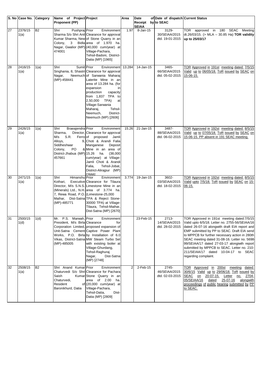|    | S. No Case No.  | Category  | Name of Project Project                                                                                                                |                                                                                                                                                                                                                                                                                                                                  | Area           | Date                               | of Date of dispatch Current Status        |                                                                                                                                                                                                                                                                                                                                                                                                                                                               |
|----|-----------------|-----------|----------------------------------------------------------------------------------------------------------------------------------------|----------------------------------------------------------------------------------------------------------------------------------------------------------------------------------------------------------------------------------------------------------------------------------------------------------------------------------|----------------|------------------------------------|-------------------------------------------|---------------------------------------------------------------------------------------------------------------------------------------------------------------------------------------------------------------------------------------------------------------------------------------------------------------------------------------------------------------------------------------------------------------------------------------------------------------|
|    |                 |           | <b>Proponent (PP)</b>                                                                                                                  |                                                                                                                                                                                                                                                                                                                                  |                | Receipt by to SEAC<br><b>SEIAA</b> |                                           |                                                                                                                                                                                                                                                                                                                                                                                                                                                               |
| 27 | 2376/15<br>1(a) | <b>B2</b> | Pushpraj Prior<br>Shri<br>Colony,<br>$3^{\circ}$<br>474001                                                                             | Environment<br>Sharma S/o Shri Anil Clearance for approval<br>Kumar Sharma, New of Stone Quarry in an<br>Bidla area of 1.970 ha.<br>Nagar, Gwalior (MP) (40,000 cum/year) at<br>Village-Pachara,<br>Tehsil-Badoni, District-<br>Datia (MP) [1965]                                                                                | 1.97           | 8-Jan-15                           | 3129-<br>30/SEIAA/2015<br>dtd. 19-01-2015 | TOR approved in 180 SEAC Meeting<br>dt.26/03/15. (> MLA - 30.85 Ha) TOR validity<br>up to 25/03/17                                                                                                                                                                                                                                                                                                                                                            |
| 28 | 2416/15<br>1(a) | 1(a)      | Sumit Prior<br>Shri<br>Nagar,<br>(MP)-458441                                                                                           | Environment<br>Singhania, 8, Shastri Clearance for approval<br>Neemuch of Sarwania Maharaj<br>Laterite Mine in an<br>area of 13.284 ha. (for<br>expansion<br>in<br>production<br>capacity<br>from 1,837 TPA to<br>2,50,000 TPA)<br>at<br>Village-Sarwania<br>Tehsil-<br>Maharaj,<br>Neemuch,<br>District-<br>Neemuch (MP) [2606] | 13.284         | 14-Jan-15                          | 3465-<br>66/SEIAA/2015<br>dtd. 05-02-2015 | TOR Approved in 191st meeting dated: 7/5/15<br>Valid up to 06/05/18. ToR issued by SEAC on<br>15-06-15.                                                                                                                                                                                                                                                                                                                                                       |
| 29 | 2426/15<br>1(a) | 1(a)      | Braeajendra Prior<br>Shri<br>Sharma,<br>$M/s$ S.R.<br>Alloys,<br>Siddheshwar<br>Colony,<br>PO.<br>District-Jhabua (MP) 15.26<br>457661 | Environment<br>Director, Clearance for approval<br>Ferro of proposed Jamli<br>9, Choti & Arandi Falia<br>Deposit<br>Manganese<br>& Mine in an area of<br>ha.<br>(38,000<br>cum/year) at Village-<br>Jamli Choti & Arandi<br>Falia,<br>Tehsil-Jobat,<br>District-Alirajpur (MP)<br>[2666]                                         | 15.26          | 21-Jan-15                          | 3487-<br>88/SEIAA/2015<br>dtd. 06-02-2015 | TOR Approved in 192st meeting dated: 8/5/15<br>Valid up to 07/05/18. ToR issued by SEAC on<br>15-06-15. PP absent in 191 SEAC meeting.                                                                                                                                                                                                                                                                                                                        |
| 30 | 2471/15<br>1(a) | 1(a)      | Himanshu Prior<br>Shri<br>Kothari,<br>7, Rewa Road, P.O. (Limestone-25,000<br>(MP)-485771                                              | Environment<br>Executive Clearance for Tilaura<br>Director, M/s S.N.S. Limestone Mine in an<br>(Minerals) Ltd., N.H. area of 3.774 ha.<br>Maihar, Dist-Satna TPA & Reject Stone-<br>30000 TPA) at Village-<br>Tilaura, Tehsil-Maihar,<br>Dist-Satna (MP) [2670]                                                                  | 3.774          | 19-Jan-15                          | 3602-<br>03/SEIAA/2015<br>dtd. 18-02-2015 | TOR Approved in 192st meeting dated: 8/5/15<br>Valid upto 7/5/18. ToR issued by SEAC on 15-<br>06-15.                                                                                                                                                                                                                                                                                                                                                         |
| 31 | 2500/15<br>1(d) | 1(d)      | Mr. P.S. Marwah, Prior<br>President, M/s Birla Clearance<br>(MP)-485005                                                                | Environment<br>for<br>Corporation Limited, proposed expansion of<br>Unit-Satna Cement Captive Power Plant<br>Works, P.O. Birla by Installation of 6.0<br>Vikas, District-Satna MW Steam Turbo Set<br>with existing boiler at<br>Village-Ghurdang,<br>Tehsil-Raghuraj<br>Dist-Satna<br>Nagar,<br>(MP) [2748]                      |                | 23-Feb-15                          | 2713-<br>14/SEIAA/2015<br>dtd. 28-02-2015 | TOR Approved in 191st meeting dated: 7/5/15<br>Valid upto 6/5/18. Letter no. 2755-56/SEIAA/16<br>dated 26-07-16 alongwith draft EIA report and<br>EMP submitted by PP to SEAC. Draft EIA send<br>to MPPCB for further necessary action in 280th<br>SEAC meeting dated 31-08-16. Letter no. 5698-<br>99/SEIAA/17 dated 27-03-17 alongiwth report<br>submitted by MPPCB to SEAC. Letter no. 210-<br>211/SEIAA/17 dated 10-04-17 to SEAC<br>regarding complaint. |
| 32 | 2508/15<br>1(a) | <b>B2</b> | Shri Anand Kumar Prior<br>Saish<br>Chaturvedi,<br>Resident<br>Baronikhurd, Datia                                                       | Environment<br>Chaturvedi S/o Shri Clearance for Pachara<br>Kumar Stone Quarry in an<br>area<br>of 2.00 ha.<br>of $(20,000$ cum/year) at<br>Village-Pachara,<br>Dist-<br>Tehsil-Datia,<br>Datia (MP) [2809]                                                                                                                      | $\overline{2}$ | $2$ -Feb-15                        | 2745-<br>46/SEIAA/2015<br>dtd. 02-03-2015 | TOR Approved in 200st meeting dated:<br>30/6/15 Valid up to 29/06/18. ToR issued by<br>SEAC on 20-07-15. Letter<br>2704-<br>no.<br>05/SEIAA/16<br>25-07-16<br>alongwith<br>dated<br>proceedings of public hearing submitted by PP<br>to SEAC.                                                                                                                                                                                                                 |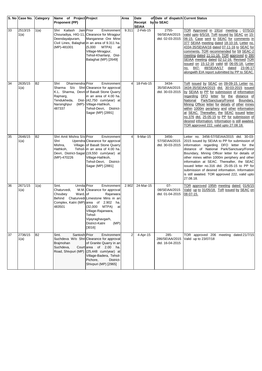|    | S. No Case No. Category |           | Name of Project Project                                                                    |                                                                                                                                                                                                                                                        | Area           | Date                    | of Date of dispatch Current Status         |                                                                                                                                                                                                                                                                                                                                                                                                                                                                                                                                       |
|----|-------------------------|-----------|--------------------------------------------------------------------------------------------|--------------------------------------------------------------------------------------------------------------------------------------------------------------------------------------------------------------------------------------------------------|----------------|-------------------------|--------------------------------------------|---------------------------------------------------------------------------------------------------------------------------------------------------------------------------------------------------------------------------------------------------------------------------------------------------------------------------------------------------------------------------------------------------------------------------------------------------------------------------------------------------------------------------------------|
|    |                         |           | <b>Proponent (PP)</b>                                                                      |                                                                                                                                                                                                                                                        |                | Receipt<br><b>SEIAA</b> | by to SEAC                                 |                                                                                                                                                                                                                                                                                                                                                                                                                                                                                                                                       |
| 33 | 2513/15<br>1(a)         | 1(a)      | Shri Kailash Jain Prior<br>Deendayalpuram,<br>(MP)-481001                                  | Environment<br>Chouradiya, HIG-11, Clearance for Miragpur<br>Manganese Ore Mine<br>Civil Lines, Balaghat in an area of 9.311 ha.<br>(5,000)<br>MTPA)<br>at<br>Village-Miragpur,<br>Tehsil-Khairlanji, Dist-<br>Balaghat (MP) [2649]                    | 9.311          | $2$ -Feb-15             | 2755-<br>56/SEIAA/2015<br>dtd. 02-03-2015  | TOR Approved in 191st meeting : 07/5/15<br>valid upto 6/5/18. ToR issued by SEAC on 15-<br>06-15. Case sent to SEAC for comments in<br>377 SEIAA meeting dated 18-10-16. Letter no.<br>4334-35/SEIAA/16 dated 07-11-16 to SEAC for<br>comments. TOR recommended for 59 SEAC-2<br>meeting dated 11-11-16. TOR approved in 390<br>SEIAA meeting dated 02-12-16. Revised TOR<br>issued on 15-12-16 valid till 06-05-18. Letter<br>no. 847- 48/SEIAA/17 dated 23-06-17<br>alongwith EIA report submitted by PP to SEAC.                   |
| 34 | 2635/15<br>1(a)         | <b>B2</b> | Dharmendra Prior<br>Shri<br>Sharma S/o<br>Rajmarg,<br>Tendukheda,<br>Narsinghpur<br>487337 | Environment<br>Shri Clearance for approval<br>K.L. Sharma, Devri of Basalt Stone Quarry<br>in an area of 4.00 ha.<br>Dist- (42,750 cum/year) at<br>(MP)- Village-Hathkoh,<br>Tehsil-Devri, District-<br>Sagar (MP) [2891]                              | $\overline{4}$ | 18-Feb-15               | 3434-<br>35/SEIAA/2015<br>dtd. 30-03-2015  | ToR issued by SEAC on 09-09-15. Letter no.<br>3434-35/SEIAA/2015 dtd. 30-03-2015 issued<br>by SEIAA to PP for submission of information<br>regarding DFO letter for the distance of<br>Park/Sanctuary/Forest Boundary,<br>National<br>Mining Officer letter for details of other mines<br>within 1000m periphery and other information<br>at SEAC. Thereafter, the SEAC issued letter<br>no.376 dtd. 25-05-15 to PP for submission of<br>desired information. Information is still awaited.<br>TOR approved 222, valid upto 27.08.18. |
| 35 | 2646/15<br>1(a)         | <b>B2</b> | Shri Amit Mishra S/o Prior<br>Shri<br>Mishra,<br>Hathkoh,<br>(MP)-470226                   | Environment<br>Upendra Clearance for approval<br>Village- of Basalt Stone Quarry<br>Tehsil- in an area of 4.00 ha.<br>Devri, District-Sagar (19,550 cum/year) at<br>Village-Hathkoh,<br>Tehsil-Devri, District-<br>Sagar (MP) [2881]                   | 4              | 9-Mar-15                | 3456-<br>57/SEIAA/2015<br>dtd. 30-03-2015  | Letter no. 3456-57/SEIAA/2015 dtd. 30-03-<br>2015 issued by SEIAA to PP for submission of<br>information regarding DFO letter for the<br>distance of National Park/Sanctuary/Forest<br>Boundary, Mining Officer letter for details of<br>other mines within 1000m periphery and other<br>information at SEAC. Thereafter, the SEAC<br>issued letter no.316 dtd. 25-05-15 to PP for<br>submission of desired information. Information<br>is still awaited. TOR approved 222, valid upto<br>27.08.18.                                   |
| 36 | 2671/15<br>1(a)         | 1(a)      | Urmila Prior<br>Smt.<br>Chaturvedi,<br>Ward, of<br>Choubey<br>Behind<br>483501             | Environment<br>M.M. Clearance for approval<br>Rajarwara<br>Chaturvedi Limestone Mins in an<br>Complex, Katni (MP) area of 2.902 ha.<br>MTPA)<br>(32,000<br>at<br>Village-Rajarwara,<br>Tehsil-<br>Vijayraghavgarh,<br>District-Katni<br>(MP)<br>[3016] | 2.902          | 24-Mar-15               | $07 -$<br>08/SEIAA/2015<br>dtd. 01-04-2015 | TOR approved 195th meeting dated: 01/6/15<br>Valid up to 31/05/18. ToR issued by SEAC on<br>08-07-15.                                                                                                                                                                                                                                                                                                                                                                                                                                 |
| 37 | 2736/15<br>1(a)         | <b>B2</b> | Santosh Prior<br>Smt.<br>Brajmohan<br>Suchdeva,<br>Road, Shivpuri (MP)                     | Environment<br>Suchdeva W/o Shri Clearance for approval<br>of Granite Quarry in an<br>Court area of 2.00 ha.<br>$(25,448$ cum/year) at<br>Village-Badera, Tehsil-<br>Pichore,<br>District-<br>Shivpuri (MP) [2965]                                     | 2              | 4-Apr-15                | 285-<br>286/SEIAA/2015<br>dtd. 16-04-2015  | TOR approved 206 meeting dated:21/7/15<br>Valid up to 23/07/18                                                                                                                                                                                                                                                                                                                                                                                                                                                                        |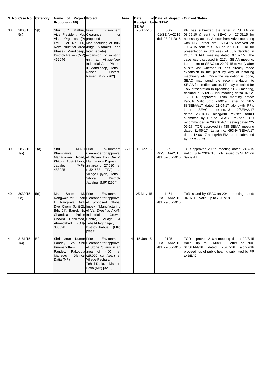|    | S. No Case No. Category |           | Name of Project Project                                                                                                                |                                                                                                                                                                                                                                                                                                               | Area  | Date                    | of Date of dispatch Current Status        |                                                                                                                                                                                                                                                                                                                                                                                                                                                                                                                                                                                                                                                                                                                                                                                                                                                                                                                                                                                                                                                                                                                                                                                                                                             |
|----|-------------------------|-----------|----------------------------------------------------------------------------------------------------------------------------------------|---------------------------------------------------------------------------------------------------------------------------------------------------------------------------------------------------------------------------------------------------------------------------------------------------------------|-------|-------------------------|-------------------------------------------|---------------------------------------------------------------------------------------------------------------------------------------------------------------------------------------------------------------------------------------------------------------------------------------------------------------------------------------------------------------------------------------------------------------------------------------------------------------------------------------------------------------------------------------------------------------------------------------------------------------------------------------------------------------------------------------------------------------------------------------------------------------------------------------------------------------------------------------------------------------------------------------------------------------------------------------------------------------------------------------------------------------------------------------------------------------------------------------------------------------------------------------------------------------------------------------------------------------------------------------------|
|    |                         |           | <b>Proponent (PP)</b>                                                                                                                  |                                                                                                                                                                                                                                                                                                               |       | Receipt<br><b>SEIAA</b> | by to SEAC                                |                                                                                                                                                                                                                                                                                                                                                                                                                                                                                                                                                                                                                                                                                                                                                                                                                                                                                                                                                                                                                                                                                                                                                                                                                                             |
| 38 | 2805/15<br>5(f)         | 5(f)      | Shri S.C. Mathur, Prior<br>Vice President, M/s Clearance<br>Vista Organics (P) proposed<br>Phase-II Mandideep, Intermediate)<br>462046 | Environment<br>for<br>Ltd., Plot No. 06, Manufacturing of bulk<br>New Industrial Area drugs Vitamins and<br>District- Raisen (MP) expansion of existing<br>unit at Village-New<br>Industrial Area Phase-<br>II Mandideep, Tehsil-<br>Raisen,<br>District-<br>Raisen (MP) [2962]                               |       | 23-Apr-15               | 600-<br>01/SEIAA/2015<br>dtd. 28-04-2015  | PP has submitted the letter in SEIAA on<br>08.05.15 & sent to SEAC on 27.05.15 for<br>necessary action. A letter from Advocate along<br>with NGT order dtd. 07.04.15 received on<br>10.04.15 sent to SEAC on 27.05.15. Call for<br>presentation in 3rd week of July decided in<br>216th SEIAA meeting dated 07.07.15. The<br>case was discussed in 217th SEIAA meeting.<br>Letter sent to SEAC on 22.07.15 to verify after<br>a site visit whether PP has already made<br>expansion in the plant by way of installing<br>machinery etc. Once the validation is done,<br>SEAC may send the recommendation to<br>SEIAA for credible action. PP may be called for<br>ToR presentation in upcoming SEAC meeting,<br>decided in 271st SEIAA meeting dated 15-12-<br>15. TOR approved 269th meeting dated:<br>29/2/16 Valid upto 28/9/19. Letter no. 287-<br>88/SEIAA/17 dated 21-04-17 alongwith PP's<br>letter to SEAC. Letter no. 311-12/SEIAA/17<br>dated 28-04-17 alongwith revised form-I<br>submitted by PP to SEAC. Revised TOR<br>recommended in 290 SEAC meeting dated 22-<br>05-17. TOR approved in 438 SEIAA meeting<br>dated 31-05-17. Letter no. 693-94/SEIAA/17<br>dated 12-06-17 alongwith EIA report submitted<br>by PP to SEAC. |
| 39 | 2853/15<br>1(a)         | 1(a)      | Shri<br><b>Mukul</b> Prior<br>Khampariya,<br>Mahagawan<br>Jabalpur<br>483225                                                           | Environment<br>Clearance for approval<br>Road, of Bijiyan Iron Ore &<br>Khitola, Post-Sihora, Manganese Deposit in<br>$(MP)$ - an area of 27.610 ha.<br>$(1,54,683$ TPA)<br>at<br>Village-Bijiyan, Tehsil-<br>Sihora,<br>District-<br>Jabalpur (MP) [2904]                                                    | 27.61 | 15-Apr-15               | 839-<br>40/SEIAA/2015<br>dtd. 02-05-2015  | TOR approved 209th meeting dated: 24/7/15<br>Valid up to 23/07/18. ToR issued by SEAC on<br>09-09-13.                                                                                                                                                                                                                                                                                                                                                                                                                                                                                                                                                                                                                                                                                                                                                                                                                                                                                                                                                                                                                                                                                                                                       |
| 40 | 3030/15<br>5(f)         | 5(f)      | Salim<br>Mr.<br>I.<br>Chandola<br>Chowki, Danilimda, Centre,<br>Ahmedabad<br>380028                                                    | M. Prior<br>Environment<br>Rangwala Mr. Zubair Clearance for approval<br>Rangwala Akik of proposed Global<br>Dye Chem (Unit-2), Impex "Manufacturing<br>B/h. J.K. Barrel, Nr. of Vat Dyes" at AKVN<br>Police Industrial<br>Growth<br>&<br>Village<br>(GJ)-Tehsil-Meghnagar,<br>District-Jhabua (MP)<br>[3552] |       | 25-May-15               | 1461-<br>62/SEIAA/2015<br>dtd. 29-05-2015 | ToR issued by SEAC on 204th meeting dated:<br>04-07-15. Valid up to 20/07/18                                                                                                                                                                                                                                                                                                                                                                                                                                                                                                                                                                                                                                                                                                                                                                                                                                                                                                                                                                                                                                                                                                                                                                |
| 41 | 3181/15<br>1(a)         | <b>B2</b> | Shri Arun Kumar Prior<br>Purooshottam<br>Pandey,<br>Mahadev,<br>Datia (MP)                                                             | Environment<br>Pandey S/o Shri Clearance for approval<br>of Stone Quarry in an<br>Pakoudia area of 4.00 ha.<br>District-(25,000 cum/year) at<br>Village-Pachara,<br>Tehsil-Datia, District-<br>Datia (MP) [3216]                                                                                              | 4     | 15-Jun-15               | 2125-<br>26/SEIAA/2015<br>dtd. 22-06-2015 | TOR approved 216th meeting dated: 22/8/15<br>Valid up to 21/08/18. Letter no.2700-<br>01/SEIAA/16<br>25-07-16<br>alongwith<br>dated<br>proceedings of public hearing submitted by PP<br>to SEAC.                                                                                                                                                                                                                                                                                                                                                                                                                                                                                                                                                                                                                                                                                                                                                                                                                                                                                                                                                                                                                                            |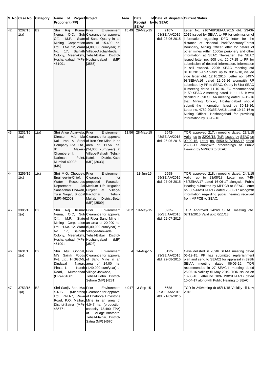|    | S. No Case No. Category |           | Name of Project Project                                                                                                                                                   |                                                                                                                                                                                                                                                                                         | Area  | Date                    | of Date of dispatch Current Status        |                                                                                                                                                                                                                                                                                                                                                                                                                                                                                                                                                                                                                                                                                                                                                                                                                                                                                                                                                                                                                                           |
|----|-------------------------|-----------|---------------------------------------------------------------------------------------------------------------------------------------------------------------------------|-----------------------------------------------------------------------------------------------------------------------------------------------------------------------------------------------------------------------------------------------------------------------------------------|-------|-------------------------|-------------------------------------------|-------------------------------------------------------------------------------------------------------------------------------------------------------------------------------------------------------------------------------------------------------------------------------------------------------------------------------------------------------------------------------------------------------------------------------------------------------------------------------------------------------------------------------------------------------------------------------------------------------------------------------------------------------------------------------------------------------------------------------------------------------------------------------------------------------------------------------------------------------------------------------------------------------------------------------------------------------------------------------------------------------------------------------------------|
|    |                         |           | <b>Proponent (PP)</b>                                                                                                                                                     |                                                                                                                                                                                                                                                                                         |       | Receipt<br><b>SEIAA</b> | by to SEAC                                |                                                                                                                                                                                                                                                                                                                                                                                                                                                                                                                                                                                                                                                                                                                                                                                                                                                                                                                                                                                                                                           |
| 42 | 3202/15<br>1(a)         | <b>B2</b> | Kumar Prior<br>Raj<br>Shri<br>Off.,<br>Hoshangabad (MP)-Hoshangabad<br>461001                                                                                             | Environment<br>Nema, OIC, Sub Clearance for approval<br>M.P. State of Sand Quarry in an<br>Mining Corporation area of 15.490 ha.<br>Ltd., H.No. 12, Ward (4,00,000 cum/year) at<br>No. 17, Sainath Village-Aachalkheda,<br>Colony, Meenakshi, Tehsil-Babai, District-<br>(MP)<br>[3586] | 15.49 | 29-May-15               | 2167-<br>68/SEIAA/2015<br>dtd. 23-06-2015 | Letter No. 2167-68/SEIAA/2015 dtd. 23-06-<br>2015 issued by SEIAA to PP for submission of<br>information regarding DFO letter for the<br>distance of National Park/Sanctuary/Forest<br>Boundary, Mining Officer letter for details of<br>other mines within 1000m periphery and other<br>information at SEAC. Thereafter, the SEAC<br>issued letter no. 908 dtd. 20-07-15 to PP for<br>submission of desired information. Information<br>is still awaited. 229th SEAC meeting dtd<br>01.10.2015-ToR Valid up to 30/09/18, issued<br>vide letter dtd. 12.10.2015. Letter no. 3497-<br>98/SEIAA/16 dated 12-09-16 alongwith RP<br>submitted by PP to SEAC. Query in 51st SEAC<br>Il meeting dated 11-10-16. EC recommended<br>in 59 SEAC-2 meeting dated 11-11-16. It was<br>decided in 390 SEIAA meeting dated 02-12-16<br>that Mining Officer, Hoshangabad should<br>submit the information latest by 30-12-16.<br>Letter no. 4789-90/SEIAA/16 dated 19-12-16 to<br>Mining Officer, Hoshangabad for providing<br>information by 30-12-16. |
| 43 | 3231/15<br>1(a)         | 1(a)      | Shri Anup Agarwala, Prior<br>84,<br>Chambers-III,<br>Nariman<br>Mumbai-400021<br>(MS)                                                                                     | Environment<br>Director, M/s Ma Clearance for approval<br>Kali Iron & Steel of Iron Ore Mine in an<br>Company Pvt. Ltd., area of 11.56 ha.<br>Makers (24,000 cum/year) at<br>Village-Pahadi, Tehsil-<br>Point, Katni,<br>District-Katni<br>(MP) [3633]                                  | 11.56 | 28-May-15               | 2542-<br>43/SEIAA/2015<br>dtd. 26-06-2015 | TOR approved 217th meeting dated: 23/8/15<br>Valid up to 22/08/18. ToR issued by SEAC on<br>09-09-15. Letter no. 5650-51/SEIAA/17 dated<br>23-03-17 alongwith proceedings of Public<br>Hearing by MPPCB to SEAC.                                                                                                                                                                                                                                                                                                                                                                                                                                                                                                                                                                                                                                                                                                                                                                                                                          |
| 44 | 3259/15<br>1(c)         | 1(c)      | Shri M.G. Choubey, Prior<br>Engineer-in-Chief,<br>Water<br>Resources proposed<br>Department,<br>Sansadhan Bhawan, Project<br>Tulsi Nagar, Bhopal Pachdhar,<br>(MP)-462003 | Environment<br>Clearance<br>for<br>Parasdoh<br>Jal Medium Life Irrigation<br>at Village-<br>Tehsil-<br>Multai,<br>District-Betul<br>(MP) [3509]                                                                                                                                         |       | 22-Jun-15               | 2598-<br>99/SEIAA/2015<br>dtd. 27-06-2015 | TOR approved 218th meeting dated: 24/8/15<br>Valid up to 23/08/18. Letter no. 745-<br>46/SEIAA/17 dated 16-06-17 alongwith Public<br>Hearing submitted by MPPCB to SEAC. Letter<br>no. 865-66/SEIAA/17 dated 23-06-17 alongwith<br>information regarding public hearing received<br>from MPPCB to SEAC.                                                                                                                                                                                                                                                                                                                                                                                                                                                                                                                                                                                                                                                                                                                                   |
| 45 | 3385/15<br>1(a)         | <b>B2</b> | Kumar Prior<br>Shri<br>Raj<br>No. 17, Sainath Village-Manwada,<br>Hoshangabad (MP)-Hoshangabad<br>461001                                                                  | Environment<br>Nema, OIC, Sub Clearance for approval<br>Off., M.P. State of River Sand Mine in<br>Mining Corporation an area of 20.200 ha.<br>Ltd., H.No. 12, Ward (5,00,000 cum/year) at<br>Colony, Meenakshi, Tehsil-Babai, District-<br>(MP)<br>[3523]                               |       | 20.2 19-May-15          | 3935-<br>36/SEIAA/2015<br>dtd. 22-07-2015 | TOR Approved 242nd SEAC meeting dtd.<br>07/11/2015 Valid upto 6/11/18                                                                                                                                                                                                                                                                                                                                                                                                                                                                                                                                                                                                                                                                                                                                                                                                                                                                                                                                                                     |
| 46 | 3631/15<br>1(a)         | <b>B2</b> | Shri Atul Gondal, Prior<br>Dindayal<br>Phase-1.<br>Road,<br>(UP)-461661                                                                                                   | Environment<br>M/s Sainik Foods Clearance for approval<br>Pvt. Ltd., HIGGD-5, of Sand Mine in an<br>Nagar, area of 14.00 ha.<br>Kanth (1,40,000 cum/year) at<br>Muradabad Village-Janwasa,<br>Tehsil-Budhni, District-<br>Sehore (MP) [4281]                                            | 4     | 14-Aug-15               | 5122-<br>23/SEIAA/2015<br>dtd. 22-08-2015 | Case delisted in 269th SEIAA meeting dated<br>06-12-15. PP has submitted replenishment<br>plan and send to SEAC2 for appraisal in 328th<br>SEIAA meeting dated 06-05-16. TOR<br>recommended in 27 SEAC-II meeting dated<br>25.05.16 Validity till May 2019. TOR issued on<br>10-06-16. Letter no. 189- 190/SEIAA/17 dated<br>10-04-17 alongwith Public Hearing to SEAC.                                                                                                                                                                                                                                                                                                                                                                                                                                                                                                                                                                                                                                                                   |
| 47 | 3753/15<br>1(a)         | <b>B2</b> | Shri Sanjiv Beri, M/s Prior<br>S.N.S.<br>485771                                                                                                                           | Environment<br>(Minerals) Clearance for approval<br>Ltd., ZNH-7, Rewal of Bhatoora Limestone<br>Road, P.O. Maihar, Mine in an area of<br>District-Satna (MP)- 4.047 ha. (production<br>capacity 73,490 TPA)<br>Village-Bhatoora,<br>at<br>Tehsil-Maihar, District-<br>Satna (MP) [4670] | 4.047 | 3-Sep-15                | 5688-<br>89/SEIAA/2015<br>dtd. 21-09-2015 | TOR in 240Meting dt-05/11/15 Validity till Nov<br>2018                                                                                                                                                                                                                                                                                                                                                                                                                                                                                                                                                                                                                                                                                                                                                                                                                                                                                                                                                                                    |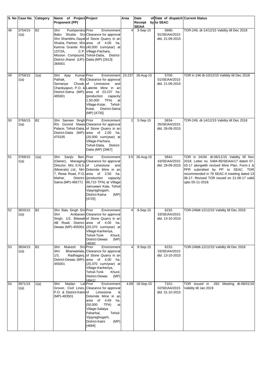|    | S. No Case No. Category |           | Name of Project Project                                                                 |                                                                                                                                                                                                                                                                                                                   | Area           | Date                               | of Date of dispatch Current Status        |                                                                                                                                                                                                                                                                                               |
|----|-------------------------|-----------|-----------------------------------------------------------------------------------------|-------------------------------------------------------------------------------------------------------------------------------------------------------------------------------------------------------------------------------------------------------------------------------------------------------------------|----------------|------------------------------------|-------------------------------------------|-----------------------------------------------------------------------------------------------------------------------------------------------------------------------------------------------------------------------------------------------------------------------------------------------|
|    |                         |           | <b>Proponent (PP)</b>                                                                   |                                                                                                                                                                                                                                                                                                                   |                | Receipt by to SEAC<br><b>SEIAA</b> |                                           |                                                                                                                                                                                                                                                                                               |
| 48 | 3754/15<br>1(a)         | <b>B2</b> | Pushpendra Prior<br>Shri<br>137/2A,<br>District-Jhansi (UP)-Datia (MP) [2613]<br>284001 | Environment<br>Babu Shukla S/o Clearance for approval<br>Shri Shambhu Dayal of Stone Quarry in an<br>Shukla, Partner, M/s area of 4.00 ha.<br>Kamna Granite R/o (40,000 cum/year) at<br>C.P. Village-Pachara,<br>Mission Compound, Tehsil-Datia, District-                                                        | $\overline{4}$ | 3-Sep-15                           | 5690-<br>91/SEIAA/2015<br>dtd. 21-09-2015 | TOR-249, dt-14/12/15 Validity till Dec 2018                                                                                                                                                                                                                                                   |
| 49 | 3759/15<br>1(a)         | 1(a)      | Kumar Prior<br>Shri Ajay<br>Pathak,<br>Chowk, of<br>Semariya<br>485001                  | Environment 23.237<br>R/o Clearance for approval<br>Limestone<br>and<br>Chankyapuri, P.O. & Laterite Mine in an<br>District-Satna (MP)-area of 23.237 ha.<br>(production<br>capacity<br>TPA)<br>1,50,000<br>at<br>Village-Kotar, Tehsil-<br>Kotar,<br>District-Satna<br>(MP) [4735]                               |                | 26-Aug-15                          | 5700-<br>01/SEIAA/2015<br>dtd. 21-09-2015 | TOR in 246 dt-10/12/15 Validity till Dec 2018                                                                                                                                                                                                                                                 |
| 50 | 3766/15<br>1(a)         | <b>B2</b> | Shri Sameer Singh Prior<br>475335                                                       | Environment<br>R/o Govind Niwas Clearance for approval<br>Palace, Tehsil-Datia, of Stone Quarry in an<br>District-Datia (MP)-area of 2.00 ha.<br>(20,000 cum/year) at<br>Village-Pachara,<br>Tehsil-Datia, District-<br>Datia (MP) [3967]                                                                         | $\overline{2}$ | 3-Sep-15                           | 5834-<br>35/SEIAA/2015<br>dtd. 28-09-2015 | TOR-249, dt-14/12/15 Validity till Dec 2018                                                                                                                                                                                                                                                   |
| 51 | 3769/15<br>1(a)         | 1(a)      | Shri Sanjiv<br>Director, M/s S.N.S. of Limestone<br>Maihar,<br>Satna (MP)-485771        | Beri, Prior<br>Environment<br>(Owner), Managing Clearance for approval<br>and<br>(Minerals) Ltd., NH- Dolomite Mine in an<br>7, Rewa Road, P.O. area of 3.50 ha.<br>District- (production<br>capacity<br>88,710 TPA) at Village-<br>Jamuwani Kala, Tehsil-<br>Vijayraghogarh,<br>(MP)<br>District-Katna<br>[4725] | 3.5            | 26-Aug-15                          | 5842-<br>43/SEIAA/2015<br>dtd. 29-09-2015 | TOR in 241M. dt-06/11/15 Validity till Nov<br>2018. Letter no. 5484-85/SEIAA/17 dated 07-<br>03-17 alongwith revised Mine Plan, Form-1 &<br>PFR submitted by PP to SEAC. TOR<br>recommended in 79 SEAC-II meeting dated 13<br>06-17. Revised TOR issued on 21-06-17 valid<br>upto 05-11-2018. |
| 52 | 3833/15<br>1(a)         | <b>B2</b> | Shri Balu Singh S/o Prior<br>Shri                                                       | Environment<br>Ambaram Clearance for approval<br>Singh, 1/2, Bilawali of Stone Quarry in an<br>AB Road, District- area of 4.00 ha.<br>Dewas (MP)-455001 (20,370 cum/year) at<br>Village-Kanheriya,<br>Tehsil-Tonk<br>Khurd,<br>District-Dewas<br>(MP)<br>[4935]                                                   | $\overline{4}$ | 9-Sep-15                           | 6232-<br>33/SEIAA/2015<br>dtd. 13-10-2015 | TOR-248dt-12/12/15 Validity till Dec 2018                                                                                                                                                                                                                                                     |
| 53 | 3834/15<br>1(a)         | <b>B2</b> | Mukesh<br>Shri<br>Shri<br>1/3,<br>455001                                                | S/o Prior<br>Environment<br>Bhanwarlala, Clearance for approval<br>Radhaganj, of Stone Quarry in an<br>District-Dewas (MP)-area of 4.00 ha.<br>$(20,370$ cum/year) at<br>Village-Kanheriya,<br>Tehsil-Tonk<br>Khurd,<br>District-Dewas<br>(MP)<br>[4941]                                                          | $\overline{4}$ | 9-Sep-15                           | 6232-<br>33/SEIAA/2015<br>dtd. 13-10-2015 | TOR-248dt-12/12/15 Validity till Dec 2018                                                                                                                                                                                                                                                     |
| 54 | 3971/15<br>1(a)         | 1(a)      | Madan<br>Shri<br>P.O. & District-Katniof<br>(MP)-483501                                 | Lal Prior<br>Environment<br>Grover, Civil Lines, Clearance for approval<br>Limestone<br>&<br>Dolomite Mine in an<br>area of 4.69<br>ha.<br>(50,000)<br>TPA)<br>at<br>Village-Salaiya<br>Paharhai,<br>Tehsil-<br>Vijayraghogarh,<br>District-Katni<br>(MP)<br>[4684]                                               | 4.69           | 18-Sep-15                          | 7101-<br>02/SEIAA/2015<br>dtd. 31-10-2015 | TOR issued in -262 Meeting dt-09/01/16<br>Validity till Jan 2019                                                                                                                                                                                                                              |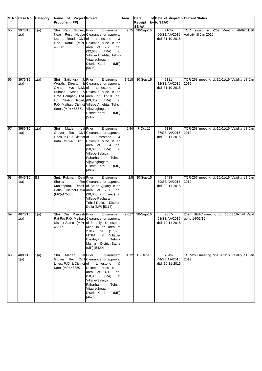|    | S. No Case No. Category |           | Name of Project Project                                                                     |                                                                                                                                                                                                                                                                                          | Area  | Date                               | of Date of dispatch Current Status           |                                                                  |
|----|-------------------------|-----------|---------------------------------------------------------------------------------------------|------------------------------------------------------------------------------------------------------------------------------------------------------------------------------------------------------------------------------------------------------------------------------------------|-------|------------------------------------|----------------------------------------------|------------------------------------------------------------------|
|    |                         |           | <b>Proponent (PP)</b>                                                                       |                                                                                                                                                                                                                                                                                          |       | Receipt by to SEAC<br><b>SEIAA</b> |                                              |                                                                  |
| 55 | 3973/15<br>1(a)         | 1(a)      | Shri Ravi Grover, Prior<br>No. 1 Road, Civil of<br>483501                                   | Environment<br>Near Rest House Clearance for approval<br>Limestone<br>&<br>Line, Katni (MP)-Dolomite Mine in an<br>area of 2.75<br>ha.<br>TPA)<br>(92, 688)<br>at<br>Village-Amehta, Tehsil-<br>Vijayraghogarh,<br>(MP)<br>District-Katni<br>[5405]                                      | 2.75  | 30-Sep-15                          | 7105-<br>06/SEIAA/2015<br>dtd. 31-10-2015    | TOR issued in -262 Meeting dt-09/01/16<br>Validity till Jan 2019 |
| 56 | 3976/15<br>1(a)         | 1(a)      | Sailendra<br>Shri<br>Owner, M/s N.M. of<br>Ltd., Station Road, (89,302<br>Satna (MP)-485771 | J. Prior<br>Environment<br>Worah, Director & Clearance for approval<br>Limestone<br>&<br>Dubash Stone & Dolomite Mine in an<br>Lime Company Pvt. area of 1.518 ha.<br>TPA)<br>at<br>P.O.-Maihar, District Village-Amehta, Tehsil-<br>Vijayraghogarh,<br>District-Katni<br>(MP)<br>[5392] | 1.518 | 30-Sep-15                          | $7111 -$<br>12/SEIAA/2015<br>dtd. 31-10-2015 | TOR-268 meeting dt-16/01/16 Validity till Jan<br>2019            |
| 57 | 3986/15<br>1(a)         | 1(a)      | Shri<br>Madan<br>Grover R/o<br>Lines, P.O. & District-of<br>Katni (MP)-483501               | Lal Prior<br>Environment<br>Civil Clearance for approval<br>Limestone<br>&<br>Dolomite Mine in an<br>area of 9.84<br>ha.<br>(50,000)<br>TPA)<br>at<br>Village-Salaiya<br>Tehsil-<br>Paharhai,<br>Vijayraghogarh,<br>District-Katni<br>(MP)<br>[4682]                                     | 9.84  | 7-Oct-15                           | 7136-<br>37/SEIAA/2015<br>dtd. 03-11-2015    | TOR-268 meeting dt-16/01/16 Validity till Jan<br>2019            |
| 58 | 4045/15<br>1(a)         | <b>B2</b> | Smt. Rukmani Devi Prior<br>Shukla<br>(MP)-475335                                            | Environment<br>R/o Clearance for approval<br>Kunjanpura, Tehsil- of Stone Quarry in an<br>Datia, District-Datia area of 2.50 ha.<br>(30,000 cum/year) at<br>Village-Pachara,<br>Tehsil-Datia, District-<br>Datia (MP) [5118]                                                             | 2.5   | 30-Sep-15                          | 7488-<br>89/SEIAA/2015<br>dtd. 09-11-2015    | TOR-267 meeting dt-15/01/16 Validity till Jan<br>2019            |
| 59 | 4070/15<br>1(a)         | 1(a)      | Shri Om Prakash Prior<br>485771                                                             | <b>Environment</b><br>Rai R/o P.O. Maihar, Clearance for approval<br>District-Satna (MP)-of Barahiya Limestone<br>Mine in an area of<br>2.017 ha.<br>(17,600)<br>MTPA) at<br>Village-<br>Tehsil-<br>Barahiya,<br>Maihar, District-Satna<br>(MP) [5429]                                   | 2.017 | 30-Sep-15                          | 7857-<br>58/SEIAA/2015<br>dtd. 19-11-2015    | 267th SEAC meeting dtd. 15.01.16-ToR Valid<br>up to 14/01/19     |
| 60 | 4088/15<br>1(a)         | 1(a)      | Madan<br>Shri<br>Grover R/o<br>Lines, P.O. & District-of<br>Katni (MP)-483501               | Lal Prior<br>Environment<br>Civil Clearance for approval<br>Limestone<br>Dolomite Mine in an<br>area of 4.12 ha.<br>(50,000)<br>TPA)<br>at<br>Village-Salaiya<br>Paharhai,<br>Tehsil-<br>Vijayraghogarh,<br>District-Katni<br>(MP)<br>[4676]                                             | 4.12  | $15-Oct-15$                        | 7843-<br>44/SEIAA/2015<br>dtd. 19-11-2015    | TOR-268 meeting dt-16/01/16 Validity till Jan<br>2019            |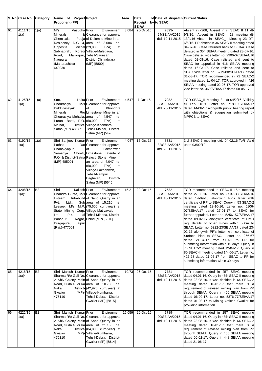|    | S. No Case No. Category |           | Name of Project Project<br><b>Proponent (PP)</b>                                                                                                                  |                                                                                                                                                                                                                                                                                    | Area  | Date<br>Receipt           | of Date of dispatch Current Status<br>by to SEAC |                                                                                                                                                                                                                                                                                                                                                                                                                                                                                                                                                                                                                                                                                                                                                                                                                                                         |
|----|-------------------------|-----------|-------------------------------------------------------------------------------------------------------------------------------------------------------------------|------------------------------------------------------------------------------------------------------------------------------------------------------------------------------------------------------------------------------------------------------------------------------------|-------|---------------------------|--------------------------------------------------|---------------------------------------------------------------------------------------------------------------------------------------------------------------------------------------------------------------------------------------------------------------------------------------------------------------------------------------------------------------------------------------------------------------------------------------------------------------------------------------------------------------------------------------------------------------------------------------------------------------------------------------------------------------------------------------------------------------------------------------------------------------------------------------------------------------------------------------------------------|
| 61 | 4111/15<br>1(a)         | 1(a)      | M/s<br>Vasudha Prior<br>Minerals<br>Chemicals,<br>Residency, D.G. 4, area of 3.084<br>Opposite<br>Sabhagrah,<br>Road,<br>Nagpura<br>(Maharashtra)-<br>440030      | Environment<br>& Clearance for approval<br>Pooja of Dolomite Mine in an<br>ha.<br>Vishal (29,835<br>TPA)<br>at<br>Koradi Village-Malegaon,<br>Mankapur, Tehsil-Saunsar,<br>District-Chhindwara<br>(MP) [5800]                                                                      | 3.084 | <b>SEIAA</b><br>26-Oct-15 | 7893-<br>94/SEIAA/2015<br>dtd. 19-11-2015        | Absent in -268, Absent in in SEAC_II 11 dt-<br>9/3/16, Absent in SEAC-II 18 meeting dt-<br>13/4/16 Absent in -SEAC_II Meeting 23 DT-<br>6/5/16. PP absent in 36 SEAC-II meeting dated<br>04-07-16. Case returned back to SEIAA. Case<br>delisted in 354 SEIAA meeting dated 23-07-16.<br>Case delisted vide letter no. 2906-07/SEIAA/16<br>dated 02-08-16. Case relisted and sent to<br>SEAC for appraisal in 416 SEIAA meeting<br>dated 16-03-17. Case relisted and sent to<br>SEAC vide letter no. 5779-80/SEIAA/17 dated<br>31-03-17. TOR recommended in 72 SEAC-2<br>meeting dated 11-04-17. TOR approved in 426<br>SEIAA meeting dated 02-05-17. TOR approved<br>vide letter no. 369/SEIAA/17 dated 08-05-17.                                                                                                                                      |
| 62 | 4125/15<br>1(a)         | 1(a)      | Smt.<br>Chourasiya,<br>Diddhivinayak<br>Minerals,<br>Purani Basti, P.O. (50,000<br>Maihar,<br>Satna (MP)-485771                                                   | Lalita Prior<br>Environment<br>M/s Clearance for approval<br>Khondhra<br>of<br>R/olLimestone Mine in an<br>Chourasiya Mohalla, area of 4.547 ha.<br>TPA)<br>at<br>District- Village-Khondhra,<br>Tehsil-Maihar, District-<br>Satna (MP) [5490]                                     | 4.547 | 7-Oct-15                  | 7982-<br>83/SEIAA/2015<br>dtd. 23-11-2015        | TOR-SEAC_II Meeting 3, dt-04/2/16 Validity<br>till Feb 2019. Letter no. 718-19/SEIAA/17<br>dated 14-06-17 alongwith public hearing report<br>with objections & suggestion submitted by<br>MPPCB to SEAC.                                                                                                                                                                                                                                                                                                                                                                                                                                                                                                                                                                                                                                                |
| 63 | 4192/15<br>1(a)         | 1(a)      | Shri Sanjeev Kumar Prior<br>Pathak<br>Chanakyapuri,<br>Semariya<br>(MP)-485001                                                                                    | Environment<br>R/o Clearance for approval<br>Lakhanwah<br>of<br>Chowk, Limestone, Laterite &<br>P.O. & District-Satna Reject Stone Mine in<br>an area of 4.047 ha.<br>(50,000)<br>TPA)<br>at<br>Village-Lakhanwah,<br>Tehsil-Rampur<br>Baghelan,<br>District-<br>Satna (MP) [5645] | 4.047 | 15-Oct-15                 | 8331-<br>32/SEIAA/2015<br>dtd. 28-11-2015        | 3rd SEAC-2 meeting dtd. 04.02.16-ToR Valid<br>up to 03/02/19                                                                                                                                                                                                                                                                                                                                                                                                                                                                                                                                                                                                                                                                                                                                                                                            |
| 64 | 4208/15<br>$1(a)^{*}$   | <b>B2</b> | Kailash Prior<br>Shri<br>Esteem<br>Pvt.<br>Ltd.,<br>State Mining Corp. Village-Matiyavali,<br>Ltd.,<br>$P-4,$<br>Bahadur<br>Durgapura,<br>Jaipur<br>(Raj.)-477001 | Environment<br>Chandra Gupta, M/s Clearance for approval<br>Infrabuild of Sand Quarry in an<br>Sub area of 15.210 ha.<br>Lessee, M/s M.P. (75,600 cum/year) at<br>Lal Tehsil-Mihona, District-<br>Nagar, Bhind (MP) [5076]                                                         | 15.21 | 29-Oct-15                 | 7532-<br>33/SEIAA/2015<br>dtd. 10-11-2015        | TOR recommended in SEAC-II 15th meeting<br>dated 27.03.16. Letter no. 3537-38/SEIAA/16<br>dated 14-09-16 alongwith PP's letter with<br>certificate of RP to SEAC. Query in 53 SEAC-2<br>meeting dated 13-10-16. Letter no. 5106-<br>07/SEIAA/17 dated 27-01-17 to SEAC for<br>further appraisal. Letter no. 5256- 57/SEIAA/17<br>dated 09-02-17 alongwith certificate of DMO<br>reg. details of other mines within 500m to<br>SEAC. Letter no. 5322-23/SEIAA/17 dated 23-<br>02-17 alongwith PP's letter with certificate of<br>Surface Plan to SEAC. Letter no. 266-67<br>dated 21-04-17 from SEAC to PP for<br>submitting information within 15 days. Query in<br>73 SEAC-2 meeting dated 12-04-17. Query in<br>80 SEAC-II meeting dated 14- 06-17. Letter no.<br>427-28 dated 21-06-17 from SEAC to PP for<br>submitting information within 30 days. |
| 65 | 4218/15<br>$1(a)^{*}$   | <b>B2</b> | Shri Manish Kumar Prior<br>Naka,<br>Gwalior<br>475110                                                                                                             | Environment<br>Sharma R/o Gali No. Clearance for approval<br>2, Shiv Colony, Main of Sand Quarry in an<br>Road, Guda Gudi Kalarea of 10.730 ha.<br>District- (42,920 cum/year) at<br>(MP)- Village-Kumharra,<br>Tehsil-Dabra, District-<br>Gwalior (MP) [5815]                     | 10.73 | 26-Oct-15                 | 7781-<br>82/SEIAA/2015<br>dtd. 19-11-2015        | TOR recommended in 257 SEAC meeting<br>dated 04.01.16. Query in 48th SEAC-II meeting<br>dated 28-08-16. It was decided in 64 SEAC-2<br>meeting dated 16-01-17 that there is a<br>requirement of revised mining plan from PP<br>through SEIAA. Query in 406 SEIAA meeting<br>dated 06-02-17. Letter no. 5376-77/SEIAA/17<br>dated 01-03-17 to Mining Officer, Gwalior for<br>providing information.                                                                                                                                                                                                                                                                                                                                                                                                                                                      |
| 66 | 4222/15<br>1(a)         | <b>B2</b> | Shri Manish Kumar Prior<br>Naka,<br>Gwalior<br>475110                                                                                                             | Environment 15.059<br>Sharma R/o Gali No. Clearance for approval<br>2, Shiv Colony, Main of Sand Quarry in an<br>Road, Guda Gudi Kalarea of 21.160 ha.<br>District- (84,800 cum/year) at<br>(MP)- Village-Kumharra,<br>Tehsil-Dabra, District-<br>Gwalior (MP) [5814]              |       | 26-Oct-15                 | 7789-<br>90/SEIAA/2015<br>dtd. 19-11-2015        | TOR recommended in 257 SEAC meeting<br>dated 04.01.16. Query in 48th SEAC-II meeting<br>dated 28-08-16. It was decided in 64 SEAC-2<br>meeting dated 16-01-17 that there is a<br>requirement of revised mining plan from PP<br>through SEIAA. Query in 406 SEIAA meeting<br>dated 06-02-17. Query in 448 SEIAA meeting<br>dated 21-06-17.                                                                                                                                                                                                                                                                                                                                                                                                                                                                                                               |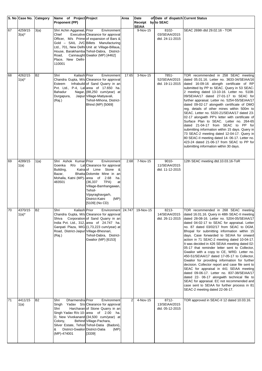|    | S. No Case No.        | Category       | Name of Project Project                                                                                      |                                                                                                                                                                                                                                                                      | Area           | Date                     | of Date of dispatch Current Status           |                                                                                                                                                                                                                                                                                                                                                                                                                                                                                                                                                                                                                                                                                                                                                                                                                                                                                                                                                       |
|----|-----------------------|----------------|--------------------------------------------------------------------------------------------------------------|----------------------------------------------------------------------------------------------------------------------------------------------------------------------------------------------------------------------------------------------------------------------|----------------|--------------------------|----------------------------------------------|-------------------------------------------------------------------------------------------------------------------------------------------------------------------------------------------------------------------------------------------------------------------------------------------------------------------------------------------------------------------------------------------------------------------------------------------------------------------------------------------------------------------------------------------------------------------------------------------------------------------------------------------------------------------------------------------------------------------------------------------------------------------------------------------------------------------------------------------------------------------------------------------------------------------------------------------------------|
|    |                       |                | Proponent (PP)                                                                                               |                                                                                                                                                                                                                                                                      |                | Receipt                  | by to SEAC                                   |                                                                                                                                                                                                                                                                                                                                                                                                                                                                                                                                                                                                                                                                                                                                                                                                                                                                                                                                                       |
| 67 | 4259/15<br>$3(a)^*$   | 3(a)           | Shri Achin Aggarwal, Prior<br>Chief<br>Road,<br>Place, New Delhi-<br>110001                                  | Environment<br>Executive Clearance for approval<br>Officer, M/s Prime of expansion of Bars &<br>Gold - SAIL JVC Billets Manufacturing<br>Ltd., 701, New Delhi Unit at Village-Billaua,<br>House, Barakhamba Tehsil-Dabra, District-<br>Cannaught Gwalior (MP) [4462] |                | <b>SEIAA</b><br>9-Nov-15 | 8102-<br>03/SEIAA/2015<br>dtd. 24-11-2015    | SEAC 269th dtd 29.02.16 - TOR                                                                                                                                                                                                                                                                                                                                                                                                                                                                                                                                                                                                                                                                                                                                                                                                                                                                                                                         |
| 68 | 4262/15<br>$1(a)^*$   | <b>B2</b>      | Shri<br>Kailash Prior<br>Esteem<br>Bahadur<br>Durgapura,<br>(Raj.)                                           | Environment<br>Chandra Gupta, M/s Clearance for approval<br>Infrabuild of Sand Quarry in an<br>Pvt. Ltd., P-4, Lalarea of 17.650 ha.<br>Nagar, (88,250 cum/year) at<br>Jaipur Village-Matiyavali,<br>Tehsil-Mihona, District-<br>Bhind (MP) [5069]                   | 17.65          | 3-Nov-15                 | 7851-<br>52/SEIAA/2015<br>dtd. 19-11-2015    | TOR recommended in 258 SEAC meeting<br>dated 05.01.16. Letter no. 3633-34/SEIAA/16<br>dated 16-09-16 alongth certificate of RP<br>submitted by PP to SEAC. Query in 53 SEAC-<br>2 meeting dated 13-10-16. Letter no. 5108-<br>09/SEIAA/17 dated 27-01-17 to SEAC for<br>further appraisal. Letter no. 5254-55/SEIAA/17<br>dated 09-02-17 alongwith certificate of DMO<br>reg. details of other mines within 500m to<br>SEAC. Letter no. 5320-21/SEIAA/17 dated 23-<br>02-17 alongwith PP's letter with certificate of<br>Surface Plan to SEAC. Letter no. 264-65<br>dated 21-04-17 from SEAC to PP for<br>submitting information within 15 days. Query in<br>73 SEAC-2 meeting dated 12-04-17. Query in<br>80 SEAC-II meeting dated 14- 06-17. Letter no.<br>423-24 dated 21-06-17 from SEAC to PP for<br>submitting information within 30 days.                                                                                                      |
| 69 | 4289/15<br>1(a)       | 1(a)           | Shri Ashok Kumar Prior<br>Goenka<br>R/o<br>Building,<br>Bazar,<br>Mohalla, Katni (MP)-area of 2.68<br>483501 | Environment<br>Lal Clearance for approval<br>Katra of Lime Stone<br>&<br>Bhatta Dolomite Mine in an<br>ha.<br>TPA)<br>(36, 337)<br>at<br>Village-Bamhangawan,<br>Tehsil-<br>Vijayraghavgarh,<br>(MP)<br>District-Katni<br>[5109] (No CD)                             | 2.68           | 7-Nov-15                 | $9010 -$<br>11/SEIAA/2015<br>dtd. 11-12-2015 | 12th SEAC meeting dtd.10.03.16-ToR                                                                                                                                                                                                                                                                                                                                                                                                                                                                                                                                                                                                                                                                                                                                                                                                                                                                                                                    |
| 70 | 4370/15<br>$1(a)^{*}$ | B <sub>2</sub> | Kailash Prior<br>Shri<br>Shiva<br>Road, District-Jaipur Village-Bhesnari,<br>(Raj.)                          | Environment 24.747<br>Chandra Gupta, M/s Clearance for approval<br>Corporation of Sand Quarry in an<br>India Pvt. Ltd., 312, area of 24.747 ha.<br>Ganpati Plaza, MIG (1,73,223 cum/year) at<br>Tehsil-Dabra, District-<br>Gwalior (MP) [6153]                       |                | 19-Nov-15                | 8213-<br>14/SEIAA/2015<br>dtd. 26-11-2015    | TOR recommended in 268 SEAC meeting<br>dated 16.01.16. Query in 48th SEAC-II meeting<br>dated 28-08-16. Letter no. 5204-05/SEIAA/17<br>dated 04-02-17 to SEAC for appraisal. Letter<br>no. 87 dated 03/02/17 from SEAC to DGM,<br>Bhopal for submitting information within 15<br>days. Case forwarded to SEIAA for onward<br>action in 71 SEAC-2 meeting dated 10-04-17.<br>It was decided in 426 SEIAA meeting dated 02-<br>05-17 that reminder letter sent to Collector,<br>Gwalior with a copy to CE, WRD. Letter no.<br>450-51/SEIAA/17 dated 17-05-17 to Collector,<br>Gwalior for providing information for further<br>decision. Collector report and case file sent to<br>SEAC for appraisal in 441 SEIAA meeting<br>dated 09-06-17. Letter no. 837-38/SEIAA/17<br>dated 22- 06-17 alongwith technical file to<br>SEAC for appraisal. EC not recommended and<br>case sent to SEIAA for further process in 81<br>SEAC-2 meeting dated 22-06-17. |
| 71 | 4411/15<br>1(a)       | <b>B2</b>      | Dharmendra Prior<br>Shri<br>Singh<br>Shri<br>Colony,<br>District-Gwalior District-Datia<br>&<br>(MP)-474001  | Environment<br>Yadav S/o Clearance for approval<br>Harcharan of Stone Quarry in an<br>Singh Yadav R/o 10- area of 2.00 ha.<br>D, New Vivekanand (34,500 cum/year) at<br>Behind Village-Pachara,<br>Silver Estate, Tehsil Tehsil-Datia (Badoni),<br>(MP)<br>[3339]    | $\overline{2}$ | 4-Nov-15                 | 8712-<br>13/SEIAA/2015<br>dtd. 05-12-2015    | TOR approved in SEAC-II 12 dated 10.03.16.                                                                                                                                                                                                                                                                                                                                                                                                                                                                                                                                                                                                                                                                                                                                                                                                                                                                                                            |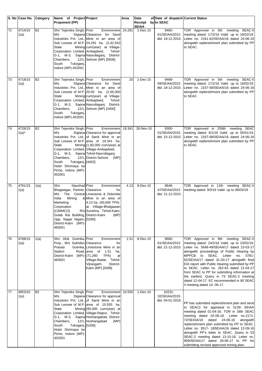|                 | S. No Case No.        | <b>Category</b> | Name of Project Project                                                                                                                                                                                                             |                                                                                                                                                                                                                                                                                       | Area | Date                     | of Date of dispatch Current Status         |                                                                                                                                                                                                                                                                                                                                                                                                                                                                                                                                                |
|-----------------|-----------------------|-----------------|-------------------------------------------------------------------------------------------------------------------------------------------------------------------------------------------------------------------------------------|---------------------------------------------------------------------------------------------------------------------------------------------------------------------------------------------------------------------------------------------------------------------------------------|------|--------------------------|--------------------------------------------|------------------------------------------------------------------------------------------------------------------------------------------------------------------------------------------------------------------------------------------------------------------------------------------------------------------------------------------------------------------------------------------------------------------------------------------------------------------------------------------------------------------------------------------------|
|                 |                       |                 | Proponent (PP)                                                                                                                                                                                                                      |                                                                                                                                                                                                                                                                                       |      | Receipt by to SEAC       |                                            |                                                                                                                                                                                                                                                                                                                                                                                                                                                                                                                                                |
| 72              | 4714/15<br>1(a)       | <b>B2</b>       | Shri Tejendra Singh, Prior<br>M/s<br>State<br>Corporation Limited, Ambajdeed,<br>G-1, M-3,<br>Chambers,<br>South<br>Tukoganj,<br>Indore (MP)-452001                                                                                 | Environment 24.291<br>Digiana Clearance for Sand<br>Industries Pvt. Ltd., Mine in an area of<br>Sub Lessee of M.P. 24.291 ha. (2,42,910)<br>Mining cum/year) at Village-<br>Tehsil-<br>Sapna Nasrullaganj, District-<br>12/1, Sehore (MP) [5836]                                      |      | <b>SEIAA</b><br>1-Dec-15 | 9460-<br>61/SEIAA/2015<br>dtd. 18-12-2015  | TOR Approved in 5th meeting SEAC-II<br>meeting dated: 17/2/16 Valid up to 16/02/19.<br>Letter no. 2161-62/SEIAA/16 dated 24-06-16<br>alongwith replenishment plan submitted by PP<br>to SEAC.                                                                                                                                                                                                                                                                                                                                                  |
| 73              | 4718/15<br>1(a)       | <b>B2</b>       | Shri Tejendra Singh, Prior<br>M/s<br><b>State</b><br>Corporation Limited, Ambajdeed,<br>G-1, M-3, Sapna Nasrullaganj,<br>Chambers,<br>South<br>Tukoganj,<br>Indore (MP)-452001                                                      | Environment<br>Digiana Clearance for Sand<br>Industries Pvt. Ltd., Mine in an area of<br>Sub Lessee of M.P. 20.00 ha. (2,00,000<br>Mining cum/year) at Village-<br>Tehsil-<br>District-<br>12/1, Sehore (MP) [4400]                                                                   | 20   | 1-Dec-15                 | 9468-<br>69/SEIAA/2015<br>dtd. 18-12-2015  | TOR Approved in 5th meeting SEAC-II<br>meeting dated: 17/2/16 Valid up to 16/02/19.<br>Letter no. 2157-58/SEIAA/16 dated 24-06-16<br>alongwith replenishment plan submitted by PP<br>to SEAC.                                                                                                                                                                                                                                                                                                                                                  |
| 74              | 4726/15<br>$1(a)^{*}$ | <b>B2</b>       | Shri Tejendra Singh, Prior<br>M/s<br>State<br>Corporation Limited, Village-Ambajdeed,<br>G-1, M-3, Sapna Tehsil-Nasrullaganj,<br>Chambers,<br>South<br>Tukoganj, [4402]<br>Hotel Shrimaya ke<br>Piche, Indore (MP)-<br>452001       | Environment 19.341<br>Digiana Clearance for approval<br>Industries Pvt. Ltd., of Sand Mine in an<br>Sub Lessee of M.P. area of 19.341 ha.<br>Mining $(1,90,000 \text{ cum/year})$ at<br>12/1, District-Sehore (MP)                                                                    |      | 26-Nov-15                | 9300-<br>01/SEIAA/2015<br>dtd. 15-12-2015  | TOR Approved in 259th meeting SEAC<br>meeting dated: 6/1/16 Valid up to 05/01/19.<br>Letter no. 2167-68/SEIAA/16 dated 24-06-16<br>alongwith replenishment plan submitted by PP<br>to SEAC.                                                                                                                                                                                                                                                                                                                                                    |
| 75              | 4761/15<br>1(a)       | 1(a)            | Naushad Prior<br>Shri<br>Bhagwagar, Partner, Clearance<br>M/s<br>The<br>India<br>Mining<br>Marketing<br>Corporation<br>(CIMMCO)<br>Gulab Rai Building, District-Katni<br>Opp. Nagar Nigam, [5290]<br>District-Katni (MP)-<br>483501 | Environment<br>for<br>Central Limestone & Dolomite<br>& Mine in an area of<br>4.13 ha. (40,000 TPA)<br>at Village-Bhatgawan<br>R/o Sunehra, Tehsil-Katni,<br>(MP)                                                                                                                     | 4.13 | 8-Dec-15                 | 9646-<br>47/SEIAA/2015<br>dtd. 21-12-2015  | TOR Approved in 11th meeting SEAC-II<br>meeting dated: 9/3/16 Valid up to 08/03/19                                                                                                                                                                                                                                                                                                                                                                                                                                                             |
| 76              | 4768/15<br>1(a)       | 1(a)            | Shri Alok Goenka, Prior<br>Prop., M/s Sukhdev Clearance<br>Prasad<br><b>Station</b><br>District-Katni<br>483501                                                                                                                     | Environment<br>for<br>Goenka, Limestone Mine in an<br>1.51<br>Road.larea of<br>ha.<br>(MP)- (71,280<br>TPA)<br>at<br>Village-Badar, Tehsil-<br>Vijraogarh,<br>District-<br>Katni (MP) [5098]                                                                                          | 1.51 | 8-Dec-15                 | 9660-<br>61/SEIAA/2015<br>dtd. 21-12-2015  | TOR Approved in 9th meeting SEAC-II<br>meeting dated: 24/2/16 Valid up to 23/02/19.<br>Letter no. 5648-49/SEIAA/17 dated 23-03-17<br>alongwith proceedings of Public Hearing by<br>MPPCB to SEAC. Letter<br>no.<br>5781-<br>82/SEIAA/17 dated 31-03-17 alongwith final<br>EIA report with Public Hearing submitted by PP<br>to SEAC. Letter no. 262-63 dated 21-04-17<br>from SEAC to PP for submitting information at<br>the earliest. Query in 73 SEAC-2 meeting<br>dated 12-04-17. EC recommended in 80 SEAC-<br>II meeting dated 14-06-17. |
| $\overline{77}$ | 4853/15<br>1(a)       | <b>B2</b>       | Shri Tejendra Singh, Prior<br>M/s<br>State<br>G-1, M-3,<br>Chambers,<br>Tukoganj, [5206]<br>South<br>Hotel Shrimaya ke<br>Piche, Indore (MP)-<br>452001                                                                             | Environment 10.555<br>Digiana Clearance for approval<br>Industries Pvt. Ltd., of Sand Mine in an<br>Sub Lessee of M.P. area of 10.555 ha.<br>Mining (95,000 cum/year) at<br>Corporation Limited, Village-Raipur, Tehsil-<br>Sapna Hoshangabad, District-<br>12/1, Hoshangabad<br>(MP) |      | $1-Dec-15$               | 10231-<br>32/SEIAA/2015<br>dtd. 04-01-2016 | PP has submitted replenishment plan and send<br>to SEAC2 for appraisal in 312th SEIAA<br>meeting dated 01-04-16. TOR in 28th SEAC<br>meeting dated 02-06-16. Letter no.2171-<br>72/SEIAA/16<br>dated<br>24-06-16<br>alongwith<br>replenishment plan submitted by PP to SEAC.<br>Letter no. 3517- 18SEIAA/16 dated 12-09-16<br>alongwith PP's letter to SEAC. Query in 53<br>SEAC-2 meeting dated 13-10-16. Letter no.<br>909/SEIAA/17 dated 28-06-17 to PP for<br>submitting revised approved mining plan.                                     |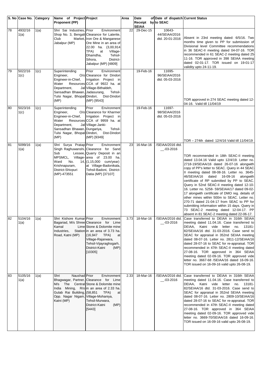|    | S. No Case No. Category |                    | Name of Project Project                                                                                                                            |                                                                                                                                                                                                                                              | Area | Date                      | of Date of dispatch Current Status         |                                                                                                                                                                                                                                                                                                                                                                                                                                                                                                                                                                                                                                                                                                                           |
|----|-------------------------|--------------------|----------------------------------------------------------------------------------------------------------------------------------------------------|----------------------------------------------------------------------------------------------------------------------------------------------------------------------------------------------------------------------------------------------|------|---------------------------|--------------------------------------------|---------------------------------------------------------------------------------------------------------------------------------------------------------------------------------------------------------------------------------------------------------------------------------------------------------------------------------------------------------------------------------------------------------------------------------------------------------------------------------------------------------------------------------------------------------------------------------------------------------------------------------------------------------------------------------------------------------------------------|
|    |                         |                    | <b>Proponent (PP)</b>                                                                                                                              |                                                                                                                                                                                                                                              |      | Receipt by to SEAC        |                                            |                                                                                                                                                                                                                                                                                                                                                                                                                                                                                                                                                                                                                                                                                                                           |
| 78 | 4932/16<br>1(a)         | 1(a)               | Shri Sai Industries, Prior<br>Club<br>Jabalpur (MP)                                                                                                | Environment<br>Shop No. 3, Bengali Clearance for Laterite,<br>Market, Iron Ore & Manganese<br>Ore Mine in an area of<br>22.00 ha. (3,00,914<br>TPA)<br>at<br>Village-<br>Dhamdha,<br>Tehsil-<br>District-<br>Sihora,<br>Jabalpur (MP) [4809] | 22   | <b>SEIAA</b><br>29-Dec-15 | 10643-<br>44/SEIAA/2016<br>dtd. 20-01-2016 | Absent in 23rd meeting dated: 6/5/16. Two<br>months time given to PP for submission of<br>Divisional level Committee recommendations<br>in 36 SEAC-II meeting dated 04-07-16. TOR<br>recommended in 61 SEAC-2 meeting dated 25<br>11-16. TOR approved in 398 SEIAA meeting<br>dated 02-01-17. TOR issued on 19-01-17<br>validity upto 24-11-19.                                                                                                                                                                                                                                                                                                                                                                           |
| 79 | 5022/16<br>1(c)         | $\overline{1}$ (c) | Superintending<br>Engineer,<br>Engineer-in-Chief,<br>Water<br>Department,<br>Sansadhan Bhawan, Jadasurang,<br>Tulsi Nagar, Bhopal Dindori,<br>(MP) | Prior<br>Environment<br>O/o Clearance for Dindori<br>Irrigation Project in<br>Resources CCA of 9922 ha. at<br>Jal Village-Bithaldeh,<br>Tehsil-<br>Dist-Dindori<br>(MP) [9543]                                                               |      | 19-Feb-16                 | 11695-<br>96/SEIAA/2016<br>dtd. 05-03-2016 | TOR approved in 274 SEAC meeting dated 12-<br>04-16. Valid till 11/04/19                                                                                                                                                                                                                                                                                                                                                                                                                                                                                                                                                                                                                                                  |
| 80 | 5023/16<br>1(c)         | 1(c)               | Superintending<br>Engineer,<br>Engineer-in-Chief,<br>Water<br>Department,<br>Sansadhan Bhawan, Dungariya,<br>Tulsi Nagar, Bhopal Dindori,<br>(MP)  | Prior<br>Environment<br>O/o Clearance for Kharmer<br>Irrigation Project in<br>Resources CCA of 9959 ha. at<br>Jal Village-Janki-<br>Tehsil-<br>Dist-Dindori<br>(MP) [9349]                                                                   |      | $19 - \text{Feb} - 16$    | 11697-<br>98/SEIAA/2016<br>dtd. 05-03-2016 | TOR - 274th dated: 12/4/16 Valid till 11/04/19                                                                                                                                                                                                                                                                                                                                                                                                                                                                                                                                                                                                                                                                            |
| 81 | 5099/16<br>1(a)         | 1(a)               | Shri Surya Pratap Prior<br>Sub<br>Ward<br>No.<br>Krishnapuram,<br>District-Shivpuri<br>(MP)-473551                                                 | Environment<br>Singh Raghuwanshi, Clearance for Sand<br>Lessee, Quarry Deposit in an<br>MPSMCL, Village-area of 23.00 ha.<br>14, (1, 15,000 cum/year)<br>at Village-Badonikala,<br>Tehsil-Badoni, District-<br>Datia (MP) [37107]            | 23   | 16-Mar-16                 | /SEIAA/2016 dtd.<br>$-03 - 2016$           | TOR recommended in 18th SEAC-II meeting<br>dated 13.04.16 Valid upto 12/4/19. Letter no.<br>2718-19/SEIAA/16 dated 26-07-16 alongwith<br>copy of PP's letter to SEAC. Query in 44 SEAC<br>Il meeting dated 08-08-16. Letter no. 3645-<br>46/SEIAA/16<br>dated 16-09-16<br>alongwith<br>certificate of RP submitted by PP to SEAC.<br>Query in 52nd SEAC-II meeting dated 12-10-<br>16. Letter no. 5258- 59/SEIAA/17 dated 09-02-<br>17 alongwith certificate of DMO reg. details of<br>other mines within 500m to SEAC. Letter no.<br>270-71 dated 21-04-17 from SEAC to PP for<br>submitting information within 15 days. Query in<br>73 SEAC-2 meeting dated 12-04-17. PP<br>absent in 81 SEAC-2 meeting dated 22-06-17. |
| 82 | 5104/16<br>1(a)         | 1(a)               | Shri Kishore Kumar Prior<br>Kamal<br>Industries.<br>Road, Katni (MP)                                                                               | Environment<br>Bagariad, M/s Shree Clearance for Lime<br>Lime Stone & Dolomite mine<br>Station in an area of 3.73 ha.<br>(16, 947)<br>TPA)<br>at<br>Village-Rajarwara,<br>Tehsil-Vijayraghogarh,<br>District-Katni<br>(MP)<br>[10305]        | 3.73 | 18-Mar-16                 | /SEIAA/2016 dtd.<br>$-03 - 2016$           | Case transferred to DEIAA in 316th SEIAA<br>meeting dated 11.04.16. Case transferred to<br>Katni vide letter no. 13181-<br>DEIAA.<br>82/SEIAA/16 dtd. 31-03-2016. Case send to<br>SEAC for appraisal in 352nd SEIAA meeting<br>dated 08-07-16. Letter no. 2811-12/SEIAA/16<br>dated 28-07-16 to SEAC for re-appraisal. TOR<br>recommended in 47th SEAC-II meeting dated<br>27-08-16. TOR approved in 364 SEIAA<br>meeting dated 02-09-16. TOR approved vide<br>letter no. 3667-68 /SEIAA/16 dated 16-09-16.<br>TOR issued on 16-09-16 valid upto 26-08-19.                                                                                                                                                                |
| 83 | 5105/16<br>1(a)         | 1(a)               | Naushad Prior<br>Shri<br>M/s The<br>Gulab Rai Building, (58,851<br>Opp. Nagar Nigam, Village-Mohaniya,<br>Katni (MP)                               | Environment<br>Bhagwagar, Partner, Clearance for Lime<br>Central Stone & Dolomite mine<br>India Mining, R/o in an area of 2.33 ha.<br>TPA)<br>at<br>Tehsil-Murwara,<br>District-Katni<br>(MP)<br>[5443]                                      | 2.33 | 18-Mar-16                 | /SEIAA/2016 dtd.<br>$-03 - 2016$           | Case transferred to DEIAA in 316th SEIAA<br>meeting dated 11.04.16. Case transferred to<br>DEIAA, Katni vide letter<br>13181-<br>no.<br>82/SEIAA/16 dtd. 31-03-2016. Case send to<br>SEAC for appraisal in 352nd SEIAA meeting<br>dated 08-07-16. Letter no. 2809-10/SEIAA/16<br>dated 28-07-16 to SEAC for re-appraisal. TOR<br>recommended in 47th SEAC-II meeting dated<br>27-08-16. TOR approved in 364 SEIAA<br>meeting dated 02-09-16. TOR approved vide<br>letter no. 3669-70/SEIAA/16 dated 16-09-16.<br>TOR issued on 16-09-16 valid upto 26-08-19.                                                                                                                                                              |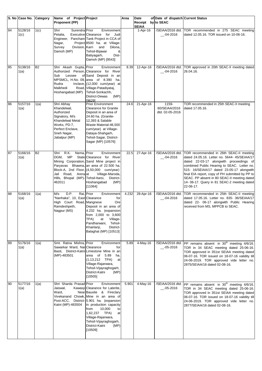|    | S. No Case No.  | Category           | Name of Project Project                                                                                                                           |                                                                                                                                                                                                                                                                                                                              | Area  | Date                    | of Date of dispatch Current Status        |                                                                                                                                                                                                                                                                                                                                                                                                              |
|----|-----------------|--------------------|---------------------------------------------------------------------------------------------------------------------------------------------------|------------------------------------------------------------------------------------------------------------------------------------------------------------------------------------------------------------------------------------------------------------------------------------------------------------------------------|-------|-------------------------|-------------------------------------------|--------------------------------------------------------------------------------------------------------------------------------------------------------------------------------------------------------------------------------------------------------------------------------------------------------------------------------------------------------------------------------------------------------------|
|    |                 |                    | Proponent (PP)                                                                                                                                    |                                                                                                                                                                                                                                                                                                                              |       | Receipt<br><b>SEIAA</b> | by to SEAC                                |                                                                                                                                                                                                                                                                                                                                                                                                              |
| 84 | 5128/16<br>1(c) | 1(c)               | Surendra Prior<br>Shri<br>Petalia,<br>Nagar,<br>Survey<br>Division, Karri<br>Damoh (MP)                                                           | Environment<br>Executive Clearance<br>for<br>Judi<br>Engineer, Pancham Tank Project in CCA of<br>Project 8500 ha. at Village-<br>and<br>Dilona,<br>Tehsil-Bijawar<br>&<br>Dist-<br>Batiyagarh,<br>Damoh (MP) [9543]                                                                                                          |       | $1-Apr-16$              | /SEIAA/2016 dtd.<br>__-04-2016            | TOR recommended in 275 SEAC meeting<br>dated 12.05.16. TOR issued on 10-06-16.                                                                                                                                                                                                                                                                                                                               |
| 85 | 5138/16<br>1(a) | B2                 | Shri Akash Gupta, Prior<br>Sub<br>Lessee<br>MPSMCL, H.No. 09,<br>Rudra<br>Malkhedi<br>Hoshangabad (MP)                                            | Environment<br>Authorized Person, Clearance for River<br>of Sand Deposit in an<br>area of 8.390 ha.<br>Inclave, (12,000 cum/year) at<br>Road, Village-Patadiyataj,<br>Tehsil-Sonkachh,<br>District-Dewas<br>(MP)<br>[9629]                                                                                                   | 8.39  | 12-Apr-16               | /SEIAA/2016 dtd.<br>$-04 - 2016$          | TOR approved in 20th SEAC-II meeting dated<br>26.04.16.                                                                                                                                                                                                                                                                                                                                                      |
| 86 | 5157/16<br>1(a) | 1(a)               | Shri Abhay<br>Khandelwal,<br>Authorized<br>Signatory, M/s<br>Khandelwal Metal<br>Works, PD-7,<br>Perfect Enclave,<br>Sneh Nagar,<br>Jabalpur (MP) | <b>Prior Environment</b><br><b>Clearance for Granite</b><br>Deposit in an area of<br>24.60 ha. (Granite-<br>12,393 & Salable<br>Waste Material-46,500<br>cum/year) at Village-<br>Dataya-Shahqarh,<br>Tehsil-Sagar, District-<br>Sagar (MP) [10576]                                                                          | 24.6  | 21-Apr-16               | 1159-<br>60/SEIAA/2016<br>dtd. 02-05-2016 | TOR recommended in 25th SEAC-II meeting<br>dated 17.05.16.                                                                                                                                                                                                                                                                                                                                                   |
| 87 | 5166/16<br>1(a) | B <sub>2</sub>     | Nema, Prior<br>R.K.<br>Shri<br>MP<br>DGM.<br>Jail Road,<br>Arera at<br>Hills, Bhopal (MP)-Tehsil-Itarsi,<br>462011                                | Environment<br>State Clearance for River<br>Mining Corporation, Sand Mine project in<br>Paryavas Bhawna, an area of 22.500 ha.<br>Block-A, 2nd Floor, (4,50,000 cum/year)<br>Village-Maroda,<br>District-<br>Hoshangabad<br>(MP)<br>[11064]                                                                                  | 22.5  | 27-Apr-16               | $-04 - 2016$                              | /SEIAA/2016 dtd. TOR recommended in 26th SEAC-II meeting<br>dated 24.05.16. Letter no. 5644- 45/SEIAA/17<br>dated 22-03-17 alongwith proceedings of<br>combined Public Hearing to SEAC. Letter no.<br>515- 16/SEIAA/17 dated 23-05-17 alongwith<br>final EIA report, copy of PH submitted by PP to<br>SEAC. PP absent in 80 SEAC-II meeting dated<br>14-06-17. Query in 81 SEAC-2 meeting dated<br>22-06-17. |
| 88 | 5168/16<br>1(a) | $\overline{1}$ (a) | M/s<br>D.P.<br>"Nanhaka", 10, East Clearance<br>High Court Road, Mangnese<br>Ramdeshpeth,<br>Nagpur (MS)                                          | Rai, Prior<br>Environment<br>for<br>Ore<br>Deposit in an area of<br>4.232 ha. (expansion<br>from 2,000 to 3,600<br>TPA)<br>at<br>Village-<br>Pandharwani,<br>Tehsil-<br>District-<br>Khairlanji,<br>Balaghat (MP) [10513]                                                                                                    | 4.232 | 28-Apr-16               | /SEIAA/2016 dtd.<br>__-04-2016            | TOR recommended in 25th SEAC-II meeting<br>dated 17.05.16. Letter no. 835- 36/SEIAA/17<br>dated 22- 06-17 alongwith Public Hearing<br>received from MS, MPPCB to SEAC.                                                                                                                                                                                                                                       |
| 89 | 5176/16<br>1(a) | 1(a)               | Smt. Ratna Mishra, Prior<br>Sawarkar Ward, Nai Clearance<br>(MP)-483501                                                                           | Environment<br>for<br>Basti, District-Katni Limestone Mine in an<br>area of<br>5.89<br>ha.<br>$(1, 13, 212$ TPA)<br>at<br>Village-Rajarwara,<br>Tehsil-Vijayraghogarh,<br>District-Katni<br>(MP)<br>[10505]                                                                                                                  | 5.89  | 4-May-16                | $-05 - 2016$                              | /SEIAA/2016 dtd. PP remains absent in 30 <sup>th</sup> meeting 4/6/16.<br>TOR in 34 SEAC meeting dated 25-06-16.<br>TOR approved in 351st SEIAA meeting dated<br>06-07-16. TOR issued on 18-07-16 validity till<br>24-06-2019. TOR approved vide letter no.<br>2875/SEIAA/16 dated 02-08-16.                                                                                                                 |
| 90 | 5177/16<br>1(a) | 1(a)               | Shri Sharda Prasad Prior<br>Jaiswal,<br>Ward,<br>Katni (MP)-483504                                                                                | Environment<br>Kawasji Clearance for Laterite,<br>Near Bauxite & Fireclary<br>Vivekanand Chowk, Mine in an area of<br>Post-ACC, District- 5.901 ha. (expansion<br>in production capacity<br>10,000<br>from<br>to<br>1,62,237 TPA)<br>at<br>Village-Rajarwara,<br>Tehsil-Vijayraghogarh,<br>District-Katni<br>(MP)<br>[10509] | 5.901 | $4$ -May-16             | $-05 - 2016$                              | /SEIAA/2016 dtd. PP remains absent in 30 <sup>th</sup> meeting 4/6/16.<br>TOR in 34 SEAC meeting dated 25-06-16.<br>TOR approved in 351st SEIAA meeting dated<br>06-07-16. TOR issued on 18-07-16 validity till<br>24-06-2019. TOR approved vide letter no.<br>2877/SEIAA/16 dated 02-08-16.                                                                                                                 |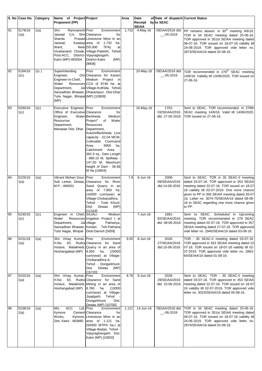|     | S. No Case No. Category |                    | Name of Project Project                                                                                                                             |                                                                                                                                                                                                                                                                                                                                        | Area  | Date                               | of Date of dispatch Current Status        |                                                                                                                                                                                                                                                                                                                                              |
|-----|-------------------------|--------------------|-----------------------------------------------------------------------------------------------------------------------------------------------------|----------------------------------------------------------------------------------------------------------------------------------------------------------------------------------------------------------------------------------------------------------------------------------------------------------------------------------------|-------|------------------------------------|-------------------------------------------|----------------------------------------------------------------------------------------------------------------------------------------------------------------------------------------------------------------------------------------------------------------------------------------------------------------------------------------------|
|     |                         |                    | <b>Proponent (PP)</b>                                                                                                                               |                                                                                                                                                                                                                                                                                                                                        |       | Receipt by to SEAC<br><b>SEIAA</b> |                                           |                                                                                                                                                                                                                                                                                                                                              |
| 91  | 5178/16<br>1(a)         | 1(a)               | Ramnaresh Prior<br>Shri<br>C/o Shri Clearance<br>Jaiswal<br>Sharda<br>Jaiswal.<br>Ward,<br>Post-ACC, District- Vijayraghogarh,<br>Katni (MP)-483504 | Environment<br>for<br>Prasad Limestone Mine in an<br>Kawasji area of 1.732<br>ha.<br>Near (55,000<br>TPA)<br>at<br>Vivekanand Chowk, Village-Padrehi, Tehsil-<br>(MP)<br>District-Katni<br>[9908]                                                                                                                                      | 1.732 | 4-May-16                           | $-05 - 2016$                              | /SEIAA/2016 dtd. PP remains absent in 30 <sup>th</sup> meeting 4/6/16.<br>TOR in 34 SEAC meeting dated 25-06-16.<br>TOR approved in 351st SEIAA meeting dated<br>06-07-16. TOR issued on 18-07-16 validity till<br>24-06-2019. TOR approved vide letter no.<br>2873/SEIAA/16 dated 02-08-16.                                                 |
| 92  | 5194/16<br>1(c)         | 1(c)               | Superintending<br>Engineer,<br>Engineer-in-Chief,<br>Water<br>Department,<br>Tulsi Nagar, Bhopal (MP) [10809]<br>(MP)                               | Prior<br>Environment<br>O/o Clearance for Karam<br>Medium<br>Project in<br>Resources CCA of 8746 ha. at<br>Jal Village-Kothida, Tehsil-<br>Sansadhan Bhawan, Dharampuri, Dist-Dhar                                                                                                                                                     |       | 10-May-16                          | $-05 - 2016$                              | /SEIAA/2016 dtd. TOR recommended in 278 <sup>th</sup> SEAC meeting<br>14/6/16. Validity till 13/06/2020. TOR issued on<br>27-06-16.                                                                                                                                                                                                          |
| 93  | 5200/16<br>1(c)         | $\overline{1}$ (c) | Executive Engineer, Prior<br>Office of Executive Clearance<br>Engineer,<br>Resources<br>Department,<br>Manawar Dist. Dhar                           | Environment<br>for<br>Water Berkheda<br>Medium<br>Project"<br>Water<br>of<br>Resources<br>Department,<br>Kukshi/Berkheda. Live<br>capacity - 52.04 MCM,<br>Cultivable Command<br>Area - 9900<br>ha,<br>Catchment Area<br>382.9 sq., Dam Length<br>- 889.15 M, Spillway -<br>147.00 M, Maximum<br>height of Dam - 36.68<br>M Ha [10804] |       | 16-May-16                          | 1702-<br>03/SEIAA/2016<br>dtd. 27-05-2016 | Sent to SEAC. TOR recommended in 278th<br>SEAC meeting 14/6/16. Valid till 14/06/2020.<br>TOR issued on 27-06-16.                                                                                                                                                                                                                            |
| 94  | 5225/16<br>1(a)         | 1(a)               | Vikrant Mohan Gour,<br>Sub Leese, Dewas,<br>M.P.-466001                                                                                             | Prior<br>Environment<br>Clearance for River<br>Sand Quarry in an<br>area of 7.800 ha.<br>(16000 cum/year) at<br>Village-Chobaradhira,<br>Tehsil - Tonk Khurd,<br>(MP)<br>Dist.<br>Dewas<br>[11319]                                                                                                                                     | 7.8   | $6$ -Jun-16                        | 2008-<br>09/SEIAA/2016<br>dtd.14-06-2016  | Sent to SEAC. TOR in 35 SEAC-II meeting<br>dated 03-07-16. TOR approved in 353 SEIAA<br>meeting dated 22-07-16. TOR issued on 18-07<br>16 validity till 02-07-2019. One more chance<br>given to PP in 356 SEIAA meeting dated 26-07-<br>16. Letter no. 3074-75/SEIAA/16 dated 08-08-<br>16 to SEAC regarding one more chance given<br>to PP. |
| 195 | 5230/16<br>1(c)         | 1(c)               | Engineer in Chief, SAJALI<br>Water<br>Department,<br>Tulsi Nagar, Bhopal Distt-Damoh [5959]                                                         | Medium<br>Resources Irrigation Project t at<br>Jal village<br>Pathariya,<br>Sansadhan Bhawan, Keolari, Teh-Patharia                                                                                                                                                                                                                    |       | 7-Jun-16                           | 1881-<br>82/SEIAA/2016<br>dtd. 08-06-2016 | Sent to SEAC. Scheduled in Upcoming<br>meeting. TOR recommended in 279 SEAC<br>meeting dated 02-07-16. TOR approved in 357<br>SEIAA meeting dated 27-07-16. TOR approved<br>vide letter no. 2940/SEIAA/16 dated 03-08-16.                                                                                                                    |
| 96  | 5231/16<br>1(a)         | 1(a)               | Shri Vinay Kumar, Prior<br>Hoshangabad (MP)                                                                                                         | Environment<br>H.No. 83, Rudra Clearance for Sand<br>Inclave, Malakhedi, Quarry in an area of<br>9.050<br>ha.<br>(20000)<br>cum/year) at Village-<br>Chobaradhira-A,<br>Tehsil - Dongarkhurd,<br>Dist.<br>Dewas<br>(MP)<br>[15720]                                                                                                     | 9.05  | 8-Jun-16                           | 2026-<br>27/SEIAA/2016<br>dtd.15-06-2016  | TOR - 35 SEAC-II meeting dated 03-07-16.<br>TOR approved in 353 SEIAA meeting dated 22-<br>07-16. TOR issued on 18-07-16 validity till 02-<br>07-2019. TOR approved vide letter no. 2863-<br>64/SEIAA/16 dated 01-08-16.                                                                                                                     |
| 97  | 5232/16<br>1(a)         | 1(a)               | Shri Vinay Kumar, Prior<br>Hoshangabad (MP)                                                                                                         | Environment<br>H.No. 83, Rudra Clearance for Sand<br>Inclave, Malakhedi, Mining in an area of<br>8.760<br>ha.<br>(10000)<br>cum/year) at Village-<br>Jiyajigarh,<br>Tehsil<br>Dongarkhurd,<br>Dist.<br>Dewas (MP) [15700]                                                                                                              | 8.76  | 9-Jun-16                           | 2028-<br>29/SEIAA/2016<br>dtd. 15-06-2016 | Sent to SEAC. TOR - 35 SEAC-II meeting<br>dated 03-07-16. TOR approved in 353 SEIAA<br>meeting dated 22-07-16. TOR issued on 18-07<br>16 validity till 02-07-2019. TOR approved vide<br>letter no. 3023/SEIAA/16 dated 05-08-16.                                                                                                             |
| 98  | 5238/16<br>1(a)         | 1(a)               | <b>ACC</b><br>M/s<br>Kymore<br>Works,<br>Dist. Katni - 483880                                                                                       | Ltd, Prior<br><b>Environment</b><br>Cement Clearance<br>for<br>Kymore, Limestone Mine in an<br>area of 1.121 ha.<br>(50000 MTPA ha.) at<br>Village-Badari, Tehsil -<br>Vijayraghavgarh, Dist.<br>Katni (MP) [10920]                                                                                                                    | 1.121 | 14-Jun-16                          | /SEIAA/2016 dtd.<br>$-06 - 2016$          | TOR in 34 SEAC meeting dated 25-06-16.<br>TOR approved in 351st SEIAA meeting dated<br>06-07-16. TOR issued on 18-07-16 validity till<br>24-06-2019. TOR approved vide letter no.<br>2874/SEIAA/16 dated 02-08-16.                                                                                                                           |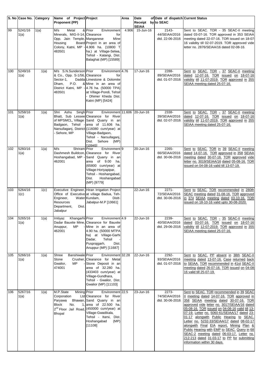|     | S. No Case No. Category |      | Name of Project Project                                                                                           |                                                                                                                                                                                                                                                                          | Area  | Date                      | of Date of dispatch Current Status           |                                                                                                                                                                                                                                                                                                                                                                                                                                                                                                                                                                                                     |
|-----|-------------------------|------|-------------------------------------------------------------------------------------------------------------------|--------------------------------------------------------------------------------------------------------------------------------------------------------------------------------------------------------------------------------------------------------------------------|-------|---------------------------|----------------------------------------------|-----------------------------------------------------------------------------------------------------------------------------------------------------------------------------------------------------------------------------------------------------------------------------------------------------------------------------------------------------------------------------------------------------------------------------------------------------------------------------------------------------------------------------------------------------------------------------------------------------|
|     |                         |      | <b>Proponent (PP)</b>                                                                                             |                                                                                                                                                                                                                                                                          |       | Receipt by to SEAC        |                                              |                                                                                                                                                                                                                                                                                                                                                                                                                                                                                                                                                                                                     |
| 99  | 5241/16<br>1(a)         | 1(a) | M/s<br>Metal<br>Minerals, MIG-II-14, Clearance<br>Opp. Jain Temple, Manganese<br>Housing<br>483501                | & Prior<br>Environment<br>for<br>Mine<br>Board Project in an area of<br>Colony, Katni, MP - 4.906 ha. (10800 T<br>ha.) at Village-Selwa,<br>Tehsil - Katangi, Dist.<br>Balaghat (MP) [15589]                                                                             | 4.906 | <b>SEIAA</b><br>15-Jun-16 | 2143-<br>44/SEIAA/2016<br>dtd. 22-06-2016    | Sent to SEAC. TOR - 35 SEAC-II meeting<br>dated 03-07-16. TOR approved in 353 SEIAA<br>meeting dated 22-07-16. TOR issued on 18-07-<br>16 validity till 02-07-2019. TOR approved vide<br>letter no. 2876/SEIAA/16 dated 02-08-16.                                                                                                                                                                                                                                                                                                                                                                   |
| 100 | 5249/16<br>1(a)         | 1(a) | M/s S.N.Sunderson Prior<br>& Co., Opp. S-1/56, Clearance<br>Sector-1,<br>P.O.<br>Dham,<br>483501                  | Environment 4.76<br>for<br>Dadda Limestone & Dolomite<br>& Mine in an area of<br>District Katni, MP - 4.76 ha. (50000 TPA)<br>at Village-Pondi, Tehsil<br>Dhimer Kheda Dist.<br>Katni (MP) [5424]                                                                        |       | 17-Jun-16                 | 2288-<br>89/SEIAA/2016<br>dtd. 01-07-2016    | Sent to SEAC. TOR - 37 SEAC-II meeting<br>dated 12-07-16. TOR issued on 18-07-16<br>validity till 11-07-2019. TOR approved in 355<br>SEIAA meeting dated 25-07-16.                                                                                                                                                                                                                                                                                                                                                                                                                                  |
| 101 | 5258/16<br>1(a)         | 1(a) | Singh Prior<br>Shri<br>Ashu<br>Sehore, MP                                                                         | Environment 11.606<br>Bhatt, Sub Lessee Clearance for River<br>of MPSMCL, Village Sand Quarry in an<br>Badgaon, Tehsil - area of 11.606 ha.<br>Narsullaganj, District (116080 cum/year) at<br>Village-Badgaon,<br>Tehsil - Narsullaganj,<br>Dist. Sehore (MP)<br>[10945] |       | 20-Jun-16                 | 2338-<br>39/SEIAA/2016<br>dtd. 02-07-2016    | Sent to SEAC. TOR - 37 SEAC-II meeting<br>dated 12-07-16. TOR issued on 18-07-16<br>validity till 11-07-2019. TOR approved in 355<br>SEIAA meeting dated 25-07-16.                                                                                                                                                                                                                                                                                                                                                                                                                                  |
| 102 | 5260/16<br>1(a)         | 1(a) | M/s<br>Shriram Prior<br>Dashmesh Buildcon,<br>Hoshangabad, MP<br>462001                                           | Environment <sup>9</sup><br>Clearance for River<br>Sand Quarry in an<br>area of 9.00 ha.<br>(65800 cum/year) at<br>Village-Horiyapipar,<br>Tehsil - Hoshangabad,<br>Hoshangabad<br>Dist.<br>(MP) [9779]                                                                  |       | 20-Jun-16                 | 2265-<br>66/SEIAA/2016<br>dtd. 30-06-2016    | Sent to SEAC. TOR in 39 SEAC-II meeting<br>dated 14-07-16. TOR approved in 358 SEIAA<br>meeting dated 30-07-16. TOR approved vide<br>letter no. 3019/SEIAA/16 dated 05-08-16. TOR<br>issued on 04-08-16 valid till 13-07-19.                                                                                                                                                                                                                                                                                                                                                                        |
| 103 | 5264/16<br>1(c)         | 1(c) | Engineer,<br>Resources<br>Department,<br>Dist.<br>Jabalpur                                                        | Executive Engineer, Hiran Irrigation Project<br>Office of Executive at village Badua, Teh-<br>Water Kundam,<br>Distt-<br>Jabalpur-M.P [10661]                                                                                                                            |       | 22-Jun-16                 | $2271 -$<br>72/SEIAA/2016<br>dtd. 30-06-2016 | Sent to SEAC. TOR recommended in 280th<br>SEAC meeting dated 31-08-16. TOR approved<br>in 374 SEIAA meeting dated 03-10-16. TOR<br>issued on 18-10-16 valid upto 30-08-2020.                                                                                                                                                                                                                                                                                                                                                                                                                        |
| 104 | 5265/16<br>1(a)         | 1(a) | Khangarhi Prior<br>Imtiyaz<br><b>MP</b><br>Anuppur,<br>462001                                                     | Environment 4.9<br>Dadar Bauxite Mine, Clearance for Bauxite<br>Mine in an area of<br>4.90 ha. (50000 MTPA<br>ha) at Village-Garhi<br>Dadar,<br>Tehsil<br>Pusprajgarh,<br>Dist.<br>Anuppur (MP) [11687]                                                                  |       | 22-Jun-16                 | 2239-<br>40/SEIAA/2016<br>dtd. 29-06-2016    | Sent to SEAC. TOR - 35 SEAC-II meeting<br>dated 03-07-16. TOR issued on 18-07-16<br>validity till 12-07-2019. TOR approved in 355<br>SEIAA meeting dated 25-07-16.                                                                                                                                                                                                                                                                                                                                                                                                                                  |
| 105 | 5266/16<br>1(a)         | 1(a) | Shree<br><b>Banshiwale</b> Prior<br>Stone<br>Gwalior,<br>MP<br>474001                                             | Environment 32.28<br>Crusher, Clearance for Metal<br>Stone Deposit in an<br>area of 32.280 ha.<br>(433403 cum/year) at<br>Village-Gundhara,<br>Tehsil - Gwalior, Dist.<br>Gwalior (MP) [11103]                                                                           |       | 22-Jun-16                 | 2292-<br>93/SEIAA/2016<br>dtd. 01-07-2016    | Sent to SEAC. PP absent in 38th SEAC-II<br>meeting dated 13-07-16. Case returned back<br>to SEIAA. TOR recommended in 41st SEAC-II<br>meeting dated 26-07-16. TOR issued on 04-08-<br>16 valid till 25-07-19.                                                                                                                                                                                                                                                                                                                                                                                       |
| 106 | 5267/16<br>1(a)         | 1(a) | M.P.State<br><b>Mining Prior</b><br>Corporation<br>Paryawa<br><b>Block</b><br>No.<br>$\mathbf 1$<br><b>Bhopal</b> | Environment 22.5<br>Ltd Clearance for River<br>Bhawan, Sand Quarry in an<br>area of 22.500 ha.<br>2 <sup>nd</sup> Floor Jail Road, (450000 cum/year) at<br>Village-Gwadikala,<br>Tehsil - Itarsi, Dist.<br>Hoshangabad<br>(MP)<br>[11108]                                |       | 23-Jun-16                 | 2273-<br>74/SEIAA/2016<br>dtd. 30-06-2016    | Sent to SEAC. TOR recommended in 39 SEAC<br>Il meeting dated 14-07-16. TOR approved in<br>358 SEIAA meeting dated 30-07-16. TOR<br>approved vide letter no. 3017/SEIAA/16 dated<br>05-08-16. TOR issued on 04-08-16 valid till 13-<br>07-19. Letter no. 5060-61/SEIAA/17 dated 23-<br>01-17 alongwith Public Hearing to SEAC.<br>Letter no. 5232-33/SEIAA/17 dated 08-02-17<br>alongwith Final EIA report, Mining Plan &<br>Public Hearing with EMP to SEAC. Query in 68<br>SEAC-2 meeting dated 06-03-17. Letter no.<br>212-213 dated 31-03-17 to PP for submitting<br>information within 30 days. |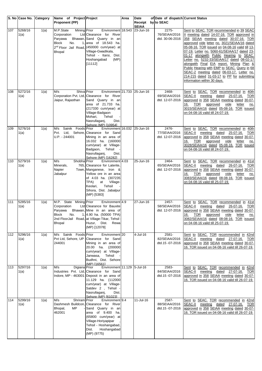|                 | S. No Case No. Category |                    | Name of Project Project                                                                                  |                                                                                                                                                                                                                                                       | Area | Date                               | of Date of dispatch Current Status        |                                                                                                                                                                                                                                                                                                                                                                                                                                                                                                                                                                                                     |
|-----------------|-------------------------|--------------------|----------------------------------------------------------------------------------------------------------|-------------------------------------------------------------------------------------------------------------------------------------------------------------------------------------------------------------------------------------------------------|------|------------------------------------|-------------------------------------------|-----------------------------------------------------------------------------------------------------------------------------------------------------------------------------------------------------------------------------------------------------------------------------------------------------------------------------------------------------------------------------------------------------------------------------------------------------------------------------------------------------------------------------------------------------------------------------------------------------|
|                 |                         |                    | Proponent (PP)                                                                                           |                                                                                                                                                                                                                                                       |      | Receipt by to SEAC<br><b>SEIAA</b> |                                           |                                                                                                                                                                                                                                                                                                                                                                                                                                                                                                                                                                                                     |
| 107             | 5268/16<br>1(a)         | 1(a)               | M.P.State<br><b>Mining Prior</b><br>Corporation<br>Parvawa<br><b>Block</b><br>No.<br>1.<br><b>Bhopal</b> | Environment 18.543 23-Jun-16<br>Ltd Clearance for River<br>Bhawan, Sand Quarry in an<br>area of 18.543 ha.<br>2 <sup>nd</sup> Floor Jail Road, (450000 cum/year) at<br>Village-Gwadikala,<br>Tehsil - Itarsi, Dist.<br>Hoshangabad<br>(MP)<br>[11112] |      |                                    | 2275-<br>76/SEIAA/2016<br>dtd. 30-06-2016 | Sent to SEAC. TOR recommended in 39 SEAC<br>Il meeting dated 14-07-16. TOR approved in<br>358 SEIAA meeting dated 30-07-16. TOR<br>approved vide letter no. 3021/SEIAA/16 dated<br>05-08-16. TOR issued on 04-08-16 valid till 13-<br>07-19. Letter no. 5060-61/SEIAA/17 dated 23-<br>01-17 alongwith Public Hearing to SEAC.<br>Letter no. 5232-33/SEIAA/17 dated 08-02-17<br>alongwith Final EIA report, Mining Plan &<br>Public Hearing with EMP to SEAC. Query in 68<br>SEAC-2 meeting dated 06-03-17. Letter no.<br>214-215 dated 31-03-17 to PP for submitting<br>information within 30 days. |
| 108             | 5272/16<br>1(a)         | 1(a)               | M/s<br>Shiva Prior<br>Jaipur, Rajasthan                                                                  | Environment 21.733<br>Corporation Pvt. Ltd, Clearance for River<br>Sand Quarry in an<br>area of 21.733 ha.<br>(217330 cum/year) at<br>Village-Badgaon<br>Mohari.<br>Tehsil<br>Nasrullaganj,<br>Dist.<br>Sehore (MP) [10954]                           |      | 25-Jun-16                          | 2468-<br>69/SEIAA/2016<br>dtd. 12-07-2016 | Sent to SEAC. TOR recommended in 40th<br>SEAC-II meeting dated 25-07-16.<br><b>TOR</b><br>approved in 358 SEIAA meeting dated 30-07-<br>16.<br>TOR<br>approved<br>vide<br>letter<br>no.<br>3015/SEIAA/16 dated 05-08-16. TOR issued<br>on 04-08-16 valid till 24-07-19.                                                                                                                                                                                                                                                                                                                             |
| 109             | 5276/16<br>1(a)         | 1(a)               | Sainik Foods Prior<br>M/s<br>U.P. - 244001                                                               | Environment 16.032<br>Pvt. Ltd, Sehore, Clearance for Sand<br>Mining in an area of<br>16.032 ha. (160000<br>cum/year) at Village-<br>Badgaon, Tehsil<br>Nasrullaganj,<br>Dist.<br>Sehore (MP) [16282]                                                 |      | 25-Jun-16                          | 2476-<br>77/SEIAA/2016<br>dtd. 12-07-2016 | Sent to SEAC. TOR recommended in 40th<br>SEAC-II<br>meeting dated 25-07-16.<br><b>TOR</b><br>approved in 358 SEIAA meeting dated 30-07-<br>TOR<br>approved<br>vide<br>16.<br>letter<br>no.<br>3028/SEIAA/16 dated 05-08-16. TOR issued<br>on 04-08-16 valid till 24-07-19.                                                                                                                                                                                                                                                                                                                          |
| 110             | 5279/16<br>1(a)         | 1(a)               | M/s<br>Shobha Prior<br>Minerals,<br>Napier<br>Jabalpur                                                   | Environment 4.03<br>765, Clearance for Laterite,<br>Town, Manganese, Iron &<br>Yellow ore in an area<br>of 4.03 ha. (307235<br>TPA)<br>at<br>Village-<br>Tehsil<br>Keolari,<br>Sihora, Dist. Jabalpur<br>(MP) [5383]                                  |      | 25-Jun-16                          | 2464-<br>65/SEIAA/2016<br>dtd. 12-07-2016 | Sent to SEAC. TOR recommended in 41st<br>SEAC-II<br>meeting dated 26-07-16.<br>TOR<br>approved in 358 SEIAA meeting dated 30-07-<br>TOR<br>approved<br>vide<br>16.<br>letter<br>no.<br>3083/SEIAA/16 dated 08-08-16. TOR issued<br>on 04-08-16 valid till 25-07-19.                                                                                                                                                                                                                                                                                                                                 |
| 111             | 5285/16<br>1(a)         | 1(a)               | M.P. State Mining Prior<br>Corporation<br>Paryawa<br><b>Block</b><br>No.<br><b>Bhopal</b>                | Environment 4.9<br>Ltd Clearance for Bauxite<br>Bhawan, Mine in an area of<br>1, 4.90 ha. (50000 TPA)<br>2nd FloorJail Road, at Village-Tikar, Tehsil<br>Huzur, Dist. Rewa<br>(MP) [12078]                                                            |      | 27-Jun-16                          | 2457-<br>58/SEIAA/2016<br>dtd. 12-07-2016 | Sent to SEAC. TOR recommended in 41st<br>SEAC-II<br>meeting dated<br><b>TOR</b><br>26-07-16.<br>approved in 358 SEIAA meeting dated 30-07-<br><u>TOR</u><br>approved<br>vide<br>letter<br>$\underline{no}$ .<br><u> 16.</u><br>3082/SEIAA/16 dated 08-08-16. TOR issued<br>on 04-08-16 valid till 25-07-19.                                                                                                                                                                                                                                                                                         |
| $\frac{112}{2}$ | 5296/16<br>1(a)         | $\overline{1}$ (a) | M/s Sainik Foods Prior<br>Pvt Ltd, Sehore, UP<br>244001                                                  | Environment <sub>20</sub><br>Clearance for Sand<br>Mining in an area of<br>20.00 ha. (200000<br>cum/year) at Village-<br>Tehsil<br>Janwasa,<br>Budhni, Dist. Sehore<br>(MP) [16561]                                                                   |      | $4$ -Jul-16                        | 2581-<br>82/SEIAA/2016<br>dtd.15 -07-2016 | Sent to SEAC. TOR recommended in 42nd<br>SEAC-II meeting dated 27-07-16. TOR<br>approved in 358 SEIAA meeting dated 30-07-<br>16. TOR issued on 04-08-16 valid till 26-07-19.                                                                                                                                                                                                                                                                                                                                                                                                                       |
| 113             | 5297/16<br>1(a)         | 1(a)               | M/s<br>Digiana Prior                                                                                     | Environment 11.129 5-Jul-16<br>Industries Pvt. Ltd. Clearance for Sand<br>Indore, MP - 463001 Deposit in an area of<br>11.129 ha. (112000<br>cum/year) at Village-<br>Satdev 2, Tehsil -<br>Nasrullaganj,<br>Dist.<br>Sehore (MP) [61023]             |      |                                    | 2583-<br>84/SEIAA/2016<br>dtd.15 -07-2016 | Sent to SEAC. TOR recommended in 42nd<br>SEAC-II meeting dated 27-07-16. TOR<br>approved in 358 SEIAA meeting dated 30-07-<br>16. TOR issued on 04-08-16 valid till 26-07-19.                                                                                                                                                                                                                                                                                                                                                                                                                       |
| 114             | 5299/16<br>1(a)         | 1(a)               | M/s<br>Shriram Prior<br>Bhopal,<br>МP<br>462001                                                          | Environment <sup>9.4</sup><br>Dashmesh Buildcon, Clearance for River<br>Sand Quarry in an<br>area of 9.400 ha.<br>(65800 cum/year) at<br>Village-Horiyapipar<br>Tehsil - Hoshangabad,<br>Hoshangabad<br>Dist.<br>(MP) (9775)                          |      | 11-Jul-16                          | 2587-<br>88/SEIAA/2016<br>dtd.15 -07-2016 | Sent to SEAC. TOR recommended in 42nd<br>SEAC-II<br>meeting dated 27-07-16. TOR<br>approved in 358 SEIAA meeting dated 30-07-<br>16. TOR issued on 04-08-16 valid till 26-07-19.                                                                                                                                                                                                                                                                                                                                                                                                                    |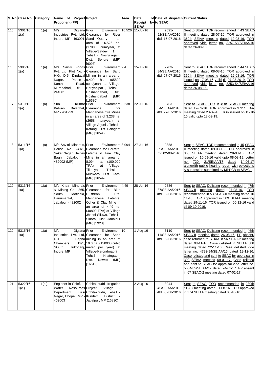|                 | S. No Case No.  | Category | Name of Project Project                                                                           |                                                                                                                                                                                                                                                                      | Area | Date                               | of Date of dispatch Current Status        |                                                                                                                                                                                                                                                                                                                                                                                                                                                                                                                             |
|-----------------|-----------------|----------|---------------------------------------------------------------------------------------------------|----------------------------------------------------------------------------------------------------------------------------------------------------------------------------------------------------------------------------------------------------------------------|------|------------------------------------|-------------------------------------------|-----------------------------------------------------------------------------------------------------------------------------------------------------------------------------------------------------------------------------------------------------------------------------------------------------------------------------------------------------------------------------------------------------------------------------------------------------------------------------------------------------------------------------|
|                 |                 |          | Proponent (PP)                                                                                    |                                                                                                                                                                                                                                                                      |      | Receipt by to SEAC<br><b>SEIAA</b> |                                           |                                                                                                                                                                                                                                                                                                                                                                                                                                                                                                                             |
| $115$           | 5301/16<br>1(a) | 1(a)     | Digiana Prior<br>M/s                                                                              | Environment 16.526<br>Industries Pvt. Ltd, Clearance for River<br>Indore, MP - 463001 Sand Quarry in an<br>area of 16.526 ha.<br>(170000 cum/year) at<br>Village-Satdev 1<br>Tehsil - Nasrullaganj,<br>Dist. Sehore (MP)<br>[6093]                                   |      | 11-Jul-16                          | 2591-<br>92/SEIAA/2016<br>dtd. 15-07-2016 | Sent to SEAC. TOR recommended in 43 SEAC<br>Il meeting dated 28-07-16. TOR approved in<br>360th SEIAA meeting dated 12-08-16. TOR<br>approved vide letter no. 3257-58/SEIAA/16<br>dated 26-08-16.                                                                                                                                                                                                                                                                                                                           |
| 116             | 5305/16<br>1(a) | 1(a)     | Sainik Foods Prior<br>M/s<br>Nagar,<br>Kanth<br>Muradabad, UP<br>244001                           | Environment <sup>19.4</sup><br>Pvt. Ltd, Plot No. - Clearance for Sand<br>HIG. D-5, Dindayal Mining in an area of<br>Phase-1, 9.400 ha.<br>(65800<br>Road, cum/year) at Village-<br>Horiyapipar, Tehsil -<br>Hoshangabad,<br>Dist.<br>Hoshangabad<br>(MP)<br>[16580] |      | 15-Jul-16                          | 2783-<br>84/SEIAA/2016<br>dtd. 27-07-2016 | Sent to SEAC. TOR recommended in 44 SEAC<br>Il meeting dated 08-08-16. TOR approved in<br>360th SEIAA meeting dated 12-08-16. TOR<br>issued on 17-08-16 valid till 07-08-2019. TOR<br>approved vide letter no. 3253-54/SEIAA/16<br>dated 26-08-16.                                                                                                                                                                                                                                                                          |
| $\frac{1}{117}$ | 5310/16<br>1(a) | 1(a)     | Sunil<br>Kumar Prior<br>Kalwani,<br>MP - 461223                                                   | Environment 3.238<br>Balaghat, Clearance<br>for<br>Manganese Ore Mines<br>in an area of 3.238 ha.<br>$(2658$ ton/year)<br>at<br>Village-Arjuni, Tehsil -<br>Katangi, Dist. Balaghat<br>(MP) [16595]                                                                  |      | 22-Jul-16                          | 0763-<br>64/SEIAA/2016<br>dtd. 27-07-2016 | Sent to SEAC. TOR in 49th SEAC-II meeting<br>dated 19-09-16. TOR approved in 372 SEIAA<br>meeting dated 28-09-16 TOR issued on 13-10-<br>16 valid upto 18-09-19.                                                                                                                                                                                                                                                                                                                                                            |
| 118             | 5311/16<br>1(a) | 1(a)     | M/s Savitri Minerals, Prior<br>482002 (MP)                                                        | Environment 8.094<br>House No. 241/1, Clearance for Bauxite,<br>Saket Nagar, Baldev Laterite & Fire Clay<br>Bagh, Jabalpur - Mine in an area of<br>8.094 ha. (100,000<br>at<br>TPA)<br>Village-<br>Tikariya , Tehsil<br>Mudwara, Dist. Katni<br>(MP) [16599]         |      | 27-Jul-16                          | 2888-<br>89/SEIAA/2016<br>dtd.02-08-2016  | Sent to SEAC. TOR recommended in 45 SEAC<br>Il meeting dated 09-08-16. TOR approved in<br>363 SEIAA meeting dated 29-08-16. TOR<br>issued on 16-09-16 valid upto 08-08-19. Letter<br>no. 720- 21/SEIAA/17 dated 14-06-17<br>alongwith public hearing report with objections<br>& suggestion submitted by MPPCB to SEAC.                                                                                                                                                                                                     |
| 119             | 5313/16<br>1(a) | 1(a)     | M/s Khatri Minerals Prior<br>South<br>Hanumantal,<br>Jabalpur - 482002                            | Environment 4.49<br>& Mining Co., 365, Clearance for Blue<br>Motinala, Dust/Iron<br>Ore,<br>Manganese, Laterite,<br>Ocher & Clay Mine in<br>an area of 4.49 ha.<br>(40809 TPA) at Village-<br>Jhansi Siluwa, Tehsil -<br>Sihora, Dist. Jabalpur<br>(MP) [5928]       |      | 28-Jul-16                          | 2886-<br>87/SEIAA/2016<br>dtd. 02-08-2016 | Sent to SEAC. Delisting recommended in 47th<br>SEAC-II<br>meeting dated<br>27-08-16. TOR<br>recommended in 58 SEAC-II meeting dated 10-<br>11-16. TOR approved in 389 SEIAA meeting<br>dated 29-11-16. TOR issued on 06-12-16 valid<br>till 09-10-2019.                                                                                                                                                                                                                                                                     |
| 120             | 5315/16<br>1(a) | 1(a)     | Digiana Prior<br>M/s<br>$G-1$ ,<br>Chambers,<br>SOuth<br>Indore, MP                               | Environment 10<br>Industries Pvt. Ltd, Clearance for Sand<br>Sapna mining in an area of<br>12/1, 10.0 ha. (150000 cubic<br>Tukoganj, meter per year) at<br>Village-Karondmaphi<br>Tehsil - Khategaon,<br>Dewas<br>(MP)<br>Dist.<br>[16519]                           |      | 1-Aug-16                           | 3110-<br>11/SEIAA/2016<br>dtd. 09-08-2016 | Sent to SEAC. Delisting recommended in 46th<br>SEAC-II meeting dated 26-08-16. PP absent,<br>case returned to SEIAA in 56 SEAC-2 meeting<br>dated 08-11-16. Case delisted in SEIAA 388<br>meeting dated 22-11-16. Case delisted vide<br>letter no. 4793-94/SEIAA/16 dated 19-12-16.<br>Case relisted and sent to SEAC for appraisal in<br>399 SEIAA meeting 09-01-17. Case relisted<br>and sent to SEAC for appraisal vide letter no.<br>5084-85/SEIAA/17 dated 24-01-17. PP absent<br>in 67 SEAC-2 meeting dated 07-02-17. |
| 121             | 5322/16<br>1(c) | 1(c)     | Engineer-in-Chief,<br>Resources Project,<br>Water<br>Department,<br>Nagar, Bhopal, MP -<br>462003 | Chhitakhudri Irrigation<br>Village<br>Tulsi Chhitakhudri, Tehsil<br>Kundam,<br>District<br>Jabalpur, MP (16830)                                                                                                                                                      |      | $2$ -Aug-16                        | 3044-<br>45/SEIAA/2016<br>dtd.06 -08-2016 | Sent to SEAC. TOR recommended in 280th<br>SEAC meeting dated 31-08-16. TOR approved<br>in 374 SEIAA meeting dated 03-10-16.                                                                                                                                                                                                                                                                                                                                                                                                 |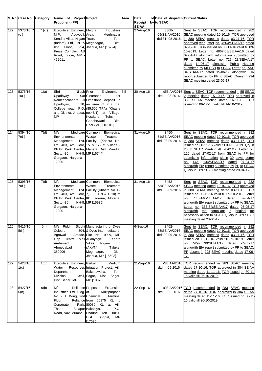|                  | S. No Case No. Category |      | Name of Project Project<br><b>Proponent (PP)</b>                                                                                                                                                             |                                                                                                                                                                                                                                                                                      | Area | Date<br>Receipt by to SEAC    | of Date of dispatch Current Status        |                                                                                                                                                                                                                                                                                                                                                                                                                                                                                                                                                                                                |
|------------------|-------------------------|------|--------------------------------------------------------------------------------------------------------------------------------------------------------------------------------------------------------------|--------------------------------------------------------------------------------------------------------------------------------------------------------------------------------------------------------------------------------------------------------------------------------------|------|-------------------------------|-------------------------------------------|------------------------------------------------------------------------------------------------------------------------------------------------------------------------------------------------------------------------------------------------------------------------------------------------------------------------------------------------------------------------------------------------------------------------------------------------------------------------------------------------------------------------------------------------------------------------------------------------|
| 122              | 5373/16 7<br>(c)        | 7(c) | Executive Engineer, Megha<br>M.P.<br>Audyogik Area,<br>Kendra Vikas Nigam Town,<br>(Indore) Ltd, Ist & Meghnagar,<br>IInd Floor, 3/54, Jhabua, MP [16724]<br>Press Complex, AB<br>Road, Indore, MP<br>452011 | Industries<br>Meghnagar<br>Teh.<br>Dist.                                                                                                                                                                                                                                             |      | <b>SEIAA</b><br>$27 - Aug-16$ | 3308-<br>09/SEIAA/2016<br>dtd.31 -08-2016 | Sent to SEAC. TOR recommended in 282<br>SEAC meeting dated 10.10.16. TOR approved<br>in 380 SEIAA meeting dated 03-11-16. TOR<br>approved vide letter no. 4604/SEIAA/16 dated<br>02-12-16. TOR issued on 30-11-16 valid till 09-<br>10-2019. Letter no. 4867-68/SEIAA/16 dated<br>02-01-17 alongwith information submitted by<br>PP to SEAC. Letter no. 727- 28/SEIAA/17<br>dated 14-06-17 alongwith Public Hearing<br>submitted by MPPCB to SEAC. Letter no. 733-<br>34/SEIAA/17 dated 15-06-17 alongwith EIA<br>report submitted by PP to SEAC. Query in 294<br>SEAC meeting dated 23-06-17. |
| 123              | 5375/16<br>1(a)         | 1(a) | <b>Nilesh</b> Prior<br>Shri<br>Upadhyay<br>Upadhyay,<br><b>MP</b>                                                                                                                                            | Environment <sup>7.5</sup><br>S/o Clearance<br>for<br>Rameshchandra Ji Limestone deposit in<br>10, an area of $7.50$ ha.<br>College road, P.O. (85,500 TPA) (Khasra<br>and District. Jhabua, no.46/1) at Village-<br>Tehsil<br>Kosdana,<br>Dist.<br>Gandhewani,<br>Dhar (MP) [16181] |      | 30-Aug-16                     | dtd. -08-2016                             | /SEIAA/2016 Sent to SEAC. TOR recommended in 55 SEAC<br>2 meeting dated 15-10-16. TOR approved in<br>386 SEIAA meeting dated 16-11-16. TOR<br>issued on 06-12-16 valid till 14-10-2019.                                                                                                                                                                                                                                                                                                                                                                                                        |
| 124              | 5394/16<br>7(d)         | 7(d) | M/s<br>Environmental<br>Management<br>Sector-30,<br>Gurgaon, Haryana<br>122001                                                                                                                               | Medicare Common<br>Biomedical<br>Waste<br>Treatment<br>Pvt. Facility (Khasra No.<br>Ltd, 403, 4th Floor, 15 & 17) at Village -<br>BPTP Park Centra, Manera, Distt. Mandla,<br>NH-8, MP [16744]                                                                                       |      | 31-Aug-16                     | 3450-<br>51/SEIAA/2016<br>dtd. 08-09-2016 | Sent to SEAC. TOR recommended in 282<br>SEAC meeting dated 10.10.16. TOR approved<br>in 380 SEIAA meeting dated 03-11-16. TOR<br>issued on 30-11-16 valid till 09-10-2019. Qry in<br>286th SEAC Meeting dt. 28/01/17. Letter no.<br>120 dated 27-02-17 from SEAC to PP for<br>submitting information within 30 days. Letter<br>143- 144/SEIAA/17 dated 07-04-17<br>no.<br>alongwith EIA report submitted by PP to SEAC.<br>Query in 289 SEAC meeting dated 28-04-17.                                                                                                                           |
| 125              | 5395/16<br>7(d)         | 7(d) | M/s<br>Environmental<br>Management<br>Sector-30,<br>Gurgaon, Haryana<br>122001                                                                                                                               | Medicare Common<br>Biomedical<br>Waste<br>Treatment<br>Pvt. Facility (Khasra No. F-<br>Ltd, 403, 4th Floor, 7, F-8, F-9 & F-10) at<br>BPTP Park Centra, IID Jaderua, Morena,<br>NH-8, MP [15935]                                                                                     |      | 31-Aug-16                     | 3452-<br>53/SEIAA/2016<br>dtd. 08-09-2016 | Sent to SEAC. TOR recommended in 282<br>SEAC meeting dated 10.10.16. TOR approved<br>in 380 SEIAA meeting dated 03-11-16. TOR<br>issued on 30-11-16 valid till 09-10-2019. Letter<br>145-146/SEIAA/17<br>07-04-17<br>dated<br>no.<br>alongwith EIA report submitted by PP to SEAC.<br>Letter no. 333-34/SEIAA/17 dated 03-05-17<br>alongwith the compliant in original for<br>necessary action to SEAC. Query in 289 SEAC<br>meeting dated 28-04-17.                                                                                                                                           |
| 126              | 5416/16<br>5(f)         | 5(f) | M/s<br>Colours,<br>Agrawal<br>Opp. Central Mall Audhyogic<br>Ambawadi,<br>Ahmedabad<br>380006                                                                                                                | Riddhi Siddhi Manufacturing of Dyes<br>304, & Dyes Intermediate at<br>Arcade, Plot No. 99-A, MP<br>Kendra<br>Vikas<br>Nigam<br>Ltd<br>(AKVN),<br>Taluka,<br>Meghnagar,<br>Dist.<br>Jhabua, MP [15693]                                                                                |      | $6-Sep-16$                    | 3462-<br>63/SEIAA/2016<br>dtd. 09-09-2016 | Sent to SEAC. TOR recommended in 282<br>SEAC meeting dated 10.10.16. TOR approved<br>in 380 SEIAA meeting dated 03-11-16. TOR<br>issued on 15-12-16 valid till 09-10-19. Letter<br>529- 30/SEIAA/17 dated 24-05-17<br>no.<br>alongwith EIA report submitted by PP to SEAC.<br>PP absent in 293 SEAC meeting dated 17-06-<br>17.                                                                                                                                                                                                                                                                |
| 127              | 5423/16<br>1(c)         | 1(c) | Executive Engineer, Parkul<br>Water<br>Department,<br>Division - II, Kesli, Sagar, Dist.<br>Dist. Sagar, MP                                                                                                  | Medium<br>Resources Irrigation Project, Vill.<br>Bakshawaha,<br>Teh.<br>Sagar,<br>MP [10876]                                                                                                                                                                                         |      | 21-Sep-16                     | /SEIAA/2016<br>dtd. -09-2016              | TOR recommended in 283 SEAC meeting<br>dated 27-10-16. TOR approved in 384 SEIAA<br>meeting dated 11-11-16. TOR issued on 30-11<br>16 valid till 26-10-2019.                                                                                                                                                                                                                                                                                                                                                                                                                                   |
| $\overline{128}$ | 5427/16<br>6(b)         | 6(b) | M/s<br>Industries Ltd, Bldg. of<br>No. 7, B Wing, 2nd Chemical<br>Floor,<br>Corporate<br>Thane<br>Road, Navi Mumbai                                                                                          | Reliance Proposed<br>Expansion<br>Multipurpose<br>Terminal<br>Reliance from 00175 KL to<br>Park, 80080 KL at Vill.<br>Belapur Bakaniya,<br>P.O.<br>Bhaunri, Teh. Huzur,<br>Bhopal,<br>MP<br>DIst.<br>[17026]                                                                         |      | 22-Sep-16                     | dtd. -09-2016                             | /SEIAA/2016 TOR recommended in 283 SEAC meeting<br>dated 27-10-16. TOR approved in 384 SEIAA<br>meeting dated 11-11-16. TOR issued on 30-11<br>16 valid till 26-10-2019.                                                                                                                                                                                                                                                                                                                                                                                                                       |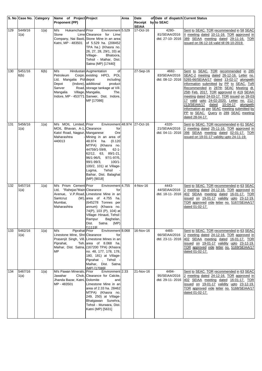|     | S. No Case No. Category |      | Name of Project Project                                                                                          |                                                                                                                                                                                                                                                                                                                       | Area | Date                               | of Date of dispatch Current Status        |                                                                                                                                                                                                                                                                                                                                                                                                                                                                                                                    |
|-----|-------------------------|------|------------------------------------------------------------------------------------------------------------------|-----------------------------------------------------------------------------------------------------------------------------------------------------------------------------------------------------------------------------------------------------------------------------------------------------------------------|------|------------------------------------|-------------------------------------------|--------------------------------------------------------------------------------------------------------------------------------------------------------------------------------------------------------------------------------------------------------------------------------------------------------------------------------------------------------------------------------------------------------------------------------------------------------------------------------------------------------------------|
|     |                         |      | Proponent (PP)                                                                                                   |                                                                                                                                                                                                                                                                                                                       |      | Receipt by to SEAC<br><b>SEIAA</b> |                                           |                                                                                                                                                                                                                                                                                                                                                                                                                                                                                                                    |
| 129 | 5449/16<br>1(a)         | 1(a) | M/s<br>Hukamchand Prior<br>Stone<br>Katni, MP - 483501                                                           | Environment 5.529<br>Lime Clearance for Lime<br>Company, Nai Basti, Stone Mine in an area<br>of 5.529 ha. (208452<br>TPA ha.) (Khasra no.<br>26, 27, 28, 29/1, 33) at                                                                                                                                                 |      | 17-Oct-16                          | 4280-<br>81/SEIAA/2016<br>dtd. 27-10-2016 | Sent to SEAC. TOR recommended in 58 SEAC<br>Il meeting dated 10-11-16. TOR approved in<br>389 SEIAA meeting dated 29-11-16. TOR<br>issued on 06-12-16 valid till 09-10-2019.                                                                                                                                                                                                                                                                                                                                       |
|     |                         |      |                                                                                                                  | Village-<br>Bhatoora,<br>Tehsil - Maihar, Dist.<br>Satna (MP) [17440]                                                                                                                                                                                                                                                 |      |                                    |                                           |                                                                                                                                                                                                                                                                                                                                                                                                                                                                                                                    |
| 130 | 5451/16<br>6(b)         | 6(b) | M/s<br>Petroleum<br>Ltd, Mangalia Pol depot<br>Depot<br>Sanver<br>Mangalia                                       | Hindustan Augmentation<br>of<br>Corpn. existing HPCL POL<br>including<br>(Indore), additional<br>product<br>Road, storage tankage at Vill.<br>Village, Mangalia,<br>The.<br>Indore, MP - 453771 Sanwer, Dist. Indore,<br>MP [17086]                                                                                   |      | 27-Sep-16                          | 4682-<br>83/SEIAA/2016<br>dtd. 08-12-2016 | Sent to SEAC. TOR recommended in 285<br>SEAC-2 meeting dated 26-12-16. Letter no.<br>5265-66/SEIAA/17 dated 13-02-17 alongwith<br>information submitted by PP to SEAC. ToR<br>Recommended in 287th SEAC Meeting dt.<br>25th Feb. 2017. TOR approved in 419 SEIAA<br>meeting dated 24-03-17. TOR issued on 28-03-<br>17 valid upto 24-02-2020. Letter no. 212-<br>213/SEIAA/17 dated 10-04-17 alongwith<br>information as per SEAC meeting submitted by<br>PP to SEAC. Query in 289 SEAC meeting<br>dated 28-04-17. |
| 131 | 5456/16<br>1(a)         | 1(a) | M/s MOIL Limited, Prior<br>MOIL Bhavan, A-1, Clearance<br>Katol Road, Nagpur, Manganese<br>Maharashtra<br>440013 | Environment 48.974 27-Oct-16<br>for<br>Ore<br>Mining in an area of<br>48.974<br>ha.<br>(0.120)<br>MTPA) (Khasra no.<br>$62 - 1 -$<br>44759/1-59/8,<br>62/12, 63, 89/1-21,<br>96/1-96/5, 97/1-97/5,<br>99/1-99/3,<br>$100/1 -$<br>100/2, 101) at Village-<br>Lugma,<br>Tehsil<br>Baihar, Dist. Balaghat<br>(MP) [9018] |      |                                    | 4320-<br>21/SEIAA/2016<br>dtd. 04-11-2016 | Sent to SEAC. TOR recommended in 61 SEAC<br>2 meeting dated 25-11-16. TOR approved in<br>398 SEIAA meeting dated 02-01-17. TOR<br>issued on 19-01-17 validity upto 24-11-19.                                                                                                                                                                                                                                                                                                                                       |
| 132 | 5457/16<br>1(a)         | 1(a) | M/s Prism Cement Prior<br>Ltd, "Rahejas"Main Clearance<br>Santcruz<br>Mumbai,<br>Maharashtra                     | Environment 4.755<br>for<br>Avenue, V.P.Road, Limestone Mine in an<br>(W), area of 4.755 ha.<br>(645278 Tonnes per<br>annum) (Khasra no.<br>74(P), 103 (P), 104) at<br>Village- Hinauti, Tehsil<br>Rampur<br>Baghelan,<br>Satna<br>Dist.<br>(MP)<br>[11119]                                                           |      | 4-Nov-16                           | 4443-<br>44/SEIAA/2016<br>dtd. 18-11-2016 | Sent to SEAC. TOR recommended in 63 SEAC<br>2 meeting dated 24-12-16. TOR approved in<br>402 SEIAA meeting dated 16-01-17. TOR<br>issued on 19-01-17 validity upto 23-12-19.<br>TOR approved vide letter no. 5167/SEIAA/17<br>dated 01-02-17.                                                                                                                                                                                                                                                                      |
| 133 | 5462/16<br>1(a)         | 1(a) | M/s<br>Piprahat Prior<br>Linestone Mine, Shri Clearance<br>Piprahat,<br><b>MP</b>                                | Environment 8.068<br>for<br>Prasenjit Singh, Vill. Limestone Mines in an<br>Teh. area of 8.068 ha.<br>Maihar, Dist. Satna, (167200 TPA) (Khasra<br>no. 48, 177, 178, 178,<br>180, 181) at Village-<br>Piprahat, Tehsil<br>Maihar, Dist. Satna<br>(MP) [17089]                                                         |      | 16-Nov-16                          | 4465-<br>66/SEIAA/2016<br>dtd. 23-11-2016 | Sent to SEAC. TOR recommended in 63 SEAC<br>2 meeting dated 24-12-16. TOR approved in<br>402 SEIAA meeting dated 16-01-17. TOR<br>issued on 19-01-17 validity upto 23-12-19.<br>TOR approved vide letter no. 5169/SEIAA/17<br>dated 01-02-17.                                                                                                                                                                                                                                                                      |
| 134 | 5467/16<br>1(a)         | 1(a) | M/s Pawan Minerals,<br>Jawahar<br>Jhanda Bazar, Katni, Dolomite<br>MP - 483501                                   | Environment 2.33<br>Prior<br>Chok, Clearance for Calcite,<br>and<br>Limestone Mine in an<br>area of 2.33 ha. 28462<br>MTPA) (Khasra no.<br>249, 250) at Village-<br>Bhatgawan Sunehra,<br>Tehsil - Murwara, Dist.<br>Katni (MP) [5631]                                                                                |      | 21-Nov-16                          | 4494-<br>95/SEIAA/2016<br>dtd. 29-11-2016 | Sent to SEAC. TOR recommended in 63 SEAC<br>2 meeting dated 24-12-16. TOR approved in<br>402 SEIAA meeting dated 16-01-17. TOR<br>issued on 19-01-17 validity upto 23-12-19.<br>TOR approved vide letter no. 5168/SEIAA/17<br>dated 01-02-17.                                                                                                                                                                                                                                                                      |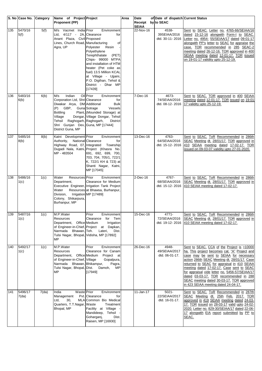|     | S. No Case No. Category |       | Name of Project Project<br><b>Proponent (PP)</b>                                                                                                                                                                       |                                                                                                                                                                                                                                                                             | Area | Date<br>Receipt by to SEAC | of Date of dispatch Current Status          |                                                                                                                                                                                                                                                                                                                                                                                                                                                                     |
|-----|-------------------------|-------|------------------------------------------------------------------------------------------------------------------------------------------------------------------------------------------------------------------------|-----------------------------------------------------------------------------------------------------------------------------------------------------------------------------------------------------------------------------------------------------------------------------|------|----------------------------|---------------------------------------------|---------------------------------------------------------------------------------------------------------------------------------------------------------------------------------------------------------------------------------------------------------------------------------------------------------------------------------------------------------------------------------------------------------------------------------------------------------------------|
| 135 | 5470/16<br>5(f)         | 5(f)  | M/s Vacmet India Prior<br>Ltd, 4/117 - 2A, Clearance<br>Anant Plaza, Civil Proposed<br>Lines, Church Road, Manufacturing<br>Agra, UP                                                                                   | Environment<br>for<br>οf<br>Polyester Resin<br>Polyethylene<br>Terephthalate<br>(PET)<br>Chips- 99000 MTPA<br>and installation of HTM<br>heater (Pet coke as<br>fuel) 13.5 Million KCAL<br>at Village - Ujjaini,<br>P.O. Digthan, Tehsil &<br>District - Dhar MP<br>[17439] |      | <b>SEIAA</b><br>22-Nov-16  | 4538-<br>39SEIAA/2016<br>dtd. 30-11-2016    | Sent to SEAC. Letter no. 4765-66/SEIAA/16<br>dated 15-12-16 alongwith Form-I to SEAC.<br>Letter no. 4954- 55/SEIAA/17 dated 09-01-17<br>alongwith PP's letter to SEAC for appraise the<br>case. TOR recommended in 285 SEAC-2<br>meeting dated 26-12-16. TOR approved in 400<br>SEIAA meeting dated 12-01-17. TOR issued<br>on 19-01-17 validity upto 25-12-19.                                                                                                     |
| 136 | 5483/16<br>6(b)         | 6(b)  | Indian<br>M/s<br>Corporation Ltd, Shri Clearance<br>Diwakar Arya, DM Additional<br>(P) GBP,<br><b>Bottling</b><br>Village<br>Tehsil<br>Raghogarh, Raghogarh,<br>Shri Gunjan Dev, Guna, MP [17444]<br>District Guna, MP | Oil Prior<br>Environment<br>for<br><b>Bulk</b><br>Guna Sotrage<br>Vessels<br>Plant, (Mounded Storage) at<br>Dongar, Village Dongar, Tehsil<br><b>District</b>                                                                                                               |      | 7-Dec-16                   | 4673-<br>74/SEIAA/2016<br>dtd. 08-12- 2016  | Sent to SEAC. TOR approved in 400 SEIAA<br>meeting dated 12-01-17. TOR issued on 19-01<br>17 validity upto 25-12-19.                                                                                                                                                                                                                                                                                                                                                |
| 137 | 5485/16<br>8(b)         | 8(b)  | Katni Development Prior<br>Authority,<br>Highway Road, 07, Integrated<br>MP - 483504                                                                                                                                   | Environment<br>National Clearance<br>for<br>Township<br>Dugadi Nala, Katni, Project (Khasra No.<br>691, 692, 699, 700,<br>703, 704, 705/1, 722/1<br>K, 722/1 KH & 723) at<br>Shanti Nagar, Katni,<br>MP [17045]                                                             |      | 13-Dec-16                  | 4763-<br>64/SEIAA/2016<br>dtd. 15-12-2016   | Sent to SEAC. ToR Recommended in 286th<br>SEAC Meeting dt. 28/01/17. TOR approved in<br>410 SEIAA meeting dated 17-02-17. TOR<br>issued on 09-03-07 validity upto 27-01-2020.                                                                                                                                                                                                                                                                                       |
| 138 | 5486/16<br>1(c)         | 1(c)  | Resources Prior<br>Water<br>Department,<br>Water<br>Division,<br>Colony, Shikarpura,<br>Burhanpur, MP                                                                                                                  | Environment<br>Clearance for Medium<br>Executive Engineer, Irrigation Tank Project<br>Resources at Bhawsa, Burhanpur,<br>Irrigation MP [17489]                                                                                                                              |      | $2$ -Dec-16                | 4767-<br>68/SEIAA/2016<br>dtd. 15-12-2016   | Sent to SEAC. ToR Recommended in 286th<br>SEAC Meeting dt. 28/01/17. TOR approved in<br>410 SEIAA meeting dated 17-02-17.                                                                                                                                                                                                                                                                                                                                           |
| 139 | 5487/16<br>1(c)         | 1(C)  | M.P.Water<br>Resources<br>Department, Office Medium<br>Narmada Bhawan, Teh. Lateri,<br>Tulsi Nagar, Bhopal, Vidisha, MP [17892]<br>MP                                                                                  | Prior<br>Environment<br>Clearance for Tem<br>Irrigation<br>of Engineer-in-Chief, Project at Dapkan,<br>Dist.                                                                                                                                                                |      | 15-Dec-16                  | $411 -$<br>72/SEIAA/2016<br>dtd. 19-12-2016 | Sent to SEAC. ToR Recommended in 286th<br>SEAC Meeting dt. 28/01/17. TOR approved in<br>410 SEIAA meeting dated 17-02-17.                                                                                                                                                                                                                                                                                                                                           |
| 140 | 5492/17<br>1(c)         | 1(c)  | M.P.Water<br>Resources<br>Department, Office Medium<br>of Engineer-in-Chief, Village<br>Narmada Bhawan, Bhikampur,<br>Tulsi Nagar, Bhopal, Dist.<br><b>MP</b>                                                          | Prior<br>Environment<br>Clearance for Canam<br>Project at<br>Gopalpura,<br>Pagra,<br>Damoh,<br>MP.<br>[17949]                                                                                                                                                               |      | 26-Dec-16                  | 4948-<br>49/SEIAA/2017<br>dtd. 06-01-17.    | Sent to SEAC. CCA of the Project is >10000<br>ha. This project becomes cat. "A" Project and<br>case may be sent to SEIAA for necessary<br>action 286th SEAC Meeting dt. 28/01/17. Case<br>returned to SEAC for appraisal in 410 SEIAA<br>meeting dated 17-02-17. Case sent to SEAC<br>for appraisal vide letter no. 5456-57/SEIAA/17<br>dated 03-03-17. TOR recommended in 288<br>SEAC meeting dated 30-03-17. TOR approved<br>in 423 SEIAA meeting dated 24-04-17. |
| 141 | 5496/17<br>7(da)        | 7(da) | <b>Waste</b> Prior<br>India<br>Management<br>Ltd,<br>30.<br>Quarters, T.T.Nagar, Waste<br>Bhopal, MP                                                                                                                   | Environment<br>Pvt. Clearance<br>for<br>MLA Common Bio Medical<br>Treatment<br>Facility at Village<br>Mandideep, Tehsil<br>Dist.<br>Goharganj,<br>Raisen, MP [16930]                                                                                                        |      | 11-Jan-17                  | $5021 -$<br>22/SEIAA/2017<br>dtd. 16-01-17. | Sent to SEAC. ToR Recommended in 287th<br>SEAC Meeting dt. 25th Feb. 2017. TOR<br>approved in 419 SEIAA meeting dated 24-03-<br>17. TOR issued on 28-03-17 valid upto 24-02-<br>2020. Letter no. 829-30/SEIAA/17 dated 22-06-<br>17 alongwith EIA report submitted by PP to<br>SEAC.                                                                                                                                                                                |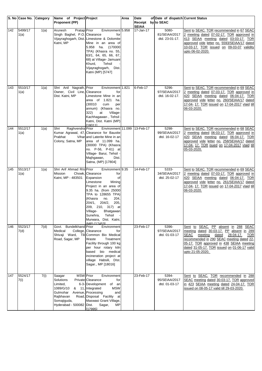|     | S. No Case No.  | Category | Name of Project Project<br>Proponent (PP)                                                                                            |                                                                                                                                                                                                                                                                                                                              | Area | Date<br>Receipt by to SEAC<br><b>SEIAA</b> | of Date of dispatch Current Status       |                                                                                                                                                                                                                                                                                                     |
|-----|-----------------|----------|--------------------------------------------------------------------------------------------------------------------------------------|------------------------------------------------------------------------------------------------------------------------------------------------------------------------------------------------------------------------------------------------------------------------------------------------------------------------------|------|--------------------------------------------|------------------------------------------|-----------------------------------------------------------------------------------------------------------------------------------------------------------------------------------------------------------------------------------------------------------------------------------------------------|
| 142 | 5499/17<br>1(a) | 1(a)     | Arunesh<br>Pratap Prior<br>Singh Baghel, P.O. Clearance<br>Katni, MP                                                                 | Environment 5.958<br>for<br>Vijayraghogarh, Dist. Limestone & Dolomite<br>Mine in an area of<br>5.958 ha. (170000<br>TPA) (Khasra no. 55,<br>63/1, 64, 65, 66, 67,<br>68) at Village- Jamuani<br>Tehsil<br>Khurd,<br>Vijayraghogarh, Dist.<br>Katni (MP) [5747]                                                              |      | 17-Jan-17                                  | 5080-<br>81/SEIAA/2017<br>dtd. 23-01-17. | Sent to SEAC. TOR recommended in 67 SEAC<br>2 meeting dated 07-02-17. TOR approved in<br>413 SEIAA meeting dated 03-03-17. TOR<br>approved vide letter no. 5593/SEIAA/17 dated<br>10-03-17. TOR issued on 09-03-07 validity<br>upto 06-02-2020.                                                     |
| 143 | 5510/17<br>1(a) | 1(a)     | Shri Anil Nagrath, Prior<br>Owner, Civil Line, Clearance<br>Dist. Katni, MP                                                          | Environment 1.821<br>for<br>Limestone Mine in an<br>area of 1.821<br>ha.<br>(30010)<br>cum<br>per<br>annum) (Khasra no.<br>322)<br>at<br>Village-<br>Kachhagawan, Tehsil<br>Katni, Dist. Katni (MP)<br>[18011]                                                                                                               |      | 6-Feb-17                                   | 5296-<br>97/SEIAA/2017<br>dtd. 16-02-17. | Sent to SEAC. TOR recommended in 69 SEAC<br>2 meeting dated 07-03-17. TOR approved in<br>420 SEIAA meeting dated 06-04-17. TOR<br>approved vide letter no. 260/SEIAA/17 dated<br>17-04- 17. TOR issued on 17-04-2017 vlaid till<br>06-03-2020.                                                      |
| 144 | 5512/17<br>1(a) | 1(a)     | Shri<br>Raghvendra Prior<br>Prabhat<br>Colony, Satna, MP                                                                             | Environment 11.099 13-Feb-17<br>Kumar Agrawal, 47, Clearance for Bauxite<br>Vihar and Laterite Mine in an<br>area of 11.099 ha.<br>(30000 TPA) (Khasra<br>no. P-56, P-61) at<br>Village- Barui, Tehsil -<br>Majhgawan,<br>Dist.<br>Satna, (MP) [17804]                                                                       |      |                                            | 5298-<br>99/SEIAA/2017<br>dtd. 16-02-17  | Sent to SEAC. TOR recommended in 68 SEAC-<br>2 meeting dated 06-03-17. TOR approved in<br>420 SEIAA meeting dated 06-04-17. TOR<br>approved vide letter no. 258/SEIAA/17 dated<br>17-04- 17. TOR isued on 17-04-2017 vlaid till<br>05-03-2020.                                                      |
| 145 | 5513/17<br>1(a) | 1(a)     | Shri Arif Ahmad R/o Prior<br>Mission<br>Katni, MP - 483501                                                                           | Environment 9.35<br>Chowk, Clearance<br>for<br>Expansion<br>of<br>Limestone<br>Mining<br>Project in an area of<br>9.35 ha. (from 25000<br>TPA to 128655 TPA)<br>(Khasra<br>no.<br>204,<br>204/1, 204/2,<br>205,<br>209, 210, 317) at<br>Village-<br>Bhatgawan<br>Tehsil<br>Sunehra,<br>Murwara, Dist. Katni,<br>(MP) [17453] |      | 14-Feb-17                                  | 5333-<br>34/SEIAA/2017<br>dtd. 25-02-17  | Sent to SEAC. TOR recommended in 69 SEAC<br>2 meeting dated 07-03-17. TOR approved in<br>420 SEIAA meeting dated 06-04-17. TOR<br>approved vide letter no. 261/SEIAA/17 dated<br>17-04- 17. TOR issued on 17-04-2017 vlaid till<br>06-03-2020.                                                      |
| 146 | 5523/17<br>7(d) | 7(d)     | Govt. Bundelkhand Prior<br>Medical<br>Road, Sagar, MP                                                                                | Environment<br>College, Clearance<br>for<br>Shivaji Ward, Tili Common Bio Medical<br>Waste<br>Treatment<br>Facility through 100 kg<br>per hour rotary kiln<br>based bio medical<br>incineration project at<br>village Habsili, DIst.<br>Sagar., MP [18016]                                                                   |      | 23-Feb-17                                  | 5396-<br>97/SEIAA/2017<br>dtd. 01-03-17  | Sent to SEAC. PP absent in 288 SEAC<br>meeting dated 30-03-17. PP absent in 289<br>SEAC<br>meeting<br>28-04-17.<br>dated<br><b>TOR</b><br>recommended in 290 SEAC meeting dated 22-<br>05-17. TOR approved in 438 SEIAA meeting<br>dated 31-05-17. TOR issued on 01-06-17 valid<br>upto 21-05-2020. |
| 147 | 5524/17<br>7(i) | 7(i)     | <b>MSW</b> Prior<br>Saagar<br>Solutions<br>Limited,<br>1089/G/10<br>Gulmohar<br>Rajbhavan<br>Somajiguda,<br>Hyderabad - 500082 Dist. | Environment<br>Private Clearance<br>for<br>6-3- Development of an<br>& 11, Integrated<br><b>MSW</b><br>Avenue, Processing<br>and<br>Road, Disposal Facility<br>at<br>Maswasi Grant Village,<br>MP<br>Sagar,<br>[17995]                                                                                                       |      | 23-Feb-17                                  | 5394-<br>95/SEIAA/2017<br>dtd. 01-03-17  | Sent to SEAC. TOR recommended in 288<br>SEAC meeting dated 30-03-17. TOR approved<br>in 423 SEIAA meeting dated 24-04-17. TOR<br>issued on 08-05-17 valid till 29-03-2020.                                                                                                                          |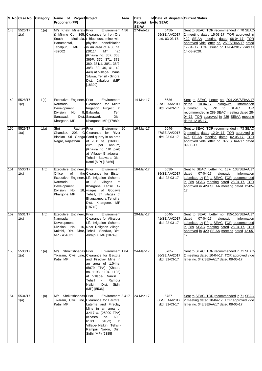|     | S. No Case No.  | Category | Name of Project Project                                                                                |                                                                                                                                                                                                                                                                                                                                                                            | Area | Date                               | of Date of dispatch Current Status       |                                                                                                                                                                                                                                                |
|-----|-----------------|----------|--------------------------------------------------------------------------------------------------------|----------------------------------------------------------------------------------------------------------------------------------------------------------------------------------------------------------------------------------------------------------------------------------------------------------------------------------------------------------------------------|------|------------------------------------|------------------------------------------|------------------------------------------------------------------------------------------------------------------------------------------------------------------------------------------------------------------------------------------------|
|     |                 |          | <b>Proponent (PP)</b>                                                                                  |                                                                                                                                                                                                                                                                                                                                                                            |      | Receipt by to SEAC<br><b>SEIAA</b> |                                          |                                                                                                                                                                                                                                                |
| 148 | 5525/17<br>1(a) | 1(a)     | M/s Khatri Minerals Prior<br>South<br>Hanumantal,<br>Jabalpur,<br>MP<br>482002                         | Environment 4.56<br>& Mining Co., 365, Clearance for Iron Ore<br>Motinala, / Blue dust mine with<br>physical beneficiation<br>in an area of 4.56 ha.<br>(20114<br>МT<br>ha.)<br>(Khasra no. 367, 368,<br>369P, 370, 371, 372,<br>380, 381/1, 38/1, 38/2,<br>38/3, 39, 40, 41, 42,<br>440) at Village- Jhansi<br>Siluwa, Tehsil - Sihora,<br>Dist. Jabalpur (MP)<br>[18320] |      | 27-Feb-17                          | 5458-<br>59/SEIAA/2017<br>dtd. 03-03-17. | Sent to SEAC. TOR recommended in 70 SEAC<br>2 meeting dated 15-03-17. TOR approved in<br>420 SEIAA meeting dated 06-04-17. TOR<br>approved vide letter no. 259/SEIAA/17 dated<br>17-04- 17. TOR issued on 17-04-2017 vlaid till<br>14-03-2020. |
| 149 | 5528/17         | 1(c)     | Executive Engineer, Prior                                                                              | Environment                                                                                                                                                                                                                                                                                                                                                                |      | 14-Mar-17                          | 5636-                                    | Sent to SEAC. Letter no. 204-205/SEIAA/17                                                                                                                                                                                                      |
|     | 1(c)            |          | Narmada<br>Development<br>Division<br>No.<br>Sanawad,<br>Khargone, MP                                  | Clearance for Micro<br>Irrigation Project at<br>8, Balwada,<br>Teh.<br>Dist. Sanawad,<br>Dist.<br>Khargone, MP [17989]                                                                                                                                                                                                                                                     |      |                                    | 37/SEIAA/2017<br>dtd. 22-03-17           | 10-04-17<br>alongwith<br>information<br>dated<br>SEAC.<br>submitted<br>PP<br><u>by</u><br><u>to</u><br>TOR<br>recommended in 289 SEAC meeting dated 28-<br>04-17. TOR approved in 429 SEIAA meeting<br>dated 12-05-17.                         |
| 150 | 5529/17<br>1(a) | 1(a)     | Raghav Prior<br>Shri<br>Nagar, Rajasthan                                                               | Environment <sub>20</sub><br>Chandak, 203, G Clearance for River<br>Blockm Sri Ganga Sand quarry in an area<br>of 20.0 ha. (160000<br>cum<br>per<br>annum)<br>(Khasra no. 181 part)<br>at Village- Bhadaura<br>Tehsil - Badwara, Dist.<br>Katni (MP) [18466]                                                                                                               |      | 16-Mar-17                          | 5646-<br>47/SEIAA/2017<br>dtd. 23-03-17  | Sent to SEAC. TOR recommended in 73 SEAC<br>2 meeting dated 12-04-17. TOR approved in<br>426 SEIAA meeting dated 02-05-17. TOR<br>approved vide letter no. 372/SEIAA/17 dated<br>09-05-17.                                                     |
| 151 | 5530/17<br>1(c) | 1(c)     | Executive Engineer, Prior<br>Office<br>of<br>Narmada<br>Development<br>Division<br>No.<br>Khargone, MP | Environment<br>the Clearance for Biston<br>Executive Engineer, Lift Irrigation Scheme<br>8 <sup>8</sup><br>vilages<br>at<br>of<br>Khargone Tehsil, 47<br>18, vilages of Gogawa<br>Tehsil, 37 vilages of<br>Bhagwanpura Tehsil at<br>Dist. Khargone, MP<br>[18740]                                                                                                          |      | 16-Mar-17                          | 5638-<br>39/SEIAA/2017<br>dtd. 22-03-17  | Sent to SEAC. Letter no. 137- 138/SEIAA/17<br>07-04-17<br>alongwith<br>dated<br>information<br>submitted by PP to SEAC. TOR recommended<br>in 289 SEAC meeting dated 28-04-17. TOR<br>approved in 429 SEIAA meeting dated 12-05-<br><u>17.</u> |
| 152 | 5531/17<br>1(c) | 1(c)     | Executive Engineer, Prior<br>Narmada<br>Development<br>Division<br>No.<br>MP - 454331                  | Environment<br>Clearance for Alirajpur<br>Lift Irrigation Scheme<br>16, Near Roligaon village,<br>Kukshi, Dist. Dhar, Tehsil - Sondwa, Dist.<br>Alirajpur, MP [18749]                                                                                                                                                                                                      |      | 20-Mar-17                          | 5640-<br>41/SEIAA/2017<br>dtd. 22-03-17  | Sent to SEAC. Letter no. 155-156/SEIAA/17<br>07-04-17<br>alongwith<br>dated<br>information<br>submitted by PP to SEAC. TOR recommended<br>in 289 SEAC meeting dated 28-04-17. TOR<br>approved in 429 SEIAA meeting dated 12-05-<br><u>17.</u>  |
| 153 | 5533/17<br>1(a) | 1(a)     | M/s Shrikrishnadas Prior<br>Katni, MP                                                                  | Environment 1.04<br>Tikaram, Civil Line, Clearance for Bauxite<br>and Fireclay Mine in<br>an area of 1.04ha.<br>(5879 TPA) (Khasra<br>no. 1193, 1194, 1195)<br>at Village- Naikin<br>Tehsil<br>Rampur<br>$\overline{\phantom{a}}$<br>Naikin,<br>Dist. Sidhi<br>(MP) [5536]                                                                                                 |      | 24-Mar-17                          | 5785-<br>86/SEIAA/2017<br>dtd. 31-03-17  | Sent to SEAC. TOR recommended in 71 SEAC<br>2 meeting dated 10-04-17. TOR approved vide<br>letter no. 347/SEIAA/17 dated 08-05-17.                                                                                                             |
| 154 | 5534/17<br>1(a) | 1(a)     | M/s Shrikrishnadas Prior<br>Katni, MP                                                                  | Environment 3.417<br>Tikaram, Civil Line, Clearance for Bauxite,<br>Laterite and Fireclay<br>Mine in an area of<br>3.417ha. (25000 TPA)<br>(Khasra<br>no.<br>609,<br>610/2)<br>610/1,<br>at<br>Village- Naikin, Tehsil<br>Rampur Naikin, Dist.<br>Sidhi (MP) [5385]                                                                                                        |      | 24-Mar-17                          | 5787-<br>88/SEIAA/2017<br>dtd. 31-03-17  | Sent to SEAC. TOR recommended in 71 SEAC<br>2 meeting dated 10-04-17. TOR approved vide<br>letter no. 348/SEIAA/17 dated 08-05-17.                                                                                                             |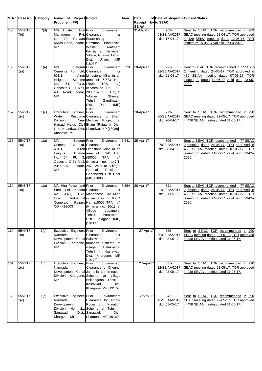| Receipt by to SEAC<br><b>SEIAA</b><br>M/s Hostech Eco Prior<br>5542/17<br>7(d)<br>31-Mar-17<br>262-<br>Sent to SEAC. TOR recommended in 289<br>Environment<br>Management<br>Pvt. Clearance<br>63/SEIAA/2017<br>SEAC meeting dated 28-04-17. TOR approved<br>7(d)<br>for<br>Ltd, 10, Yahvant Establishing<br>in 429 SEIAA meeting dated 12-05-17. TOR<br>dtd. 17-04-17<br>a<br>Niwas Road, Indore, Common<br>Biomedical<br>issued on 15-05-17 valid till 27-04-2020.<br><b>MP</b><br>Treatment<br>Waste<br>Facility at Kaliyadeh<br>Village, Ghatiya Tehsil,<br>Dist.<br>Ujjain,<br>MP<br>[18033]<br>Environment <sup>6.773</sup><br>18-Apr-17<br>$291 -$<br>156<br>5545/17<br>1(a)<br>Satguru Prior<br>Sent to SEAC. TOR recommended in 77 SEAC<br>M/s<br>Cements Pvt. Ltd, Clearance<br>92/SEIAA/2017<br>2 meeting dated 24-05-17. TOR approved in<br>1(a)<br>for<br>Airen Limestone Mine in an<br>439 SEIAA meeting dated 07-06-17. TOR<br>601/1,<br>dtd. 21-04-17<br>Scheme area of 6.773 Ha<br>Heights,<br>issued on dated 14-06-17 valid upto 23-05-<br>54,<br>PU-3, (7600<br><b>TPA</b><br>No.<br>2020.<br>ha.)<br>Opposite C-21 Mall, (Khasra no. 160, 162,<br>A.B. Road, Indore, 203, 167, 168, 169) at<br><b>MP</b><br>Ghursal,<br>Village-<br>Tehsil - Gandhwani,<br>Dist.<br>Dhar<br>(MP)<br>[18962]<br>5546/17<br>Executive Engineer, Prior<br>Environment<br>279-<br>18-Apr-17<br>Sent to SEAC. TOR recommended in 290<br>1(c)<br>Water<br>Resource Clearance for Bham<br>80/SEIAA/2017<br>1(c)<br>SEAC meeting dated 22-05-17. TOR approved<br>Near Medium Prioject at<br>in 438 SEIAA meeting dated 31-05-17.<br>Division,<br>dtd. 20-04-17<br>Harsud Naka, Civil Bham (Rajgarh), Dist.<br>Line, Khandwa, Dist. Khandwa, MP [18989]<br>Khandwa, MP<br>5547/17<br>25-Apr-17<br>158<br>1(a)<br>M/s<br>Satguru Prior<br>Environment 8.941<br>$306 -$<br>Sent to SEAC. TOR recommended in 77 SEAC<br>1(a)<br>Cements Pvt. Ltd, Clearance<br>for<br>07/SEIAA/2017<br>2 meeting dated 24-05-17. TOR approved in<br>$601/1$ ,<br>Airen Limestone Mine in an<br>439 SEIAA meeting dated 07-06-17. TOR<br>dtd. 28-04-17<br>Heights,<br>Scheme area of 8.941 Ha<br>issued on dated 14-06-17 valid upto 23-05-<br>PU 3, (50000<br><b>TPA</b><br>No. 54,<br>ha.)<br>2020.<br>Opposite C-21 Mall, (Khasra no. 147/1,<br>A.B.Road,<br>Indore, 247, 249) at Village-<br><b>MP</b><br>Tehsil<br>Ghursal,<br>Gandhwani, Dist. Dhar<br>(MP) [18965]<br>5548/17<br>M/s Hira Power and Prior<br>Environment 6.264<br>26-Apr-17<br>$321 -$<br>Sent to SEAC. TOR recommended in 77 SEAC<br>1(a)<br>Steel Ltd, Khasra Clearance<br>1(a)<br>for<br>22/SEIAA/2017<br>2 meeting dated 24-05-17. TOR approved in<br>No. 511/1, 512/2, Manganese Ore Mine<br>439 SEIAA meeting dated 07-06-17. TOR<br>dtd. 01-05-17<br>Industrual in an area of 6.264<br>Urla<br>issued on dated 14-06-17 valid upto 23-05-<br>Raipur, Ha (18000 TPA ha.)<br>2020.<br>Complex,<br>CG - 492003<br>(Khasra no. 16/1) at<br>Village-<br>Jagantola,<br>Tehsil - Paraswada,<br>Dist. Balaghat (MP)<br>[10114] |     | S. No Case No. Category | Name of Project Project | Area | Date | of Date of dispatch Current Status |  |
|-----------------------------------------------------------------------------------------------------------------------------------------------------------------------------------------------------------------------------------------------------------------------------------------------------------------------------------------------------------------------------------------------------------------------------------------------------------------------------------------------------------------------------------------------------------------------------------------------------------------------------------------------------------------------------------------------------------------------------------------------------------------------------------------------------------------------------------------------------------------------------------------------------------------------------------------------------------------------------------------------------------------------------------------------------------------------------------------------------------------------------------------------------------------------------------------------------------------------------------------------------------------------------------------------------------------------------------------------------------------------------------------------------------------------------------------------------------------------------------------------------------------------------------------------------------------------------------------------------------------------------------------------------------------------------------------------------------------------------------------------------------------------------------------------------------------------------------------------------------------------------------------------------------------------------------------------------------------------------------------------------------------------------------------------------------------------------------------------------------------------------------------------------------------------------------------------------------------------------------------------------------------------------------------------------------------------------------------------------------------------------------------------------------------------------------------------------------------------------------------------------------------------------------------------------------------------------------------------------------------------------------------------------------------------------------------------------------------------------------------------------------------------------------------------------------------------------------------------------------------------------------------------------------------------------------------------------------------------------------------------------------------------------------------------------------------------------|-----|-------------------------|-------------------------|------|------|------------------------------------|--|
|                                                                                                                                                                                                                                                                                                                                                                                                                                                                                                                                                                                                                                                                                                                                                                                                                                                                                                                                                                                                                                                                                                                                                                                                                                                                                                                                                                                                                                                                                                                                                                                                                                                                                                                                                                                                                                                                                                                                                                                                                                                                                                                                                                                                                                                                                                                                                                                                                                                                                                                                                                                                                                                                                                                                                                                                                                                                                                                                                                                                                                                                             |     |                         | Proponent (PP)          |      |      |                                    |  |
|                                                                                                                                                                                                                                                                                                                                                                                                                                                                                                                                                                                                                                                                                                                                                                                                                                                                                                                                                                                                                                                                                                                                                                                                                                                                                                                                                                                                                                                                                                                                                                                                                                                                                                                                                                                                                                                                                                                                                                                                                                                                                                                                                                                                                                                                                                                                                                                                                                                                                                                                                                                                                                                                                                                                                                                                                                                                                                                                                                                                                                                                             | 155 |                         |                         |      |      |                                    |  |
|                                                                                                                                                                                                                                                                                                                                                                                                                                                                                                                                                                                                                                                                                                                                                                                                                                                                                                                                                                                                                                                                                                                                                                                                                                                                                                                                                                                                                                                                                                                                                                                                                                                                                                                                                                                                                                                                                                                                                                                                                                                                                                                                                                                                                                                                                                                                                                                                                                                                                                                                                                                                                                                                                                                                                                                                                                                                                                                                                                                                                                                                             |     |                         |                         |      |      |                                    |  |
|                                                                                                                                                                                                                                                                                                                                                                                                                                                                                                                                                                                                                                                                                                                                                                                                                                                                                                                                                                                                                                                                                                                                                                                                                                                                                                                                                                                                                                                                                                                                                                                                                                                                                                                                                                                                                                                                                                                                                                                                                                                                                                                                                                                                                                                                                                                                                                                                                                                                                                                                                                                                                                                                                                                                                                                                                                                                                                                                                                                                                                                                             |     |                         |                         |      |      |                                    |  |
|                                                                                                                                                                                                                                                                                                                                                                                                                                                                                                                                                                                                                                                                                                                                                                                                                                                                                                                                                                                                                                                                                                                                                                                                                                                                                                                                                                                                                                                                                                                                                                                                                                                                                                                                                                                                                                                                                                                                                                                                                                                                                                                                                                                                                                                                                                                                                                                                                                                                                                                                                                                                                                                                                                                                                                                                                                                                                                                                                                                                                                                                             |     |                         |                         |      |      |                                    |  |
|                                                                                                                                                                                                                                                                                                                                                                                                                                                                                                                                                                                                                                                                                                                                                                                                                                                                                                                                                                                                                                                                                                                                                                                                                                                                                                                                                                                                                                                                                                                                                                                                                                                                                                                                                                                                                                                                                                                                                                                                                                                                                                                                                                                                                                                                                                                                                                                                                                                                                                                                                                                                                                                                                                                                                                                                                                                                                                                                                                                                                                                                             |     |                         |                         |      |      |                                    |  |
|                                                                                                                                                                                                                                                                                                                                                                                                                                                                                                                                                                                                                                                                                                                                                                                                                                                                                                                                                                                                                                                                                                                                                                                                                                                                                                                                                                                                                                                                                                                                                                                                                                                                                                                                                                                                                                                                                                                                                                                                                                                                                                                                                                                                                                                                                                                                                                                                                                                                                                                                                                                                                                                                                                                                                                                                                                                                                                                                                                                                                                                                             |     |                         |                         |      |      |                                    |  |
|                                                                                                                                                                                                                                                                                                                                                                                                                                                                                                                                                                                                                                                                                                                                                                                                                                                                                                                                                                                                                                                                                                                                                                                                                                                                                                                                                                                                                                                                                                                                                                                                                                                                                                                                                                                                                                                                                                                                                                                                                                                                                                                                                                                                                                                                                                                                                                                                                                                                                                                                                                                                                                                                                                                                                                                                                                                                                                                                                                                                                                                                             |     |                         |                         |      |      |                                    |  |
|                                                                                                                                                                                                                                                                                                                                                                                                                                                                                                                                                                                                                                                                                                                                                                                                                                                                                                                                                                                                                                                                                                                                                                                                                                                                                                                                                                                                                                                                                                                                                                                                                                                                                                                                                                                                                                                                                                                                                                                                                                                                                                                                                                                                                                                                                                                                                                                                                                                                                                                                                                                                                                                                                                                                                                                                                                                                                                                                                                                                                                                                             |     |                         |                         |      |      |                                    |  |
|                                                                                                                                                                                                                                                                                                                                                                                                                                                                                                                                                                                                                                                                                                                                                                                                                                                                                                                                                                                                                                                                                                                                                                                                                                                                                                                                                                                                                                                                                                                                                                                                                                                                                                                                                                                                                                                                                                                                                                                                                                                                                                                                                                                                                                                                                                                                                                                                                                                                                                                                                                                                                                                                                                                                                                                                                                                                                                                                                                                                                                                                             |     |                         |                         |      |      |                                    |  |
|                                                                                                                                                                                                                                                                                                                                                                                                                                                                                                                                                                                                                                                                                                                                                                                                                                                                                                                                                                                                                                                                                                                                                                                                                                                                                                                                                                                                                                                                                                                                                                                                                                                                                                                                                                                                                                                                                                                                                                                                                                                                                                                                                                                                                                                                                                                                                                                                                                                                                                                                                                                                                                                                                                                                                                                                                                                                                                                                                                                                                                                                             |     |                         |                         |      |      |                                    |  |
|                                                                                                                                                                                                                                                                                                                                                                                                                                                                                                                                                                                                                                                                                                                                                                                                                                                                                                                                                                                                                                                                                                                                                                                                                                                                                                                                                                                                                                                                                                                                                                                                                                                                                                                                                                                                                                                                                                                                                                                                                                                                                                                                                                                                                                                                                                                                                                                                                                                                                                                                                                                                                                                                                                                                                                                                                                                                                                                                                                                                                                                                             |     |                         |                         |      |      |                                    |  |
|                                                                                                                                                                                                                                                                                                                                                                                                                                                                                                                                                                                                                                                                                                                                                                                                                                                                                                                                                                                                                                                                                                                                                                                                                                                                                                                                                                                                                                                                                                                                                                                                                                                                                                                                                                                                                                                                                                                                                                                                                                                                                                                                                                                                                                                                                                                                                                                                                                                                                                                                                                                                                                                                                                                                                                                                                                                                                                                                                                                                                                                                             |     |                         |                         |      |      |                                    |  |
|                                                                                                                                                                                                                                                                                                                                                                                                                                                                                                                                                                                                                                                                                                                                                                                                                                                                                                                                                                                                                                                                                                                                                                                                                                                                                                                                                                                                                                                                                                                                                                                                                                                                                                                                                                                                                                                                                                                                                                                                                                                                                                                                                                                                                                                                                                                                                                                                                                                                                                                                                                                                                                                                                                                                                                                                                                                                                                                                                                                                                                                                             |     |                         |                         |      |      |                                    |  |
|                                                                                                                                                                                                                                                                                                                                                                                                                                                                                                                                                                                                                                                                                                                                                                                                                                                                                                                                                                                                                                                                                                                                                                                                                                                                                                                                                                                                                                                                                                                                                                                                                                                                                                                                                                                                                                                                                                                                                                                                                                                                                                                                                                                                                                                                                                                                                                                                                                                                                                                                                                                                                                                                                                                                                                                                                                                                                                                                                                                                                                                                             |     |                         |                         |      |      |                                    |  |
|                                                                                                                                                                                                                                                                                                                                                                                                                                                                                                                                                                                                                                                                                                                                                                                                                                                                                                                                                                                                                                                                                                                                                                                                                                                                                                                                                                                                                                                                                                                                                                                                                                                                                                                                                                                                                                                                                                                                                                                                                                                                                                                                                                                                                                                                                                                                                                                                                                                                                                                                                                                                                                                                                                                                                                                                                                                                                                                                                                                                                                                                             | 157 |                         |                         |      |      |                                    |  |
|                                                                                                                                                                                                                                                                                                                                                                                                                                                                                                                                                                                                                                                                                                                                                                                                                                                                                                                                                                                                                                                                                                                                                                                                                                                                                                                                                                                                                                                                                                                                                                                                                                                                                                                                                                                                                                                                                                                                                                                                                                                                                                                                                                                                                                                                                                                                                                                                                                                                                                                                                                                                                                                                                                                                                                                                                                                                                                                                                                                                                                                                             |     |                         |                         |      |      |                                    |  |
|                                                                                                                                                                                                                                                                                                                                                                                                                                                                                                                                                                                                                                                                                                                                                                                                                                                                                                                                                                                                                                                                                                                                                                                                                                                                                                                                                                                                                                                                                                                                                                                                                                                                                                                                                                                                                                                                                                                                                                                                                                                                                                                                                                                                                                                                                                                                                                                                                                                                                                                                                                                                                                                                                                                                                                                                                                                                                                                                                                                                                                                                             |     |                         |                         |      |      |                                    |  |
|                                                                                                                                                                                                                                                                                                                                                                                                                                                                                                                                                                                                                                                                                                                                                                                                                                                                                                                                                                                                                                                                                                                                                                                                                                                                                                                                                                                                                                                                                                                                                                                                                                                                                                                                                                                                                                                                                                                                                                                                                                                                                                                                                                                                                                                                                                                                                                                                                                                                                                                                                                                                                                                                                                                                                                                                                                                                                                                                                                                                                                                                             |     |                         |                         |      |      |                                    |  |
|                                                                                                                                                                                                                                                                                                                                                                                                                                                                                                                                                                                                                                                                                                                                                                                                                                                                                                                                                                                                                                                                                                                                                                                                                                                                                                                                                                                                                                                                                                                                                                                                                                                                                                                                                                                                                                                                                                                                                                                                                                                                                                                                                                                                                                                                                                                                                                                                                                                                                                                                                                                                                                                                                                                                                                                                                                                                                                                                                                                                                                                                             |     |                         |                         |      |      |                                    |  |
|                                                                                                                                                                                                                                                                                                                                                                                                                                                                                                                                                                                                                                                                                                                                                                                                                                                                                                                                                                                                                                                                                                                                                                                                                                                                                                                                                                                                                                                                                                                                                                                                                                                                                                                                                                                                                                                                                                                                                                                                                                                                                                                                                                                                                                                                                                                                                                                                                                                                                                                                                                                                                                                                                                                                                                                                                                                                                                                                                                                                                                                                             |     |                         |                         |      |      |                                    |  |
|                                                                                                                                                                                                                                                                                                                                                                                                                                                                                                                                                                                                                                                                                                                                                                                                                                                                                                                                                                                                                                                                                                                                                                                                                                                                                                                                                                                                                                                                                                                                                                                                                                                                                                                                                                                                                                                                                                                                                                                                                                                                                                                                                                                                                                                                                                                                                                                                                                                                                                                                                                                                                                                                                                                                                                                                                                                                                                                                                                                                                                                                             |     |                         |                         |      |      |                                    |  |
|                                                                                                                                                                                                                                                                                                                                                                                                                                                                                                                                                                                                                                                                                                                                                                                                                                                                                                                                                                                                                                                                                                                                                                                                                                                                                                                                                                                                                                                                                                                                                                                                                                                                                                                                                                                                                                                                                                                                                                                                                                                                                                                                                                                                                                                                                                                                                                                                                                                                                                                                                                                                                                                                                                                                                                                                                                                                                                                                                                                                                                                                             |     |                         |                         |      |      |                                    |  |
|                                                                                                                                                                                                                                                                                                                                                                                                                                                                                                                                                                                                                                                                                                                                                                                                                                                                                                                                                                                                                                                                                                                                                                                                                                                                                                                                                                                                                                                                                                                                                                                                                                                                                                                                                                                                                                                                                                                                                                                                                                                                                                                                                                                                                                                                                                                                                                                                                                                                                                                                                                                                                                                                                                                                                                                                                                                                                                                                                                                                                                                                             |     |                         |                         |      |      |                                    |  |
|                                                                                                                                                                                                                                                                                                                                                                                                                                                                                                                                                                                                                                                                                                                                                                                                                                                                                                                                                                                                                                                                                                                                                                                                                                                                                                                                                                                                                                                                                                                                                                                                                                                                                                                                                                                                                                                                                                                                                                                                                                                                                                                                                                                                                                                                                                                                                                                                                                                                                                                                                                                                                                                                                                                                                                                                                                                                                                                                                                                                                                                                             |     |                         |                         |      |      |                                    |  |
|                                                                                                                                                                                                                                                                                                                                                                                                                                                                                                                                                                                                                                                                                                                                                                                                                                                                                                                                                                                                                                                                                                                                                                                                                                                                                                                                                                                                                                                                                                                                                                                                                                                                                                                                                                                                                                                                                                                                                                                                                                                                                                                                                                                                                                                                                                                                                                                                                                                                                                                                                                                                                                                                                                                                                                                                                                                                                                                                                                                                                                                                             |     |                         |                         |      |      |                                    |  |
|                                                                                                                                                                                                                                                                                                                                                                                                                                                                                                                                                                                                                                                                                                                                                                                                                                                                                                                                                                                                                                                                                                                                                                                                                                                                                                                                                                                                                                                                                                                                                                                                                                                                                                                                                                                                                                                                                                                                                                                                                                                                                                                                                                                                                                                                                                                                                                                                                                                                                                                                                                                                                                                                                                                                                                                                                                                                                                                                                                                                                                                                             |     |                         |                         |      |      |                                    |  |
|                                                                                                                                                                                                                                                                                                                                                                                                                                                                                                                                                                                                                                                                                                                                                                                                                                                                                                                                                                                                                                                                                                                                                                                                                                                                                                                                                                                                                                                                                                                                                                                                                                                                                                                                                                                                                                                                                                                                                                                                                                                                                                                                                                                                                                                                                                                                                                                                                                                                                                                                                                                                                                                                                                                                                                                                                                                                                                                                                                                                                                                                             | 159 |                         |                         |      |      |                                    |  |
|                                                                                                                                                                                                                                                                                                                                                                                                                                                                                                                                                                                                                                                                                                                                                                                                                                                                                                                                                                                                                                                                                                                                                                                                                                                                                                                                                                                                                                                                                                                                                                                                                                                                                                                                                                                                                                                                                                                                                                                                                                                                                                                                                                                                                                                                                                                                                                                                                                                                                                                                                                                                                                                                                                                                                                                                                                                                                                                                                                                                                                                                             |     |                         |                         |      |      |                                    |  |
|                                                                                                                                                                                                                                                                                                                                                                                                                                                                                                                                                                                                                                                                                                                                                                                                                                                                                                                                                                                                                                                                                                                                                                                                                                                                                                                                                                                                                                                                                                                                                                                                                                                                                                                                                                                                                                                                                                                                                                                                                                                                                                                                                                                                                                                                                                                                                                                                                                                                                                                                                                                                                                                                                                                                                                                                                                                                                                                                                                                                                                                                             |     |                         |                         |      |      |                                    |  |
|                                                                                                                                                                                                                                                                                                                                                                                                                                                                                                                                                                                                                                                                                                                                                                                                                                                                                                                                                                                                                                                                                                                                                                                                                                                                                                                                                                                                                                                                                                                                                                                                                                                                                                                                                                                                                                                                                                                                                                                                                                                                                                                                                                                                                                                                                                                                                                                                                                                                                                                                                                                                                                                                                                                                                                                                                                                                                                                                                                                                                                                                             |     |                         |                         |      |      |                                    |  |
|                                                                                                                                                                                                                                                                                                                                                                                                                                                                                                                                                                                                                                                                                                                                                                                                                                                                                                                                                                                                                                                                                                                                                                                                                                                                                                                                                                                                                                                                                                                                                                                                                                                                                                                                                                                                                                                                                                                                                                                                                                                                                                                                                                                                                                                                                                                                                                                                                                                                                                                                                                                                                                                                                                                                                                                                                                                                                                                                                                                                                                                                             |     |                         |                         |      |      |                                    |  |
|                                                                                                                                                                                                                                                                                                                                                                                                                                                                                                                                                                                                                                                                                                                                                                                                                                                                                                                                                                                                                                                                                                                                                                                                                                                                                                                                                                                                                                                                                                                                                                                                                                                                                                                                                                                                                                                                                                                                                                                                                                                                                                                                                                                                                                                                                                                                                                                                                                                                                                                                                                                                                                                                                                                                                                                                                                                                                                                                                                                                                                                                             |     |                         |                         |      |      |                                    |  |
|                                                                                                                                                                                                                                                                                                                                                                                                                                                                                                                                                                                                                                                                                                                                                                                                                                                                                                                                                                                                                                                                                                                                                                                                                                                                                                                                                                                                                                                                                                                                                                                                                                                                                                                                                                                                                                                                                                                                                                                                                                                                                                                                                                                                                                                                                                                                                                                                                                                                                                                                                                                                                                                                                                                                                                                                                                                                                                                                                                                                                                                                             |     |                         |                         |      |      |                                    |  |
| Executive Engineer, Prior<br>Environment<br>27-Apr-17<br>329-<br>Sent to SEAC. TOR recommended in 290<br>1(c)                                                                                                                                                                                                                                                                                                                                                                                                                                                                                                                                                                                                                                                                                                                                                                                                                                                                                                                                                                                                                                                                                                                                                                                                                                                                                                                                                                                                                                                                                                                                                                                                                                                                                                                                                                                                                                                                                                                                                                                                                                                                                                                                                                                                                                                                                                                                                                                                                                                                                                                                                                                                                                                                                                                                                                                                                                                                                                                                                               | 160 | 5549/17                 |                         |      |      |                                    |  |
| 1(c)<br>Clearance<br>30/SEIAA/2017<br>SEAC meeting dated 22-05-17. TOR approved<br>Narmada<br>for<br>Development Canal Balakwada<br>Lift<br>in 438 SEIAA meeting dated 31-05-17.<br>dtd. 03-05-17                                                                                                                                                                                                                                                                                                                                                                                                                                                                                                                                                                                                                                                                                                                                                                                                                                                                                                                                                                                                                                                                                                                                                                                                                                                                                                                                                                                                                                                                                                                                                                                                                                                                                                                                                                                                                                                                                                                                                                                                                                                                                                                                                                                                                                                                                                                                                                                                                                                                                                                                                                                                                                                                                                                                                                                                                                                                           |     |                         |                         |      |      |                                    |  |
| Division, Khargone, Irrination Scheme at                                                                                                                                                                                                                                                                                                                                                                                                                                                                                                                                                                                                                                                                                                                                                                                                                                                                                                                                                                                                                                                                                                                                                                                                                                                                                                                                                                                                                                                                                                                                                                                                                                                                                                                                                                                                                                                                                                                                                                                                                                                                                                                                                                                                                                                                                                                                                                                                                                                                                                                                                                                                                                                                                                                                                                                                                                                                                                                                                                                                                                    |     |                         |                         |      |      |                                    |  |
| <b>MP</b><br>village<br>Balakwada,<br>Tehsil - Kasrawad.                                                                                                                                                                                                                                                                                                                                                                                                                                                                                                                                                                                                                                                                                                                                                                                                                                                                                                                                                                                                                                                                                                                                                                                                                                                                                                                                                                                                                                                                                                                                                                                                                                                                                                                                                                                                                                                                                                                                                                                                                                                                                                                                                                                                                                                                                                                                                                                                                                                                                                                                                                                                                                                                                                                                                                                                                                                                                                                                                                                                                    |     |                         |                         |      |      |                                    |  |
| Dist. Khargone, MP                                                                                                                                                                                                                                                                                                                                                                                                                                                                                                                                                                                                                                                                                                                                                                                                                                                                                                                                                                                                                                                                                                                                                                                                                                                                                                                                                                                                                                                                                                                                                                                                                                                                                                                                                                                                                                                                                                                                                                                                                                                                                                                                                                                                                                                                                                                                                                                                                                                                                                                                                                                                                                                                                                                                                                                                                                                                                                                                                                                                                                                          |     |                         |                         |      |      |                                    |  |
| [19178]<br>Environment<br>5550/17<br>1(c)<br>Executive Engineer, Prior<br>27-Apr-17<br>$331 -$<br>Sent to SEAC. TOR recommended in 290                                                                                                                                                                                                                                                                                                                                                                                                                                                                                                                                                                                                                                                                                                                                                                                                                                                                                                                                                                                                                                                                                                                                                                                                                                                                                                                                                                                                                                                                                                                                                                                                                                                                                                                                                                                                                                                                                                                                                                                                                                                                                                                                                                                                                                                                                                                                                                                                                                                                                                                                                                                                                                                                                                                                                                                                                                                                                                                                      | 161 |                         |                         |      |      |                                    |  |
| Narmada<br>SEAC meeting dated 22-05-17. TOR approved<br>1(c)<br>Clearance for Choundi<br>32/SEIAA/2017                                                                                                                                                                                                                                                                                                                                                                                                                                                                                                                                                                                                                                                                                                                                                                                                                                                                                                                                                                                                                                                                                                                                                                                                                                                                                                                                                                                                                                                                                                                                                                                                                                                                                                                                                                                                                                                                                                                                                                                                                                                                                                                                                                                                                                                                                                                                                                                                                                                                                                                                                                                                                                                                                                                                                                                                                                                                                                                                                                      |     |                         |                         |      |      |                                    |  |
| Development Canal Jamunia Lift Irrination<br>in 438 SEIAA meeting dated 31-05-17.<br>dtd. 03-05-17<br>Division, Khargone, Scheme at village                                                                                                                                                                                                                                                                                                                                                                                                                                                                                                                                                                                                                                                                                                                                                                                                                                                                                                                                                                                                                                                                                                                                                                                                                                                                                                                                                                                                                                                                                                                                                                                                                                                                                                                                                                                                                                                                                                                                                                                                                                                                                                                                                                                                                                                                                                                                                                                                                                                                                                                                                                                                                                                                                                                                                                                                                                                                                                                                 |     |                         |                         |      |      |                                    |  |
| <b>MP</b><br>Bhikangoan, Tehsil -                                                                                                                                                                                                                                                                                                                                                                                                                                                                                                                                                                                                                                                                                                                                                                                                                                                                                                                                                                                                                                                                                                                                                                                                                                                                                                                                                                                                                                                                                                                                                                                                                                                                                                                                                                                                                                                                                                                                                                                                                                                                                                                                                                                                                                                                                                                                                                                                                                                                                                                                                                                                                                                                                                                                                                                                                                                                                                                                                                                                                                           |     |                         |                         |      |      |                                    |  |
| Kasrawad,<br>Dist.<br>Khargone, MP [19179]                                                                                                                                                                                                                                                                                                                                                                                                                                                                                                                                                                                                                                                                                                                                                                                                                                                                                                                                                                                                                                                                                                                                                                                                                                                                                                                                                                                                                                                                                                                                                                                                                                                                                                                                                                                                                                                                                                                                                                                                                                                                                                                                                                                                                                                                                                                                                                                                                                                                                                                                                                                                                                                                                                                                                                                                                                                                                                                                                                                                                                  |     |                         |                         |      |      |                                    |  |
|                                                                                                                                                                                                                                                                                                                                                                                                                                                                                                                                                                                                                                                                                                                                                                                                                                                                                                                                                                                                                                                                                                                                                                                                                                                                                                                                                                                                                                                                                                                                                                                                                                                                                                                                                                                                                                                                                                                                                                                                                                                                                                                                                                                                                                                                                                                                                                                                                                                                                                                                                                                                                                                                                                                                                                                                                                                                                                                                                                                                                                                                             |     |                         |                         |      |      |                                    |  |
| 5551/17<br>Executive Engineer, Prior<br>Environment<br>$2-May-17$<br>$342 -$<br>Sent to SEAC. TOR recommended in 290<br>1(c)<br>1(c)<br>Narmada<br>Clearance for Amba-<br>43/SEIAA/2017<br>SEAC meeting dated 22-05-17. TOR approved                                                                                                                                                                                                                                                                                                                                                                                                                                                                                                                                                                                                                                                                                                                                                                                                                                                                                                                                                                                                                                                                                                                                                                                                                                                                                                                                                                                                                                                                                                                                                                                                                                                                                                                                                                                                                                                                                                                                                                                                                                                                                                                                                                                                                                                                                                                                                                                                                                                                                                                                                                                                                                                                                                                                                                                                                                        | 162 |                         |                         |      |      |                                    |  |
| in 438 SEIAA meeting dated 31-05-17.<br>Development<br>Rodia Lift Irrination<br>dtd. 05-05-17                                                                                                                                                                                                                                                                                                                                                                                                                                                                                                                                                                                                                                                                                                                                                                                                                                                                                                                                                                                                                                                                                                                                                                                                                                                                                                                                                                                                                                                                                                                                                                                                                                                                                                                                                                                                                                                                                                                                                                                                                                                                                                                                                                                                                                                                                                                                                                                                                                                                                                                                                                                                                                                                                                                                                                                                                                                                                                                                                                               |     |                         |                         |      |      |                                    |  |
| Division No.<br>21, Scheme at Tehsil -<br>Dist., Sanawad,<br>Sanawad,<br>Dist.                                                                                                                                                                                                                                                                                                                                                                                                                                                                                                                                                                                                                                                                                                                                                                                                                                                                                                                                                                                                                                                                                                                                                                                                                                                                                                                                                                                                                                                                                                                                                                                                                                                                                                                                                                                                                                                                                                                                                                                                                                                                                                                                                                                                                                                                                                                                                                                                                                                                                                                                                                                                                                                                                                                                                                                                                                                                                                                                                                                              |     |                         |                         |      |      |                                    |  |
| Khargone, MP<br>Khargone, MP [19169]                                                                                                                                                                                                                                                                                                                                                                                                                                                                                                                                                                                                                                                                                                                                                                                                                                                                                                                                                                                                                                                                                                                                                                                                                                                                                                                                                                                                                                                                                                                                                                                                                                                                                                                                                                                                                                                                                                                                                                                                                                                                                                                                                                                                                                                                                                                                                                                                                                                                                                                                                                                                                                                                                                                                                                                                                                                                                                                                                                                                                                        |     |                         |                         |      |      |                                    |  |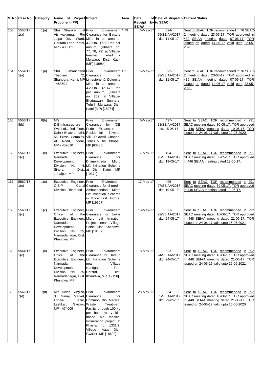|     | S. No Case No. Category |      | Name of Project Project                                                                                                   |                                                                                                                                                                                                                                                              | Area | Date                               | of Date of dispatch Current Status         |                                                                                                                                                                                       |
|-----|-------------------------|------|---------------------------------------------------------------------------------------------------------------------------|--------------------------------------------------------------------------------------------------------------------------------------------------------------------------------------------------------------------------------------------------------------|------|------------------------------------|--------------------------------------------|---------------------------------------------------------------------------------------------------------------------------------------------------------------------------------------|
|     |                         |      | <b>Proponent (PP)</b>                                                                                                     |                                                                                                                                                                                                                                                              |      | Receipt by to SEAC<br><b>SEIAA</b> |                                            |                                                                                                                                                                                       |
| 163 | 5553/17<br>1(a)         | 1(a) | Shri Shankar<br>Vishwakarma,<br>MP - 483501                                                                               | Lal Prior<br>Environment 4.79<br>R/o Clearance for Bauxite<br>Jalpa Devi Ward, Mine in an area of<br>Gautam Lane, Katni, 4.79Ha (7710 ton per<br>annum) (Khasra no.<br>77, 78, 79) at Village-<br>Tehsil<br>Imaliya,<br>Murwara, Dist. Katni<br>(MP) [18984] |      | 6-May-17                           | 394-<br>95/SEIAA/2017<br>dtd. 11-05-17     | Sent to SEAC. TOR recommended in 76 SEAC<br>2 meeting dated 23-05-17. TOR approved in<br>439 SEIAA meeting dated 07-06-17. TOR<br>issued on dated 14-06-17 valid upto 22-05-<br>2020. |
| 164 | 5554/17<br>1(a)         | 1(a) | Shri<br>Kishanchand Prior<br>Thadlani,<br>$-483501$                                                                       | Environment 4.2<br>72, Clearance<br>for<br>Shahpura, Katni, MP Limestone & Dolomite<br>Mine in an area of<br>4.20Ha (21473 ton<br>per annum) (Khasra<br>no. 252) at Village-<br>Bhatgawan Sunhera,<br>Tehsil -Murwara, Dist.<br>Katni (MP) [18974]           |      | $6$ -May-17                        | $392 -$<br>93/SEIAA/2017<br>dtd. 11-05-17  | Sent to SEAC. TOR recommended in 76 SEAC<br>2 meeting dated 23-05-17. TOR approved in<br>439 SEIAA meeting dated 07-06-17. TOR<br>issued on dated 14-06-17 valid upto 22-05-<br>2020. |
| 165 | 5556/17<br>8(b)         | 8(b) | M/s<br>D.B.Infrastructure<br>Dainik Bhaskar 4/54, Residential<br>MP - 452010                                              | Prior<br>Environment<br>for<br>Clearance<br>"DB<br>Pvt. Ltd., 2nd Floor, Pride" Expansion in<br>Towers,<br>55 Press Complex, Vill. Talawali Chanda,<br>AB Road, Indore, Tehsil & Dist. Bhopal,<br>MP [63885]                                                 |      | $6$ -May-17                        | $427 -$<br>28/SEIAA/2017<br>dtd. 15-05-17. | Sent to SEAC. TOR recommended in 291<br>SEAC meeting dated 30-05-17. TOR approved<br>in 446 SEIAA meeting dated 19-06-17. TOR<br>issued on 24-06-17 valid upto 29-05-2020.            |
| 166 | 5561/17<br>1(c)         | 1(c) | Executive Engineer, Prior<br>Narmada<br>Development<br>Division<br>No.<br>Sihora,<br>Jabalpur, MP                         | Environment<br>Clearance<br>for<br>Dhimerkheda<br>Micro<br>4, Lift Irrination Scheme<br>Dist., at Dist. Katni, MP<br>[19374]                                                                                                                                 |      | 17-May-17                          | 494-<br>95/SEIAA/2017<br>dtd. 19-05-17     | Sent to SEAC. TOR recommended in 291<br>SEAC meeting dated 30-05-17. TOR approved<br>in 446 SEIAA meeting dated 19-06-17.                                                             |
| 167 | 5562/17<br>1(c)         | 1(c) | Executive Engineer, Prior<br>O.S.P<br>Division, Dhamnod                                                                   | Environment<br>Canal Clearance for Simrol<br>Ambachandan Micro<br>Lift Irrination Scheme<br>in Mhow Dist. Indore,<br>MP [19367]                                                                                                                              |      | 17-May-17                          | 496-<br>97/SEIAA/2017<br>dtd. 19-05-17     | Sent to SEAC. TOR recommended in 291<br>SEAC meeting dated 30-05-17. TOR approved<br>in 446 SEIAA meeting dated 19-06-17.                                                             |
| 168 | 5563/17<br>1(c)         | 1(c) | Executive Engineer, Prior<br>Office<br>οf<br>Narmada<br>Development<br>Division No.<br>Narmadanagar, Dist.<br>Khandwa, MP | Environment<br>the Clearance for Jawar<br>Executive Engineer, Micro Lift Irrination<br>Project near Village<br>Selda Dist. Khandwa,<br>25, MP [19157]                                                                                                        |      | 18-May-17                          | $521 -$<br>22/SEIAA/2017<br>dtd. 24-05-17  | Sent to SEAC. TOR recommended in 292<br>SEAC meeting dated 16-06-17. TOR approved<br>in 448 SEIAA meeting dated 21-06-17. TOR<br>issued on 24-06-17 valid upto 15-06-2021             |
| 169 | 5564/17<br>1(c)         | 1(c) | Executive Engineer, Prior<br>Office<br>of<br>Narmada<br>Development<br>Division<br>No.<br>Khandwa, MP                     | Environment<br>the Clearance for Harsud<br>Executive Engineer, Lift Irrination Scheme<br>Village<br>near<br>Nandgaon,<br>Teh.<br>25, Harsud,<br>Dist.<br>Narmadanagar, Dist. Khandwa, MP [19156]                                                             |      | 18-May-17                          | $523 -$<br>24/SEIAA/2017<br>dtd. 24-05-17  | Sent to SEAC. TOR recommended in 292<br>SEAC meeting dated 16-06-17. TOR approved<br>in 448 SEIAA meeting dated 21-06-17. TOR<br>issued on 24-06-17 valid upto 15-06-2021             |
| 170 | 5566/17<br>7(d)         | 7(d) | M/s Devis Surgico, Prior<br>3, Giriraj<br>Lohiya<br>Lashkar,<br>Gwalior, Waste<br>MP - 474009                             | Environment<br>Market, Clearance<br>for<br>Bazar, Common Bio Medical<br>Treatment<br>Facility through 100 kg<br>per hour rotary kiln<br>based bio medical<br>incineration project at<br>Khasra no. 1331/2,<br>Village - Aatari, Dist.<br>Gwalior, MP [18699] |      | 23-May-17                          | 534-<br>35/SEIAA/2017<br>dtd. 29-05-17     | Sent to SEAC. TOR recommended in 292<br>SEAC meeting dated 16-06-17. TOR approved<br>in 448 SEIAA meeting dated 21-06-17. TOR<br>issued on 24-06-17 valid upto 15-06-2020.            |